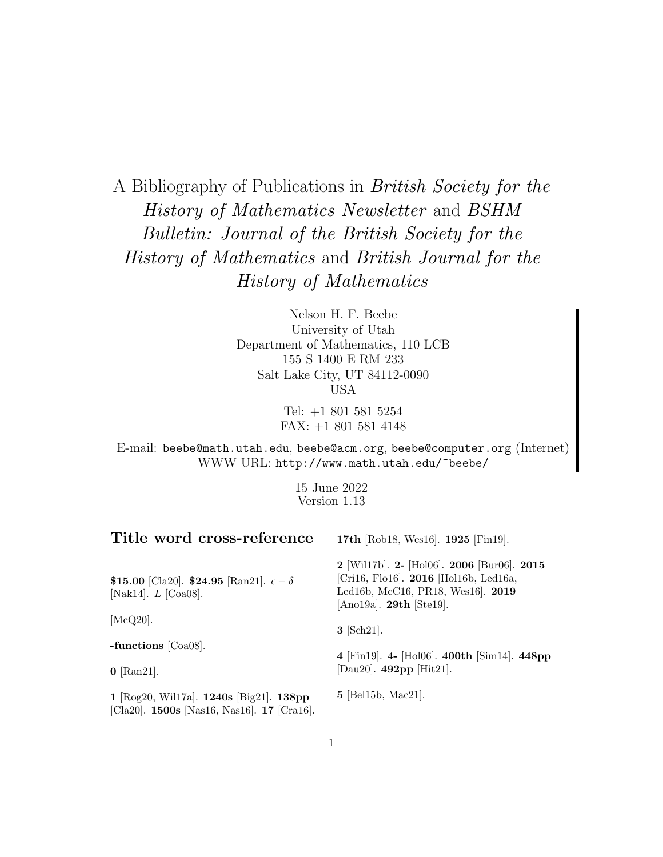A Bibliography of Publications in British Society for the History of Mathematics Newsletter and BSHM Bulletin: Journal of the British Society for the History of Mathematics and British Journal for the History of Mathematics

> Nelson H. F. Beebe University of Utah Department of Mathematics, 110 LCB 155 S 1400 E RM 233 Salt Lake City, UT 84112-0090 USA

> > Tel: +1 801 581 5254 FAX: +1 801 581 4148

E-mail: beebe@math.utah.edu, beebe@acm.org, beebe@computer.org (Internet) WWW URL: http://www.math.utah.edu/~beebe/

> 15 June 2022 Version 1.13

| Title word cross-reference                                                                | 17th [Rob18, Wes16]. 1925 [Fin19].                                                                                                                     |  |  |
|-------------------------------------------------------------------------------------------|--------------------------------------------------------------------------------------------------------------------------------------------------------|--|--|
| \$15.00 [Cla20]. \$24.95 [Ran21]. $\epsilon - \delta$<br>[Nak14]. $L$ [Coa08].            | $2$ [Wil17b]. 2- [Hol06]. 2006 [Bur06]. 2015<br>[Cri16, Flo16]. 2016 [Hol16b, Led16a,<br>Led16b, McC16, PR18, Wes16. 2019<br>[Ano19a]. $29th$ [Ste19]. |  |  |
| [McQ20].                                                                                  | $3$ [Sch21].                                                                                                                                           |  |  |
| -functions $\lbrack \text{Coa08} \rbrack$ .                                               |                                                                                                                                                        |  |  |
| $0$ [Ran21].                                                                              | 4 [Fin19]. 4- [Hol06]. 400th [Sim14]. 448pp<br>[Dau20]. $492pp$ [Hit21].                                                                               |  |  |
| 1 [Rog20, Wil17a]. 1240s [Big21]. 138pp<br>[Cla20]. $1500s$ [Nas16, Nas16]. $17$ [Cra16]. | $5$ [Bel15b, Mac21].                                                                                                                                   |  |  |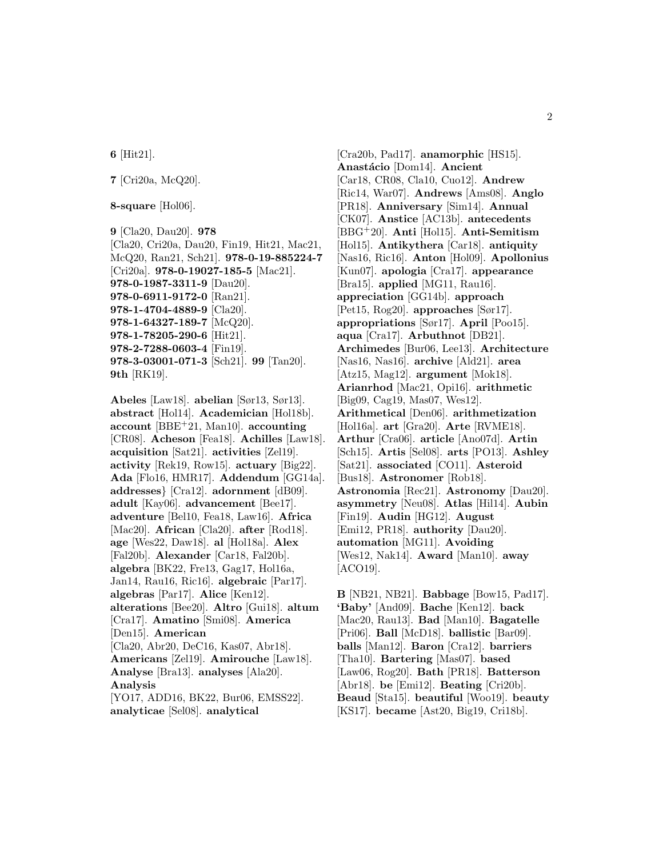**6** [Hit21].

**7** [Cri20a, McQ20].

**8-square** [Hol06].

```
9 [Cla20, Dau20]. 978
[Cla20, Cri20a, Dau20, Fin19, Hit21, Mac21,
McQ20, Ran21, Sch21]. 978-0-19-885224-7
[Cri20a]. 978-0-19027-185-5 [Mac21].
978-0-1987-3311-9 [Dau20].
978-0-6911-9172-0 [Ran21].
978-1-4704-4889-9 [Cla20].
978-1-64327-189-7 [McQ20].
978-1-78205-290-6 [Hit21].
978-2-7288-0603-4 [Fin19].
978-3-03001-071-3 [Sch21]. 99 [Tan20].
9th [RK19].
```
**Abeles** [Law18]. **abelian** [Sør13, Sør13]. **abstract** [Hol14]. **Academician** [Hol18b]. **account** [BBE<sup>+</sup>21, Man10]. **accounting** [CR08]. **Acheson** [Fea18]. **Achilles** [Law18]. **acquisition** [Sat21]. **activities** [Zel19]. **activity** [Rek19, Row15]. **actuary** [Big22]. **Ada** [Flo16, HMR17]. **Addendum** [GG14a]. **addresses**} [Cra12]. **adornment** [dB09]. **adult** [Kay06]. **advancement** [Bee17]. **adventure** [Bel10, Fea18, Law16]. **Africa** [Mac20]. **African** [Cla20]. **after** [Rod18]. **age** [Wes22, Daw18]. **al** [Hol18a]. **Alex** [Fal20b]. **Alexander** [Car18, Fal20b]. **algebra** [BK22, Fre13, Gag17, Hol16a, Jan14, Rau16, Ric16]. **algebraic** [Par17]. **algebras** [Par17]. **Alice** [Ken12]. **alterations** [Bee20]. **Altro** [Gui18]. **altum** [Cra17]. **Amatino** [Smi08]. **America** [Den15]. **American** [Cla20, Abr20, DeC16, Kas07, Abr18]. **Americans** [Zel19]. **Amirouche** [Law18]. **Analyse** [Bra13]. **analyses** [Ala20]. **Analysis** [YO17, ADD16, BK22, Bur06, EMSS22]. **analyticae** [Sel08]. **analytical**

[Cra20b, Pad17]. **anamorphic** [HS15]. **Anast´acio** [Dom14]. **Ancient** [Car18, CR08, Cla10, Cuo12]. **Andrew** [Ric14, War07]. **Andrews** [Ams08]. **Anglo** [PR18]. **Anniversary** [Sim14]. **Annual** [CK07]. **Anstice** [AC13b]. **antecedents** [BBG<sup>+</sup>20]. **Anti** [Hol15]. **Anti-Semitism** [Hol15]. **Antikythera** [Car18]. **antiquity** [Nas16, Ric16]. **Anton** [Hol09]. **Apollonius** [Kun07]. **apologia** [Cra17]. **appearance** [Bra15]. **applied** [MG11, Rau16]. **appreciation** [GG14b]. **approach** [Pet15, Rog20]. **approaches** [Sør17]. **appropriations** [Sør17]. **April** [Poo15]. **aqua** [Cra17]. **Arbuthnot** [DB21]. **Archimedes** [Bur06, Lee13]. **Architecture** [Nas16, Nas16]. **archive** [Ald21]. **area** [Atz15, Mag12]. **argument** [Mok18]. **Arianrhod** [Mac21, Opi16]. **arithmetic** [Big09, Cag19, Mas07, Wes12]. **Arithmetical** [Den06]. **arithmetization** [Hol16a]. **art** [Gra20]. **Arte** [RVME18]. **Arthur** [Cra06]. **article** [Ano07d]. **Artin** [Sch15]. **Artis** [Sel08]. **arts** [PO13]. **Ashley** [Sat21]. **associated** [CO11]. **Asteroid** [Bus18]. **Astronomer** [Rob18]. **Astronomia** [Rec21]. **Astronomy** [Dau20]. **asymmetry** [Neu08]. **Atlas** [Hil14]. **Aubin** [Fin19]. **Audin** [HG12]. **August** [Emi12, PR18]. **authority** [Dau20]. **automation** [MG11]. **Avoiding** [Wes12, Nak14]. **Award** [Man10]. **away** [ACO19].

**B** [NB21, NB21]. **Babbage** [Bow15, Pad17]. **'Baby'** [And09]. **Bache** [Ken12]. **back** [Mac20, Rau13]. **Bad** [Man10]. **Bagatelle** [Pri06]. **Ball** [McD18]. **ballistic** [Bar09]. **balls** [Man12]. **Baron** [Cra12]. **barriers** [Tha10]. **Bartering** [Mas07]. **based** [Law06, Rog20]. **Bath** [PR18]. **Batterson** [Abr18]. **be** [Emi12]. **Beating** [Cri20b]. **Beaud** [Sta15]. **beautiful** [Woo19]. **beauty** [KS17]. **became** [Ast20, Big19, Cri18b].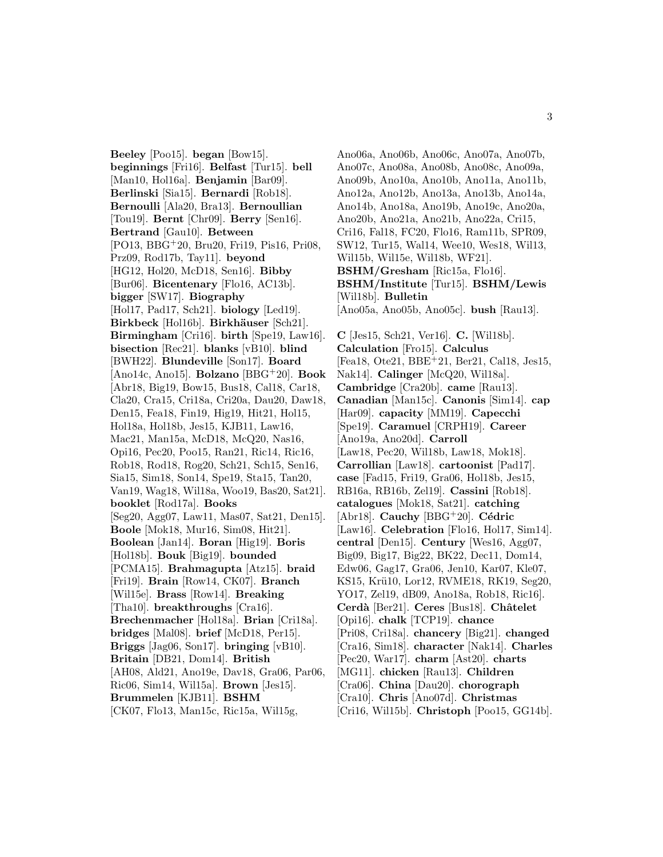**Beeley** [Poo15]. **began** [Bow15]. **beginnings** [Fri16]. **Belfast** [Tur15]. **bell** [Man10, Hol16a]. **Benjamin** [Bar09]. **Berlinski** [Sia15]. **Bernardi** [Rob18]. **Bernoulli** [Ala20, Bra13]. **Bernoullian** [Tou19]. **Bernt** [Chr09]. **Berry** [Sen16]. **Bertrand** [Gau10]. **Between** [PO13, BBG<sup>+</sup>20, Bru20, Fri19, Pis16, Pri08, Prz09, Rod17b, Tay11]. **beyond** [HG12, Hol20, McD18, Sen16]. **Bibby** [Bur06]. **Bicentenary** [Flo16, AC13b]. **bigger** [SW17]. **Biography** [Hol17, Pad17, Sch21]. **biology** [Led19]. **Birkbeck** [Hol16b]. **Birkh¨auser** [Sch21]. **Birmingham** [Cri16]. **birth** [Spe19, Law16]. **bisection** [Rec21]. **blanks** [vB10]. **blind** [BWH22]. **Blundeville** [Son17]. **Board** [Ano14c, Ano15]. **Bolzano** [BBG<sup>+</sup>20]. **Book** [Abr18, Big19, Bow15, Bus18, Cal18, Car18, Cla20, Cra15, Cri18a, Cri20a, Dau20, Daw18, Den15, Fea18, Fin19, Hig19, Hit21, Hol15, Hol18a, Hol18b, Jes15, KJB11, Law16, Mac21, Man15a, McD18, McQ20, Nas16, Opi16, Pec20, Poo15, Ran21, Ric14, Ric16, Rob18, Rod18, Rog20, Sch21, Sch15, Sen16, Sia15, Sim18, Son14, Spe19, Sta15, Tan20, Van19, Wag18, Wil18a, Woo19, Bas20, Sat21]. **booklet** [Rod17a]. **Books** [Seg20, Agg07, Law11, Mas07, Sat21, Den15]. **Boole** [Mok18, Mur16, Sim08, Hit21]. **Boolean** [Jan14]. **Boran** [Hig19]. **Boris** [Hol18b]. **Bouk** [Big19]. **bounded** [PCMA15]. **Brahmagupta** [Atz15]. **braid** [Fri19]. **Brain** [Row14, CK07]. **Branch** [Wil15e]. **Brass** [Row14]. **Breaking** [Tha10]. **breakthroughs** [Cra16]. **Brechenmacher** [Hol18a]. **Brian** [Cri18a]. **bridges** [Mal08]. **brief** [McD18, Per15]. **Briggs** [Jag06, Son17]. **bringing** [vB10]. **Britain** [DB21, Dom14]. **British** [AH08, Ald21, Ano19e, Dav18, Gra06, Par06, Ric06, Sim14, Wil15a]. **Brown** [Jes15]. **Brummelen** [KJB11]. **BSHM** [CK07, Flo13, Man15c, Ric15a, Wil15g,

Ano06a, Ano06b, Ano06c, Ano07a, Ano07b, Ano07c, Ano08a, Ano08b, Ano08c, Ano09a, Ano09b, Ano10a, Ano10b, Ano11a, Ano11b, Ano12a, Ano12b, Ano13a, Ano13b, Ano14a, Ano14b, Ano18a, Ano19b, Ano19c, Ano20a, Ano20b, Ano21a, Ano21b, Ano22a, Cri15, Cri16, Fal18, FC20, Flo16, Ram11b, SPR09, SW12, Tur15, Wal14, Wee10, Wes18, Wil13, Wil15b, Wil15e, Wil18b, WF21]. **BSHM/Gresham** [Ric15a, Flo16]. **BSHM/Institute** [Tur15]. **BSHM/Lewis** [Wil18b]. **Bulletin** [Ano05a, Ano05b, Ano05c]. **bush** [Rau13]. **C** [Jes15, Sch21, Ver16]. **C.** [Wil18b]. **Calculation** [Fro15]. **Calculus** [Fea18, Ote21, BBE<sup>+</sup>21, Ber21, Cal18, Jes15, Nak14]. **Calinger** [McQ20, Wil18a]. **Cambridge** [Cra20b]. **came** [Rau13]. **Canadian** [Man15c]. **Canonis** [Sim14]. **cap** [Har09]. **capacity** [MM19]. **Capecchi** [Spe19]. **Caramuel** [CRPH19]. **Career** [Ano19a, Ano20d]. **Carroll** [Law18, Pec20, Wil18b, Law18, Mok18]. **Carrollian** [Law18]. **cartoonist** [Pad17]. **case** [Fad15, Fri19, Gra06, Hol18b, Jes15, RB16a, RB16b, Zel19]. **Cassini** [Rob18]. **catalogues** [Mok18, Sat21]. **catching** [Abr18]. **Cauchy** [BBG<sup>+</sup>20]. **Cédric** [Law16]. **Celebration** [Flo16, Hol17, Sim14]. **central** [Den15]. **Century** [Wes16, Agg07, Big09, Big17, Big22, BK22, Dec11, Dom14, Edw06, Gag17, Gra06, Jen10, Kar07, Kle07, KS15, Krü10, Lor12, RVME18, RK19, Seg20, YO17, Zel19, dB09, Ano18a, Rob18, Ric16]. **Cerd`a** [Ber21]. **Ceres** [Bus18]. **Chˆatelet** [Opi16]. **chalk** [TCP19]. **chance** [Pri08, Cri18a]. **chancery** [Big21]. **changed** [Cra16, Sim18]. **character** [Nak14]. **Charles** [Pec20, War17]. **charm** [Ast20]. **charts** [MG11]. **chicken** [Rau13]. **Children** [Cra06]. **China** [Dau20]. **chorograph** [Cra10]. **Chris** [Ano07d]. **Christmas** [Cri16, Wil15b]. **Christoph** [Poo15, GG14b].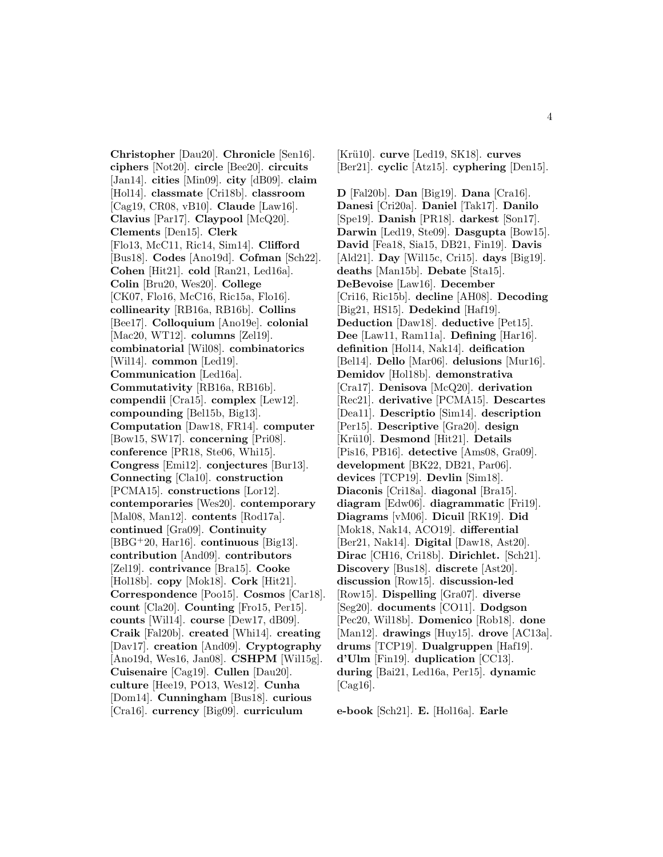**Christopher** [Dau20]. **Chronicle** [Sen16]. **ciphers** [Not20]. **circle** [Bee20]. **circuits** [Jan14]. **cities** [Min09]. **city** [dB09]. **claim** [Hol14]. **classmate** [Cri18b]. **classroom** [Cag19, CR08, vB10]. **Claude** [Law16]. **Clavius** [Par17]. **Claypool** [McQ20]. **Clements** [Den15]. **Clerk** [Flo13, McC11, Ric14, Sim14]. **Clifford** [Bus18]. **Codes** [Ano19d]. **Cofman** [Sch22]. **Cohen** [Hit21]. **cold** [Ran21, Led16a]. **Colin** [Bru20, Wes20]. **College** [CK07, Flo16, McC16, Ric15a, Flo16]. **collinearity** [RB16a, RB16b]. **Collins** [Bee17]. **Colloquium** [Ano19e]. **colonial** [Mac20, WT12]. **columns** [Zel19]. **combinatorial** [Wil08]. **combinatorics** [Wil14]. **common** [Led19]. **Communication** [Led16a]. **Commutativity** [RB16a, RB16b]. **compendii** [Cra15]. **complex** [Lew12]. **compounding** [Bel15b, Big13]. **Computation** [Daw18, FR14]. **computer** [Bow15, SW17]. **concerning** [Pri08]. **conference** [PR18, Ste06, Whi15]. **Congress** [Emi12]. **conjectures** [Bur13]. **Connecting** [Cla10]. **construction** [PCMA15]. **constructions** [Lor12]. **contemporaries** [Wes20]. **contemporary** [Mal08, Man12]. **contents** [Rod17a]. **continued** [Gra09]. **Continuity** [BBG<sup>+</sup>20, Har16]. **continuous** [Big13]. **contribution** [And09]. **contributors** [Zel19]. **contrivance** [Bra15]. **Cooke** [Hol18b]. **copy** [Mok18]. **Cork** [Hit21]. **Correspondence** [Poo15]. **Cosmos** [Car18]. **count** [Cla20]. **Counting** [Fro15, Per15]. **counts** [Wil14]. **course** [Dew17, dB09]. **Craik** [Fal20b]. **created** [Whi14]. **creating** [Dav17]. **creation** [And09]. **Cryptography** [Ano19d, Wes16, Jan08]. **CSHPM** [Wil15g]. **Cuisenaire** [Cag19]. **Cullen** [Dau20]. **culture** [Hee19, PO13, Wes12]. **Cunha** [Dom14]. **Cunningham** [Bus18]. **curious** [Cra16]. **currency** [Big09]. **curriculum**

[Kr¨u10]. **curve** [Led19, SK18]. **curves** [Ber21]. **cyclic** [Atz15]. **cyphering** [Den15].

**D** [Fal20b]. **Dan** [Big19]. **Dana** [Cra16]. **Danesi** [Cri20a]. **Daniel** [Tak17]. **Danilo** [Spe19]. **Danish** [PR18]. **darkest** [Son17]. **Darwin** [Led19, Ste09]. **Dasgupta** [Bow15]. **David** [Fea18, Sia15, DB21, Fin19]. **Davis** [Ald21]. **Day** [Wil15c, Cri15]. **days** [Big19]. **deaths** [Man15b]. **Debate** [Sta15]. **DeBevoise** [Law16]. **December** [Cri16, Ric15b]. **decline** [AH08]. **Decoding** [Big21, HS15]. **Dedekind** [Haf19]. **Deduction** [Daw18]. **deductive** [Pet15]. **Dee** [Law11, Ram11a]. **Defining** [Har16]. **definition** [Hol14, Nak14]. **deification** [Bel14]. **Dello** [Mar06]. **delusions** [Mur16]. **Demidov** [Hol18b]. **demonstrativa** [Cra17]. **Denisova** [McQ20]. **derivation** [Rec21]. **derivative** [PCMA15]. **Descartes** [Dea11]. **Descriptio** [Sim14]. **description** [Per15]. **Descriptive** [Gra20]. **design** [Kr¨u10]. **Desmond** [Hit21]. **Details** [Pis16, PB16]. **detective** [Ams08, Gra09]. **development** [BK22, DB21, Par06]. **devices** [TCP19]. **Devlin** [Sim18]. **Diaconis** [Cri18a]. **diagonal** [Bra15]. **diagram** [Edw06]. **diagrammatic** [Fri19]. **Diagrams** [vM06]. **Dicuil** [RK19]. **Did** [Mok18, Nak14, ACO19]. **differential** [Ber21, Nak14]. **Digital** [Daw18, Ast20]. **Dirac** [CH16, Cri18b]. **Dirichlet.** [Sch21]. **Discovery** [Bus18]. **discrete** [Ast20]. **discussion** [Row15]. **discussion-led** [Row15]. **Dispelling** [Gra07]. **diverse** [Seg20]. **documents** [CO11]. **Dodgson** [Pec20, Wil18b]. **Domenico** [Rob18]. **done** [Man12]. **drawings** [Huy15]. **drove** [AC13a]. **drums** [TCP19]. **Dualgruppen** [Haf19]. **d'Ulm** [Fin19]. **duplication** [CC13]. **during** [Bai21, Led16a, Per15]. **dynamic**  $[Cag16]$ .

**e-book** [Sch21]. **E.** [Hol16a]. **Earle**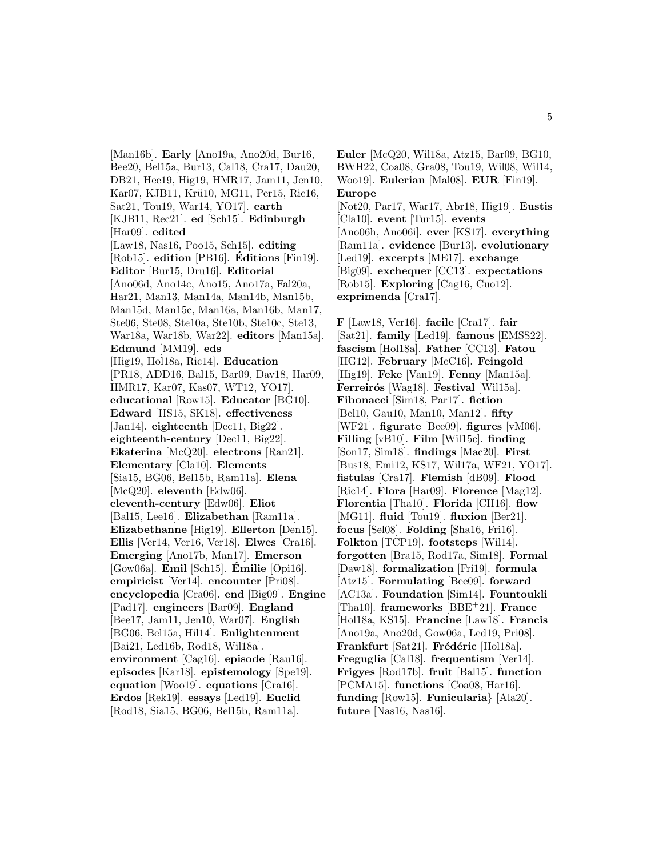[Man16b]. **Early** [Ano19a, Ano20d, Bur16, Bee20, Bel15a, Bur13, Cal18, Cra17, Dau20, DB21, Hee19, Hig19, HMR17, Jam11, Jen10, Kar07, KJB11, Krü10, MG11, Per15, Ric16, Sat21, Tou19, War14, YO17]. **earth** [KJB11, Rec21]. **ed** [Sch15]. **Edinburgh** [Har09]. **edited** [Law18, Nas16, Poo15, Sch15]. **editing** [Rob15]. **edition** [PB16]. **Editions ´** [Fin19]. **Editor** [Bur15, Dru16]. **Editorial** [Ano06d, Ano14c, Ano15, Ano17a, Fal20a, Har21, Man13, Man14a, Man14b, Man15b, Man15d, Man15c, Man16a, Man16b, Man17, Ste06, Ste08, Ste10a, Ste10b, Ste10c, Ste13, War18a, War18b, War22]. **editors** [Man15a]. **Edmund** [MM19]. **eds** [Hig19, Hol18a, Ric14]. **Education** [PR18, ADD16, Bal15, Bar09, Dav18, Har09, HMR17, Kar07, Kas07, WT12, YO17]. **educational** [Row15]. **Educator** [BG10]. **Edward** [HS15, SK18]. **effectiveness** [Jan14]. **eighteenth** [Dec11, Big22]. **eighteenth-century** [Dec11, Big22]. **Ekaterina** [McQ20]. **electrons** [Ran21]. **Elementary** [Cla10]. **Elements** [Sia15, BG06, Bel15b, Ram11a]. **Elena** [McQ20]. **eleventh** [Edw06]. **eleventh-century** [Edw06]. **Eliot** [Bal15, Lee16]. **Elizabethan** [Ram11a]. **Elizabethanne** [Hig19]. **Ellerton** [Den15]. **Ellis** [Ver14, Ver16, Ver18]. **Elwes** [Cra16]. **Emerging** [Ano17b, Man17]. **Emerson** [Gow06a]. **Emil** [Sch15]. **Emilie ´** [Opi16]. **empiricist** [Ver14]. **encounter** [Pri08]. **encyclopedia** [Cra06]. **end** [Big09]. **Engine** [Pad17]. **engineers** [Bar09]. **England** [Bee17, Jam11, Jen10, War07]. **English** [BG06, Bel15a, Hil14]. **Enlightenment** [Bai21, Led16b, Rod18, Wil18a]. **environment** [Cag16]. **episode** [Rau16]. **episodes** [Kar18]. **epistemology** [Spe19]. **equation** [Woo19]. **equations** [Cra16]. **Erdos** [Rek19]. **essays** [Led19]. **Euclid** [Rod18, Sia15, BG06, Bel15b, Ram11a].

**Euler** [McQ20, Wil18a, Atz15, Bar09, BG10, BWH22, Coa08, Gra08, Tou19, Wil08, Wil14, Woo19]. **Eulerian** [Mal08]. **EUR** [Fin19]. **Europe** [Not20, Par17, War17, Abr18, Hig19]. **Eustis** [Cla10]. **event** [Tur15]. **events** [Ano06h, Ano06i]. **ever** [KS17]. **everything** [Ram11a]. **evidence** [Bur13]. **evolutionary** [Led19]. **excerpts** [ME17]. **exchange** [Big09]. **exchequer** [CC13]. **expectations** [Rob15]. **Exploring** [Cag16, Cuo12]. **exprimenda** [Cra17].

**F** [Law18, Ver16]. **facile** [Cra17]. **fair** [Sat21]. **family** [Led19]. **famous** [EMSS22]. **fascism** [Hol18a]. **Father** [CC13]. **Fatou** [HG12]. **February** [McC16]. **Feingold** [Hig19]. **Feke** [Van19]. **Fenny** [Man15a]. **Ferreirós** [Wag18]. **Festival** [Wil15a]. **Fibonacci** [Sim18, Par17]. **fiction** [Bel10, Gau10, Man10, Man12]. **fifty** [WF21]. **figurate** [Bee09]. **figures** [vM06]. **Filling** [vB10]. **Film** [Wil15c]. **finding** [Son17, Sim18]. **findings** [Mac20]. **First** [Bus18, Emi12, KS17, Wil17a, WF21, YO17]. **fistulas** [Cra17]. **Flemish** [dB09]. **Flood** [Ric14]. **Flora** [Har09]. **Florence** [Mag12]. **Florentia** [Tha10]. **Florida** [CH16]. **flow** [MG11]. **fluid** [Tou19]. **fluxion** [Ber21]. **focus** [Sel08]. **Folding** [Sha16, Fri16]. **Folkton** [TCP19]. **footsteps** [Wil14]. **forgotten** [Bra15, Rod17a, Sim18]. **Formal** [Daw18]. **formalization** [Fri19]. **formula** [Atz15]. **Formulating** [Bee09]. **forward** [AC13a]. **Foundation** [Sim14]. **Fountoukli** [Tha10]. **frameworks** [BBE<sup>+</sup>21]. **France** [Hol18a, KS15]. **Francine** [Law18]. **Francis** [Ano19a, Ano20d, Gow06a, Led19, Pri08]. Frankfurt [Sat21]. Frédéric [Hol18a]. **Freguglia** [Cal18]. **frequentism** [Ver14]. **Frigyes** [Rod17b]. **fruit** [Bal15]. **function** [PCMA15]. **functions** [Coa08, Har16]. **funding** [Row15]. **Funicularia**} [Ala20]. **future** [Nas16, Nas16].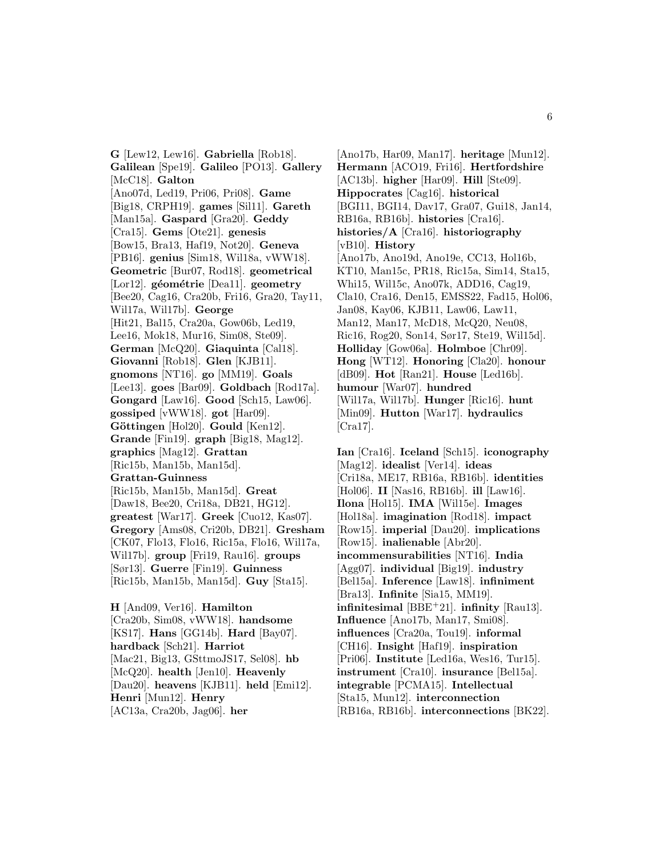**G** [Lew12, Lew16]. **Gabriella** [Rob18]. **Galilean** [Spe19]. **Galileo** [PO13]. **Gallery** [McC18]. **Galton** [Ano07d, Led19, Pri06, Pri08]. **Game** [Big18, CRPH19]. **games** [Sil11]. **Gareth** [Man15a]. **Gaspard** [Gra20]. **Geddy** [Cra15]. **Gems** [Ote21]. **genesis** [Bow15, Bra13, Haf19, Not20]. **Geneva** [PB16]. **genius** [Sim18, Wil18a, vWW18]. **Geometric** [Bur07, Rod18]. **geometrical** [Lor12]. **géométrie** [Dea11]. **geometry** [Bee20, Cag16, Cra20b, Fri16, Gra20, Tay11, Wil17a, Wil17b]. **George** [Hit21, Bal15, Cra20a, Gow06b, Led19, Lee16, Mok18, Mur16, Sim08, Ste09]. **German** [McQ20]. **Giaquinta** [Cal18]. **Giovanni** [Rob18]. **Glen** [KJB11]. **gnomons** [NT16]. **go** [MM19]. **Goals** [Lee13]. **goes** [Bar09]. **Goldbach** [Rod17a]. **Gongard** [Law16]. **Good** [Sch15, Law06]. **gossiped** [vWW18]. **got** [Har09]. **Göttingen** [Hol20]. **Gould** [Ken12]. **Grande** [Fin19]. **graph** [Big18, Mag12]. **graphics** [Mag12]. **Grattan** [Ric15b, Man15b, Man15d]. **Grattan-Guinness** [Ric15b, Man15b, Man15d]. **Great** [Daw18, Bee20, Cri18a, DB21, HG12]. **greatest** [War17]. **Greek** [Cuo12, Kas07]. **Gregory** [Ams08, Cri20b, DB21]. **Gresham** [CK07, Flo13, Flo16, Ric15a, Flo16, Wil17a, Wil17b]. **group** [Fri19, Rau16]. **groups** [Sør13]. **Guerre** [Fin19]. **Guinness** [Ric15b, Man15b, Man15d]. **Guy** [Sta15]. **H** [And09, Ver16]. **Hamilton**

[Cra20b, Sim08, vWW18]. **handsome** [KS17]. **Hans** [GG14b]. **Hard** [Bay07]. **hardback** [Sch21]. **Harriot** [Mac21, Big13, GSttmoJS17, Sel08]. **hb** [McQ20]. **health** [Jen10]. **Heavenly** [Dau20]. **heavens** [KJB11]. **held** [Emi12]. **Henri** [Mun12]. **Henry** [AC13a, Cra20b, Jag06]. **her**

[Ano17b, Har09, Man17]. **heritage** [Mun12]. **Hermann** [ACO19, Fri16]. **Hertfordshire** [AC13b]. **higher** [Har09]. **Hill** [Ste09]. **Hippocrates** [Cag16]. **historical** [BGI11, BGI14, Dav17, Gra07, Gui18, Jan14, RB16a, RB16b]. **histories** [Cra16]. **histories/A** [Cra16]. **historiography** [vB10]. **History** [Ano17b, Ano19d, Ano19e, CC13, Hol16b, KT10, Man15c, PR18, Ric15a, Sim14, Sta15, Whi15, Wil15c, Ano07k, ADD16, Cag19, Cla10, Cra16, Den15, EMSS22, Fad15, Hol06, Jan08, Kay06, KJB11, Law06, Law11, Man12, Man17, McD18, McQ20, Neu08, Ric16, Rog20, Son14, Sør17, Ste19, Wil15d]. **Holliday** [Gow06a]. **Holmboe** [Chr09]. **Hong** [WT12]. **Honoring** [Cla20]. **honour** [dB09]. **Hot** [Ran21]. **House** [Led16b]. **humour** [War07]. **hundred** [Wil17a, Wil17b]. **Hunger** [Ric16]. **hunt** [Min09]. **Hutton** [War17]. **hydraulics** [Cra17].

**Ian** [Cra16]. **Iceland** [Sch15]. **iconography** [Mag12]. **idealist** [Ver14]. **ideas** [Cri18a, ME17, RB16a, RB16b]. **identities** [Hol06]. **II** [Nas16, RB16b]. **ill** [Law16]. **Ilona** [Hol15]. **IMA** [Wil15e]. **Images** [Hol18a]. **imagination** [Rod18]. **impact** [Row15]. **imperial** [Dau20]. **implications** [Row15]. **inalienable** [Abr20]. **incommensurabilities** [NT16]. **India** [Agg07]. **individual** [Big19]. **industry** [Bel15a]. **Inference** [Law18]. **infiniment** [Bra13]. **Infinite** [Sia15, MM19]. **infinitesimal** [BBE<sup>+</sup>21]. **infinity** [Rau13]. **Influence** [Ano17b, Man17, Smi08]. **influences** [Cra20a, Tou19]. **informal** [CH16]. **Insight** [Haf19]. **inspiration** [Pri06]. **Institute** [Led16a, Wes16, Tur15]. **instrument** [Cra10]. **insurance** [Bel15a]. **integrable** [PCMA15]. **Intellectual** [Sta15, Mun12]. **interconnection** [RB16a, RB16b]. **interconnections** [BK22].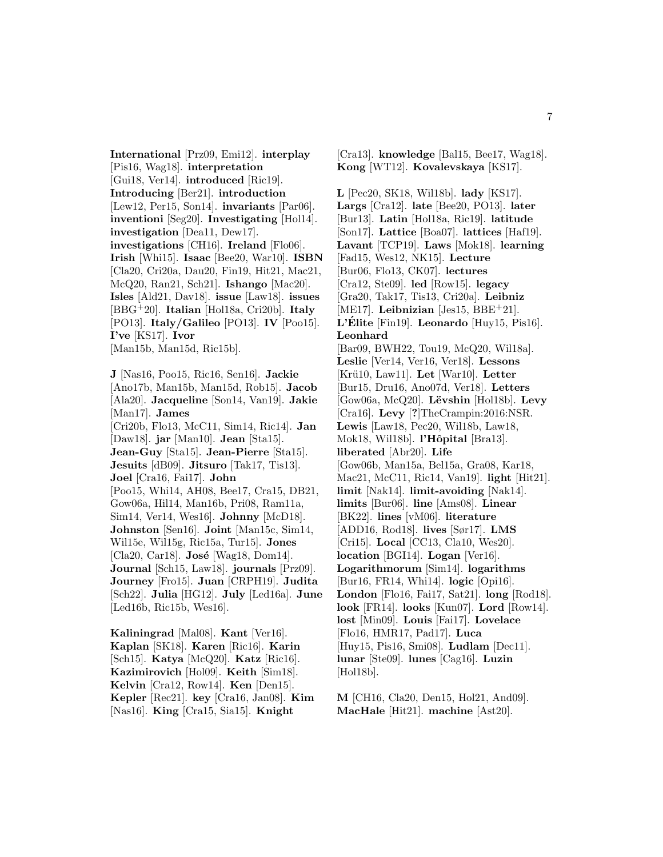**International** [Prz09, Emi12]. **interplay** [Pis16, Wag18]. **interpretation** [Gui18, Ver14]. **introduced** [Ric19]. **Introducing** [Ber21]. **introduction** [Lew12, Per15, Son14]. **invariants** [Par06]. **inventioni** [Seg20]. **Investigating** [Hol14]. **investigation** [Dea11, Dew17]. **investigations** [CH16]. **Ireland** [Flo06]. **Irish** [Whi15]. **Isaac** [Bee20, War10]. **ISBN** [Cla20, Cri20a, Dau20, Fin19, Hit21, Mac21, McQ20, Ran21, Sch21]. **Ishango** [Mac20]. **Isles** [Ald21, Dav18]. **issue** [Law18]. **issues** [BBG<sup>+</sup>20]. **Italian** [Hol18a, Cri20b]. **Italy** [PO13]. **Italy/Galileo** [PO13]. **IV** [Poo15]. **I've** [KS17]. **Ivor** [Man15b, Man15d, Ric15b]. **J** [Nas16, Poo15, Ric16, Sen16]. **Jackie** [Ano17b, Man15b, Man15d, Rob15]. **Jacob** [Ala20]. **Jacqueline** [Son14, Van19]. **Jakie** [Man17]. **James** [Cri20b, Flo13, McC11, Sim14, Ric14]. **Jan** [Daw18]. **jar** [Man10]. **Jean** [Sta15]. **Jean-Guy** [Sta15]. **Jean-Pierre** [Sta15]. **Jesuits** [dB09]. **Jitsuro** [Tak17, Tis13]. **Joel** [Cra16, Fai17]. **John** [Poo15, Whi14, AH08, Bee17, Cra15, DB21, Gow06a, Hil14, Man16b, Pri08, Ram11a, Sim14, Ver14, Wes16]. **Johnny** [McD18]. **Johnston** [Sen16]. **Joint** [Man15c, Sim14, Wil15e, Wil15g, Ric15a, Tur15]. **Jones** [Cla20, Car18]. **José** [Wag18, Dom14]. **Journal** [Sch15, Law18]. **journals** [Prz09]. **Journey** [Fro15]. **Juan** [CRPH19]. **Judita** [Sch22]. **Julia** [HG12]. **July** [Led16a]. **June** [Led16b, Ric15b, Wes16].

**Kaliningrad** [Mal08]. **Kant** [Ver16]. **Kaplan** [SK18]. **Karen** [Ric16]. **Karin** [Sch15]. **Katya** [McQ20]. **Katz** [Ric16]. **Kazimirovich** [Hol09]. **Keith** [Sim18]. **Kelvin** [Cra12, Row14]. **Ken** [Den15]. **Kepler** [Rec21]. **key** [Cra16, Jan08]. **Kim** [Nas16]. **King** [Cra15, Sia15]. **Knight**

**Kong** [WT12]. **Kovalevskaya** [KS17]. **L** [Pec20, SK18, Wil18b]. **lady** [KS17]. **Largs** [Cra12]. **late** [Bee20, PO13]. **later** [Bur13]. **Latin** [Hol18a, Ric19]. **latitude** [Son17]. **Lattice** [Boa07]. **lattices** [Haf19]. **Lavant** [TCP19]. **Laws** [Mok18]. **learning** [Fad15, Wes12, NK15]. **Lecture** [Bur06, Flo13, CK07]. **lectures** [Cra12, Ste09]. **led** [Row15]. **legacy** [Gra20, Tak17, Tis13, Cri20a]. **Leibniz** [ME17]. **Leibnizian** [Jes15, BBE+21]. **L'Elite ´** [Fin19]. **Leonardo** [Huy15, Pis16]. **Leonhard** [Bar09, BWH22, Tou19, McQ20, Wil18a]. **Leslie** [Ver14, Ver16, Ver18]. **Lessons** [Krü10, Law11]. Let [War10]. Letter [Bur15, Dru16, Ano07d, Ver18]. **Letters** [Gow06a, McQ20]. **L¨evshin** [Hol18b]. **Levy** [Cra16]. **Levy** [**?**]TheCrampin:2016:NSR. **Lewis** [Law18, Pec20, Wil18b, Law18, Mok18, Wil18b]. **l'Hôpital** [Bra13]. **liberated** [Abr20]. **Life** [Gow06b, Man15a, Bel15a, Gra08, Kar18, Mac21, McC11, Ric14, Van19]. **light** [Hit21]. **limit** [Nak14]. **limit-avoiding** [Nak14]. **limits** [Bur06]. **line** [Ams08]. **Linear** [BK22]. **lines** [vM06]. **literature** [ADD16, Rod18]. **lives** [Sør17]. **LMS** [Cri15]. **Local** [CC13, Cla10, Wes20]. **location** [BGI14]. **Logan** [Ver16]. **Logarithmorum** [Sim14]. **logarithms** [Bur16, FR14, Whi14]. **logic** [Opi16]. **London** [Flo16, Fai17, Sat21]. **long** [Rod18]. **look** [FR14]. **looks** [Kun07]. **Lord** [Row14]. **lost** [Min09]. **Louis** [Fai17]. **Lovelace** [Flo16, HMR17, Pad17]. **Luca** [Huy15, Pis16, Smi08]. **Ludlam** [Dec11]. **lunar** [Ste09]. **lunes** [Cag16]. **Luzin** [Hol18b].

[Cra13]. **knowledge** [Bal15, Bee17, Wag18].

**M** [CH16, Cla20, Den15, Hol21, And09]. **MacHale** [Hit21]. **machine** [Ast20].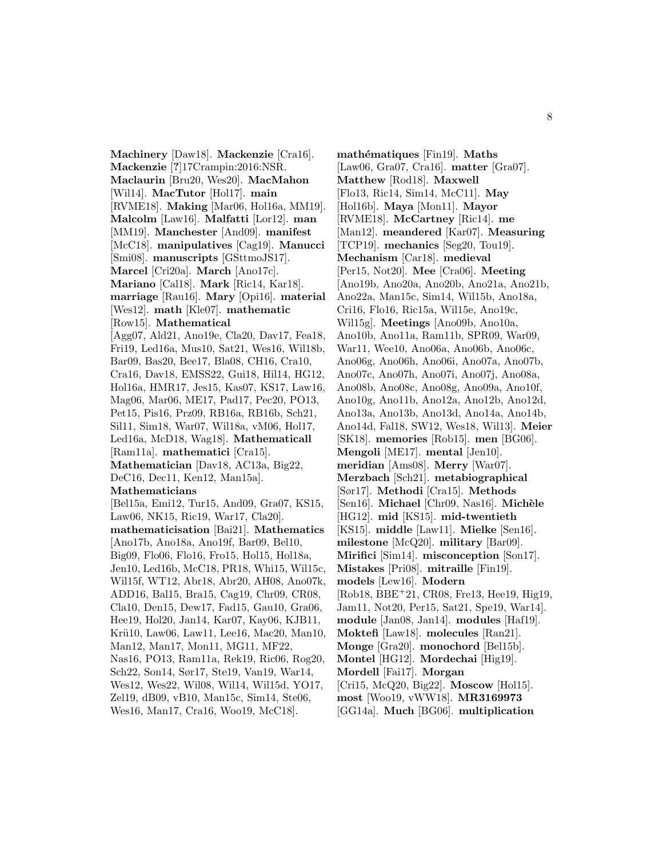**Machinery** [Daw18]. **Mackenzie** [Cra16]. **Mackenzie** [**?**]17Crampin:2016:NSR. **Maclaurin** [Bru20, Wes20]. **MacMahon** [Wil14]. **MacTutor** [Hol17]. **main** [RVME18]. **Making** [Mar06, Hol16a, MM19]. **Malcolm** [Law16]. **Malfatti** [Lor12]. **man** [MM19]. **Manchester** [And09]. **manifest** [McC18]. **manipulatives** [Cag19]. **Manucci** [Smi08]. **manuscripts** [GSttmoJS17]. **Marcel** [Cri20a]. **March** [Ano17c]. **Mariano** [Cal18]. **Mark** [Ric14, Kar18]. **marriage** [Rau16]. **Mary** [Opi16]. **material** [Wes12]. **math** [Kle07]. **mathematic** [Row15]. **Mathematical** [Agg07, Ald21, Ano19e, Cla20, Dav17, Fea18, Fri19, Led16a, Mus10, Sat21, Wes16, Wil18b, Bar09, Bas20, Bee17, Bla08, CH16, Cra10, Cra16, Dav18, EMSS22, Gui18, Hil14, HG12, Hol16a, HMR17, Jes15, Kas07, KS17, Law16, Mag06, Mar06, ME17, Pad17, Pec20, PO13, Pet15, Pis16, Prz09, RB16a, RB16b, Sch21, Sil11, Sim18, War07, Wil18a, vM06, Hol17, Led16a, McD18, Wag18]. **Mathematicall** [Ram11a]. **mathematici** [Cra15]. **Mathematician** [Dav18, AC13a, Big22, DeC16, Dec11, Ken12, Man15a]. **Mathematicians** [Bel15a, Emi12, Tur15, And09, Gra07, KS15, Law06, NK15, Ric19, War17, Cla20]. **mathematicisation** [Bai21]. **Mathematics** [Ano17b, Ano18a, Ano19f, Bar09, Bel10, Big09, Flo06, Flo16, Fro15, Hol15, Hol18a, Jen10, Led16b, McC18, PR18, Whi15, Wil15c, Wil15f, WT12, Abr18, Abr20, AH08, Ano07k, ADD16, Bal15, Bra15, Cag19, Chr09, CR08, Cla10, Den15, Dew17, Fad15, Gau10, Gra06, Hee19, Hol20, Jan14, Kar07, Kay06, KJB11, Krü10, Law06, Law11, Lee16, Mac20, Man10, Man12, Man17, Mon11, MG11, MF22, Nas16, PO13, Ram11a, Rek19, Ric06, Rog20, Sch22, Son14, Sør17, Ste19, Van19, War14, Wes12, Wes22, Wil08, Wil14, Wil15d, YO17, Zel19, dB09, vB10, Man15c, Sim14, Ste06, Wes16, Man17, Cra16, Woo19, McC18].

**math´ematiques** [Fin19]. **Maths** [Law06, Gra07, Cra16]. **matter** [Gra07]. **Matthew** [Rod18]. **Maxwell** [Flo13, Ric14, Sim14, McC11]. **May** [Hol16b]. **Maya** [Mon11]. **Mayor** [RVME18]. **McCartney** [Ric14]. **me** [Man12]. **meandered** [Kar07]. **Measuring** [TCP19]. **mechanics** [Seg20, Tou19]. **Mechanism** [Car18]. **medieval** [Per15, Not20]. **Mee** [Cra06]. **Meeting** [Ano19b, Ano20a, Ano20b, Ano21a, Ano21b, Ano22a, Man15c, Sim14, Wil15b, Ano18a, Cri16, Flo16, Ric15a, Wil15e, Ano19c, Wil15g]. **Meetings** [Ano09b, Ano10a, Ano10b, Ano11a, Ram11b, SPR09, War09, War11, Wee10, Ano06a, Ano06b, Ano06c, Ano06g, Ano06h, Ano06i, Ano07a, Ano07b, Ano07c, Ano07h, Ano07i, Ano07j, Ano08a, Ano08b, Ano08c, Ano08g, Ano09a, Ano10f, Ano10g, Ano11b, Ano12a, Ano12b, Ano12d, Ano13a, Ano13b, Ano13d, Ano14a, Ano14b, Ano14d, Fal18, SW12, Wes18, Wil13]. **Meier** [SK18]. **memories** [Rob15]. **men** [BG06]. **Mengoli** [ME17]. **mental** [Jen10]. **meridian** [Ams08]. **Merry** [War07]. **Merzbach** [Sch21]. **metabiographical** [Sør17]. **Methodi** [Cra15]. **Methods** [Sen16]. **Michael** [Chr09, Nas16]. **Michèle** [HG12]. **mid** [KS15]. **mid-twentieth** [KS15]. **middle** [Law11]. **Mielke** [Sen16]. **milestone** [McQ20]. **military** [Bar09]. **Mirifici** [Sim14]. **misconception** [Son17]. **Mistakes** [Pri08]. **mitraille** [Fin19]. **models** [Lew16]. **Modern** [Rob18, BBE<sup>+</sup>21, CR08, Fre13, Hee19, Hig19, Jam11, Not20, Per15, Sat21, Spe19, War14]. **module** [Jan08, Jan14]. **modules** [Haf19]. **Moktefi** [Law18]. **molecules** [Ran21]. **Monge** [Gra20]. **monochord** [Bel15b]. **Montel** [HG12]. **Mordechai** [Hig19]. **Mordell** [Fai17]. **Morgan** [Cri15, McQ20, Big22]. **Moscow** [Hol15]. **most** [Woo19, vWW18]. **MR3169973** [GG14a]. **Much** [BG06]. **multiplication**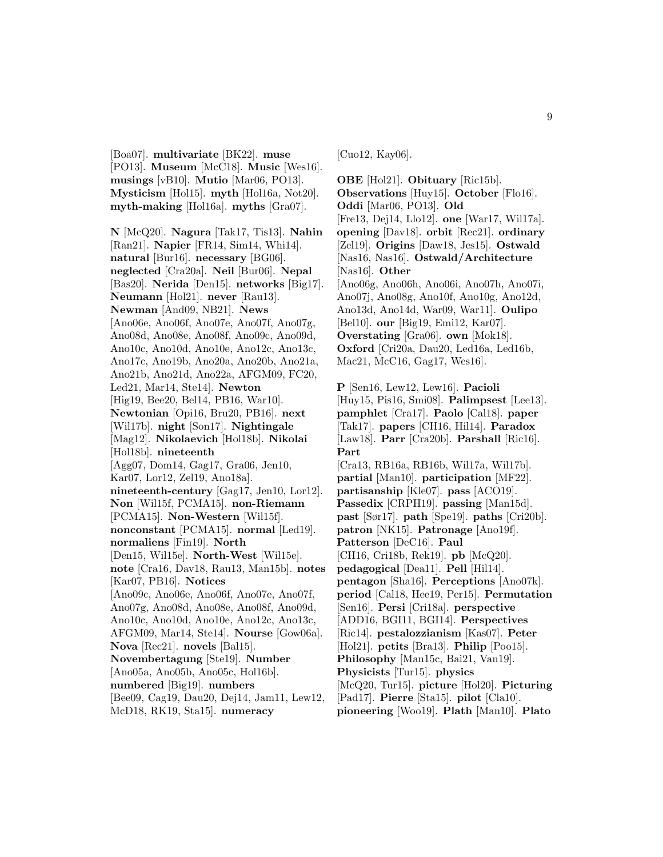[Boa07]. **multivariate** [BK22]. **muse** [PO13]. **Museum** [McC18]. **Music** [Wes16]. **musings** [vB10]. **Mutio** [Mar06, PO13]. **Mysticism** [Hol15]. **myth** [Hol16a, Not20]. **myth-making** [Hol16a]. **myths** [Gra07].

**N** [McQ20]. **Nagura** [Tak17, Tis13]. **Nahin** [Ran21]. **Napier** [FR14, Sim14, Whi14]. **natural** [Bur16]. **necessary** [BG06]. **neglected** [Cra20a]. **Neil** [Bur06]. **Nepal** [Bas20]. **Nerida** [Den15]. **networks** [Big17]. **Neumann** [Hol21]. **never** [Rau13]. **Newman** [And09, NB21]. **News** [Ano06e, Ano06f, Ano07e, Ano07f, Ano07g, Ano08d, Ano08e, Ano08f, Ano09c, Ano09d, Ano10c, Ano10d, Ano10e, Ano12c, Ano13c, Ano17c, Ano19b, Ano20a, Ano20b, Ano21a, Ano21b, Ano21d, Ano22a, AFGM09, FC20, Led21, Mar14, Ste14]. **Newton** [Hig19, Bee20, Bel14, PB16, War10]. **Newtonian** [Opi16, Bru20, PB16]. **next** [Wil17b]. **night** [Son17]. **Nightingale** [Mag12]. **Nikolaevich** [Hol18b]. **Nikolai** [Hol18b]. **nineteenth** [Agg07, Dom14, Gag17, Gra06, Jen10, Kar07, Lor12, Zel19, Ano18a]. **nineteenth-century** [Gag17, Jen10, Lor12]. **Non** [Wil15f, PCMA15]. **non-Riemann** [PCMA15]. **Non-Western** [Wil15f]. **nonconstant** [PCMA15]. **normal** [Led19]. **normaliens** [Fin19]. **North** [Den15, Wil15e]. **North-West** [Wil15e]. **note** [Cra16, Dav18, Rau13, Man15b]. **notes** [Kar07, PB16]. **Notices** [Ano09c, Ano06e, Ano06f, Ano07e, Ano07f, Ano07g, Ano08d, Ano08e, Ano08f, Ano09d, Ano10c, Ano10d, Ano10e, Ano12c, Ano13c, AFGM09, Mar14, Ste14]. **Nourse** [Gow06a]. **Nova** [Rec21]. **novels** [Bal15]. **Novembertagung** [Ste19]. **Number** [Ano05a, Ano05b, Ano05c, Hol16b]. **numbered** [Big19]. **numbers** [Bee09, Cag19, Dau20, Dej14, Jam11, Lew12, McD18, RK19, Sta15]. **numeracy**

[Cuo12, Kay06].

**OBE** [Hol21]. **Obituary** [Ric15b]. **Observations** [Huy15]. **October** [Flo16]. **Oddi** [Mar06, PO13]. **Old** [Fre13, Dej14, Llo12]. **one** [War17, Wil17a]. **opening** [Dav18]. **orbit** [Rec21]. **ordinary** [Zel19]. **Origins** [Daw18, Jes15]. **Ostwald** [Nas16, Nas16]. **Ostwald/Architecture** [Nas16]. **Other** [Ano06g, Ano06h, Ano06i, Ano07h, Ano07i, Ano07j, Ano08g, Ano10f, Ano10g, Ano12d, Ano13d, Ano14d, War09, War11]. **Oulipo** [Bel10]. **our** [Big19, Emi12, Kar07]. **Overstating** [Gra06]. **own** [Mok18]. **Oxford** [Cri20a, Dau20, Led16a, Led16b, Mac21, McC16, Gag17, Wes16].

**P** [Sen16, Lew12, Lew16]. **Pacioli** [Huy15, Pis16, Smi08]. **Palimpsest** [Lee13]. **pamphlet** [Cra17]. **Paolo** [Cal18]. **paper** [Tak17]. **papers** [CH16, Hil14]. **Paradox** [Law18]. **Parr** [Cra20b]. **Parshall** [Ric16]. **Part**

[Cra13, RB16a, RB16b, Wil17a, Wil17b]. **partial** [Man10]. **participation** [MF22]. **partisanship** [Kle07]. **pass** [ACO19]. **Passedix** [CRPH19]. **passing** [Man15d]. **past** [Sør17]. **path** [Spe19]. **paths** [Cri20b]. **patron** [NK15]. **Patronage** [Ano19f]. **Patterson** [DeC16]. **Paul** [CH16, Cri18b, Rek19]. **pb** [McQ20]. **pedagogical** [Dea11]. **Pell** [Hil14]. **pentagon** [Sha16]. **Perceptions** [Ano07k]. **period** [Cal18, Hee19, Per15]. **Permutation** [Sen16]. **Persi** [Cri18a]. **perspective** [ADD16, BGI11, BGI14]. **Perspectives** [Ric14]. **pestalozzianism** [Kas07]. **Peter** [Hol21]. **petits** [Bra13]. **Philip** [Poo15]. **Philosophy** [Man15c, Bai21, Van19]. **Physicists** [Tur15]. **physics** [McQ20, Tur15]. **picture** [Hol20]. **Picturing** [Pad17]. **Pierre** [Sta15]. **pilot** [Cla10]. **pioneering** [Woo19]. **Plath** [Man10]. **Plato**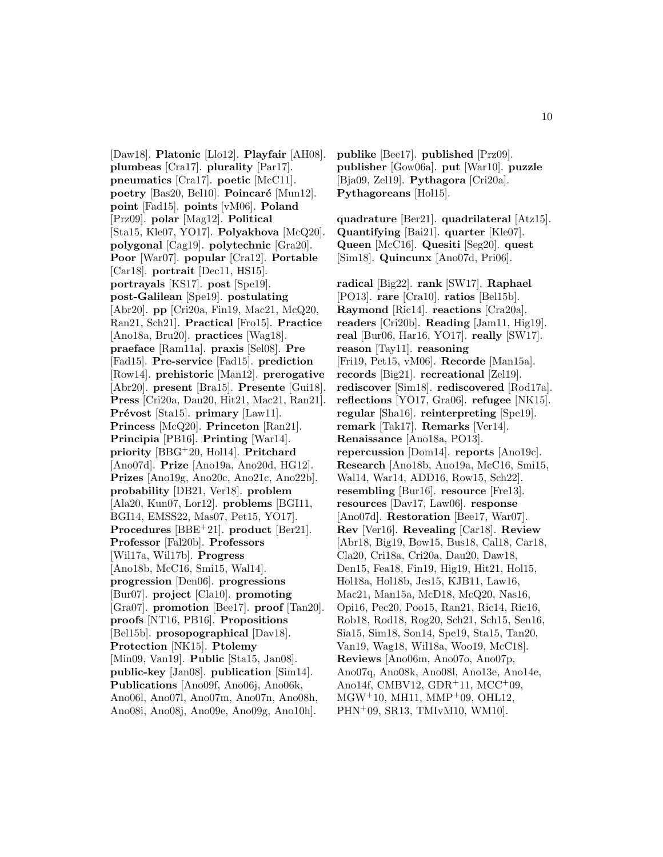[Daw18]. **Platonic** [Llo12]. **Playfair** [AH08]. **plumbeas** [Cra17]. **plurality** [Par17]. **pneumatics** [Cra17]. **poetic** [McC11]. **poetry** [Bas20, Bel10]. **Poincaré** [Mun12]. **point** [Fad15]. **points** [vM06]. **Poland** [Prz09]. **polar** [Mag12]. **Political** [Sta15, Kle07, YO17]. **Polyakhova** [McQ20]. **polygonal** [Cag19]. **polytechnic** [Gra20]. **Poor** [War07]. **popular** [Cra12]. **Portable** [Car18]. **portrait** [Dec11, HS15]. **portrayals** [KS17]. **post** [Spe19]. **post-Galilean** [Spe19]. **postulating** [Abr20]. **pp** [Cri20a, Fin19, Mac21, McQ20, Ran21, Sch21]. **Practical** [Fro15]. **Practice** [Ano18a, Bru20]. **practices** [Wag18]. **praeface** [Ram11a]. **praxis** [Sel08]. **Pre** [Fad15]. **Pre-service** [Fad15]. **prediction** [Row14]. **prehistoric** [Man12]. **prerogative** [Abr20]. **present** [Bra15]. **Presente** [Gui18]. **Press** [Cri20a, Dau20, Hit21, Mac21, Ran21]. **Prévost** [Sta15]. **primary** [Law11]. **Princess** [McQ20]. **Princeton** [Ran21]. **Principia** [PB16]. **Printing** [War14]. **priority** [BBG<sup>+</sup>20, Hol14]. **Pritchard** [Ano07d]. **Prize** [Ano19a, Ano20d, HG12]. **Prizes** [Ano19g, Ano20c, Ano21c, Ano22b]. **probability** [DB21, Ver18]. **problem** [Ala20, Kun07, Lor12]. **problems** [BGI11, BGI14, EMSS22, Mas07, Pet15, YO17]. **Procedures** [BBE<sup>+</sup>21]. **product** [Ber21]. **Professor** [Fal20b]. **Professors** [Wil17a, Wil17b]. **Progress** [Ano18b, McC16, Smi15, Wal14]. **progression** [Den06]. **progressions** [Bur07]. **project** [Cla10]. **promoting** [Gra07]. **promotion** [Bee17]. **proof** [Tan20]. **proofs** [NT16, PB16]. **Propositions** [Bel15b]. **prosopographical** [Dav18]. **Protection** [NK15]. **Ptolemy** [Min09, Van19]. **Public** [Sta15, Jan08]. **public-key** [Jan08]. **publication** [Sim14]. **Publications** [Ano09f, Ano06j, Ano06k, Ano06l, Ano07l, Ano07m, Ano07n, Ano08h, Ano08i, Ano08j, Ano09e, Ano09g, Ano10h].

**publike** [Bee17]. **published** [Prz09]. **publisher** [Gow06a]. **put** [War10]. **puzzle** [Bja09, Zel19]. **Pythagora** [Cri20a]. **Pythagoreans** [Hol15].

**quadrature** [Ber21]. **quadrilateral** [Atz15]. **Quantifying** [Bai21]. **quarter** [Kle07]. **Queen** [McC16]. **Quesiti** [Seg20]. **quest** [Sim18]. **Quincunx** [Ano07d, Pri06].

**radical** [Big22]. **rank** [SW17]. **Raphael** [PO13]. **rare** [Cra10]. **ratios** [Bel15b]. **Raymond** [Ric14]. **reactions** [Cra20a]. **readers** [Cri20b]. **Reading** [Jam11, Hig19]. **real** [Bur06, Har16, YO17]. **really** [SW17]. **reason** [Tay11]. **reasoning** [Fri19, Pet15, vM06]. **Recorde** [Man15a]. **records** [Big21]. **recreational** [Zel19]. **rediscover** [Sim18]. **rediscovered** [Rod17a]. **reflections** [YO17, Gra06]. **refugee** [NK15]. **regular** [Sha16]. **reinterpreting** [Spe19]. **remark** [Tak17]. **Remarks** [Ver14]. **Renaissance** [Ano18a, PO13]. **repercussion** [Dom14]. **reports** [Ano19c]. **Research** [Ano18b, Ano19a, McC16, Smi15, Wal14, War14, ADD16, Row15, Sch22]. **resembling** [Bur16]. **resource** [Fre13]. **resources** [Dav17, Law06]. **response** [Ano07d]. **Restoration** [Bee17, War07]. **Rev** [Ver16]. **Revealing** [Car18]. **Review** [Abr18, Big19, Bow15, Bus18, Cal18, Car18, Cla20, Cri18a, Cri20a, Dau20, Daw18, Den15, Fea18, Fin19, Hig19, Hit21, Hol15, Hol18a, Hol18b, Jes15, KJB11, Law16, Mac21, Man15a, McD18, McQ20, Nas16, Opi16, Pec20, Poo15, Ran21, Ric14, Ric16, Rob18, Rod18, Rog20, Sch21, Sch15, Sen16, Sia15, Sim18, Son14, Spe19, Sta15, Tan20, Van19, Wag18, Wil18a, Woo19, McC18]. **Reviews** [Ano06m, Ano07o, Ano07p, Ano07q, Ano08k, Ano08l, Ano13e, Ano14e, Ano14f, CMBV12, GDR<sup>+</sup>11, MCC<sup>+</sup>09,  $MGW^+10$ , MH11, MMP<sup>+</sup>09, OHL12, PHN<sup>+</sup>09, SR13, TMIvM10, WM10].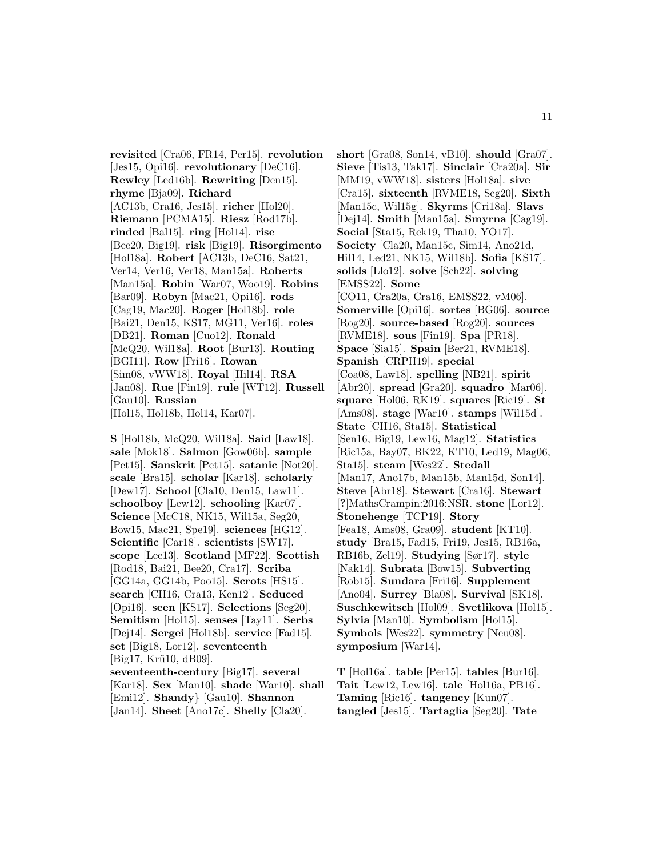**revisited** [Cra06, FR14, Per15]. **revolution** [Jes15, Opi16]. **revolutionary** [DeC16]. **Rewley** [Led16b]. **Rewriting** [Den15]. **rhyme** [Bja09]. **Richard** [AC13b, Cra16, Jes15]. **richer** [Hol20]. **Riemann** [PCMA15]. **Riesz** [Rod17b]. **rinded** [Bal15]. **ring** [Hol14]. **rise** [Bee20, Big19]. **risk** [Big19]. **Risorgimento** [Hol18a]. **Robert** [AC13b, DeC16, Sat21, Ver14, Ver16, Ver18, Man15a]. **Roberts** [Man15a]. **Robin** [War07, Woo19]. **Robins** [Bar09]. **Robyn** [Mac21, Opi16]. **rods** [Cag19, Mac20]. **Roger** [Hol18b]. **role** [Bai21, Den15, KS17, MG11, Ver16]. **roles** [DB21]. **Roman** [Cuo12]. **Ronald** [McQ20, Wil18a]. **Root** [Bur13]. **Routing** [BGI11]. **Row** [Fri16]. **Rowan** [Sim08, vWW18]. **Royal** [Hil14]. **RSA** [Jan08]. **Rue** [Fin19]. **rule** [WT12]. **Russell** [Gau10]. **Russian** [Hol15, Hol18b, Hol14, Kar07].

**S** [Hol18b, McQ20, Wil18a]. **Said** [Law18]. **sale** [Mok18]. **Salmon** [Gow06b]. **sample** [Pet15]. **Sanskrit** [Pet15]. **satanic** [Not20]. **scale** [Bra15]. **scholar** [Kar18]. **scholarly** [Dew17]. **School** [Cla10, Den15, Law11]. **schoolboy** [Lew12]. **schooling** [Kar07]. **Science** [McC18, NK15, Wil15a, Seg20, Bow15, Mac21, Spe19]. **sciences** [HG12]. **Scientific** [Car18]. **scientists** [SW17]. **scope** [Lee13]. **Scotland** [MF22]. **Scottish** [Rod18, Bai21, Bee20, Cra17]. **Scriba** [GG14a, GG14b, Poo15]. **Scrots** [HS15]. **search** [CH16, Cra13, Ken12]. **Seduced** [Opi16]. **seen** [KS17]. **Selections** [Seg20]. **Semitism** [Hol15]. **senses** [Tay11]. **Serbs** [Dej14]. **Sergei** [Hol18b]. **service** [Fad15]. **set** [Big18, Lor12]. **seventeenth**  $[Big17, Kr\ddot{u}10, dB09].$ **seventeenth-century** [Big17]. **several** [Kar18]. **Sex** [Man10]. **shade** [War10]. **shall** [Emi12]. **Shandy**} [Gau10]. **Shannon** [Jan14]. **Sheet** [Ano17c]. **Shelly** [Cla20].

**short** [Gra08, Son14, vB10]. **should** [Gra07]. **Sieve** [Tis13, Tak17]. **Sinclair** [Cra20a]. **Sir** [MM19, vWW18]. **sisters** [Hol18a]. **sive** [Cra15]. **sixteenth** [RVME18, Seg20]. **Sixth** [Man15c, Wil15g]. **Skyrms** [Cri18a]. **Slavs** [Dej14]. **Smith** [Man15a]. **Smyrna** [Cag19]. **Social** [Sta15, Rek19, Tha10, YO17]. **Society** [Cla20, Man15c, Sim14, Ano21d, Hil14, Led21, NK15, Wil18b]. **Sofia** [KS17]. **solids** [Llo12]. **solve** [Sch22]. **solving** [EMSS22]. **Some** [CO11, Cra20a, Cra16, EMSS22, vM06]. **Somerville** [Opi16]. **sortes** [BG06]. **source** [Rog20]. **source-based** [Rog20]. **sources** [RVME18]. **sous** [Fin19]. **Spa** [PR18]. **Space** [Sia15]. **Spain** [Ber21, RVME18]. **Spanish** [CRPH19]. **special** [Coa08, Law18]. **spelling** [NB21]. **spirit** [Abr20]. **spread** [Gra20]. **squadro** [Mar06]. **square** [Hol06, RK19]. **squares** [Ric19]. **St** [Ams08]. **stage** [War10]. **stamps** [Wil15d]. **State** [CH16, Sta15]. **Statistical** [Sen16, Big19, Lew16, Mag12]. **Statistics** [Ric15a, Bay07, BK22, KT10, Led19, Mag06, Sta15]. **steam** [Wes22]. **Stedall** [Man17, Ano17b, Man15b, Man15d, Son14]. **Steve** [Abr18]. **Stewart** [Cra16]. **Stewart** [**?**]MathsCrampin:2016:NSR. **stone** [Lor12]. **Stonehenge** [TCP19]. **Story** [Fea18, Ams08, Gra09]. **student** [KT10]. **study** [Bra15, Fad15, Fri19, Jes15, RB16a, RB16b, Zel19]. **Studying** [Sør17]. **style** [Nak14]. **Subrata** [Bow15]. **Subverting** [Rob15]. **Sundara** [Fri16]. **Supplement** [Ano04]. **Surrey** [Bla08]. **Survival** [SK18]. **Suschkewitsch** [Hol09]. **Svetlikova** [Hol15]. **Sylvia** [Man10]. **Symbolism** [Hol15]. **Symbols** [Wes22]. **symmetry** [Neu08]. **symposium** [War14].

**T** [Hol16a]. **table** [Per15]. **tables** [Bur16]. **Tait** [Lew12, Lew16]. **tale** [Hol16a, PB16]. **Taming** [Ric16]. **tangency** [Kun07]. **tangled** [Jes15]. **Tartaglia** [Seg20]. **Tate**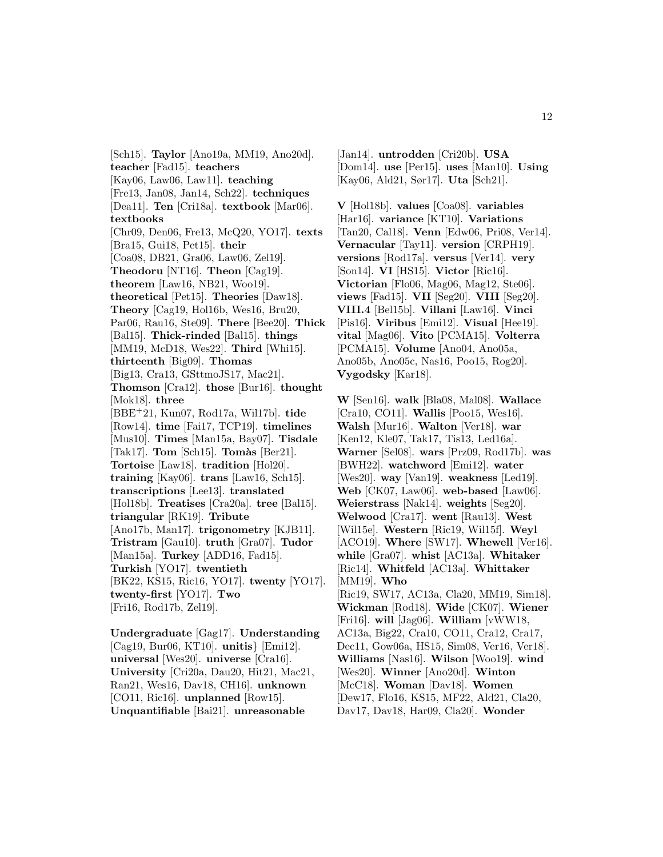[Sch15]. **Taylor** [Ano19a, MM19, Ano20d]. **teacher** [Fad15]. **teachers** [Kay06, Law06, Law11]. **teaching** [Fre13, Jan08, Jan14, Sch22]. **techniques** [Dea11]. **Ten** [Cri18a]. **textbook** [Mar06]. **textbooks** [Chr09, Den06, Fre13, McQ20, YO17]. **texts** [Bra15, Gui18, Pet15]. **their** [Coa08, DB21, Gra06, Law06, Zel19]. **Theodoru** [NT16]. **Theon** [Cag19]. **theorem** [Law16, NB21, Woo19]. **theoretical** [Pet15]. **Theories** [Daw18]. **Theory** [Cag19, Hol16b, Wes16, Bru20, Par06, Rau16, Ste09]. **There** [Bee20]. **Thick** [Bal15]. **Thick-rinded** [Bal15]. **things** [MM19, McD18, Wes22]. **Third** [Whi15]. **thirteenth** [Big09]. **Thomas** [Big13, Cra13, GSttmoJS17, Mac21]. **Thomson** [Cra12]. **those** [Bur16]. **thought** [Mok18]. **three** [BBE<sup>+</sup>21, Kun07, Rod17a, Wil17b]. **tide** [Row14]. **time** [Fai17, TCP19]. **timelines** [Mus10]. **Times** [Man15a, Bay07]. **Tisdale** [Tak17]. **Tom** [Sch15]. **Tomàs** [Ber21]. **Tortoise** [Law18]. **tradition** [Hol20]. **training** [Kay06]. **trans** [Law16, Sch15]. **transcriptions** [Lee13]. **translated** [Hol18b]. **Treatises** [Cra20a]. **tree** [Bal15]. **triangular** [RK19]. **Tribute** [Ano17b, Man17]. **trigonometry** [KJB11]. **Tristram** [Gau10]. **truth** [Gra07]. **Tudor** [Man15a]. **Turkey** [ADD16, Fad15]. **Turkish** [YO17]. **twentieth** [BK22, KS15, Ric16, YO17]. **twenty** [YO17]. **twenty-first** [YO17]. **Two** [Fri16, Rod17b, Zel19]. **Undergraduate** [Gag17]. **Understanding**

[Cag19, Bur06, KT10]. **unitis**} [Emi12]. **universal** [Wes20]. **universe** [Cra16]. **University** [Cri20a, Dau20, Hit21, Mac21, Ran21, Wes16, Dav18, CH16]. **unknown** [CO11, Ric16]. **unplanned** [Row15]. **Unquantifiable** [Bai21]. **unreasonable**

[Jan14]. **untrodden** [Cri20b]. **USA** [Dom14]. **use** [Per15]. **uses** [Man10]. **Using** [Kay06, Ald21, Sør17]. **Uta** [Sch21].

**V** [Hol18b]. **values** [Coa08]. **variables** [Har16]. **variance** [KT10]. **Variations** [Tan20, Cal18]. **Venn** [Edw06, Pri08, Ver14]. **Vernacular** [Tay11]. **version** [CRPH19]. **versions** [Rod17a]. **versus** [Ver14]. **very** [Son14]. **VI** [HS15]. **Victor** [Ric16]. **Victorian** [Flo06, Mag06, Mag12, Ste06]. **views** [Fad15]. **VII** [Seg20]. **VIII** [Seg20]. **VIII.4** [Bel15b]. **Villani** [Law16]. **Vinci** [Pis16]. **Viribus** [Emi12]. **Visual** [Hee19]. **vital** [Mag06]. **Vito** [PCMA15]. **Volterra** [PCMA15]. **Volume** [Ano04, Ano05a, Ano05b, Ano05c, Nas16, Poo15, Rog20]. **Vygodsky** [Kar18].

**W** [Sen16]. **walk** [Bla08, Mal08]. **Wallace** [Cra10, CO11]. **Wallis** [Poo15, Wes16]. **Walsh** [Mur16]. **Walton** [Ver18]. **war** [Ken12, Kle07, Tak17, Tis13, Led16a]. **Warner** [Sel08]. **wars** [Prz09, Rod17b]. **was** [BWH22]. **watchword** [Emi12]. **water** [Wes20]. **way** [Van19]. **weakness** [Led19]. **Web** [CK07, Law06]. **web-based** [Law06]. **Weierstrass** [Nak14]. **weights** [Seg20]. **Welwood** [Cra17]. **went** [Rau13]. **West** [Wil15e]. **Western** [Ric19, Wil15f]. **Weyl** [ACO19]. **Where** [SW17]. **Whewell** [Ver16]. **while** [Gra07]. **whist** [AC13a]. **Whitaker** [Ric14]. **Whitfeld** [AC13a]. **Whittaker** [MM19]. **Who** [Ric19, SW17, AC13a, Cla20, MM19, Sim18]. **Wickman** [Rod18]. **Wide** [CK07]. **Wiener** [Fri16]. **will** [Jag06]. **William** [vWW18, AC13a, Big22, Cra10, CO11, Cra12, Cra17, Dec11, Gow06a, HS15, Sim08, Ver16, Ver18]. **Williams** [Nas16]. **Wilson** [Woo19]. **wind** [Wes20]. **Winner** [Ano20d]. **Winton** [McC18]. **Woman** [Dav18]. **Women** [Dew17, Flo16, KS15, MF22, Ald21, Cla20,

Dav17, Dav18, Har09, Cla20]. **Wonder**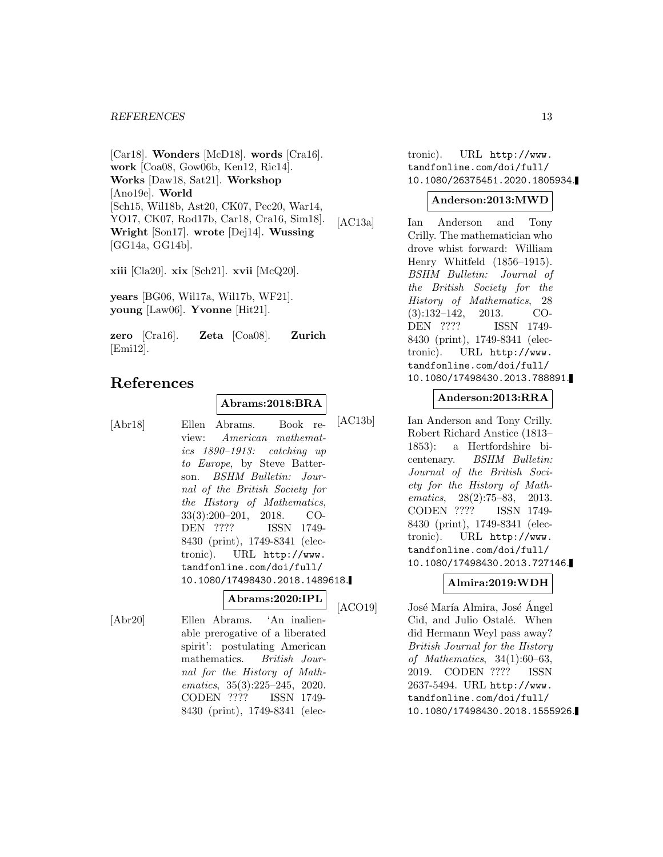[Car18]. **Wonders** [McD18]. **words** [Cra16]. **work** [Coa08, Gow06b, Ken12, Ric14]. **Works** [Daw18, Sat21]. **Workshop** [Ano19e]. **World** [Sch15, Wil18b, Ast20, CK07, Pec20, War14, YO17, CK07, Rod17b, Car18, Cra16, Sim18]. **Wright** [Son17]. **wrote** [Dej14]. **Wussing** [GG14a, GG14b].

**xiii** [Cla20]. **xix** [Sch21]. **xvii** [McQ20].

**years** [BG06, Wil17a, Wil17b, WF21]. **young** [Law06]. **Yvonne** [Hit21].

**zero** [Cra16]. **Zeta** [Coa08]. **Zurich** [Emi12].

# **References**

## **Abrams:2018:BRA**

[Abr18] Ellen Abrams. Book review: American mathematics 1890–1913: catching up to Europe, by Steve Batterson. BSHM Bulletin: Journal of the British Society for the History of Mathematics, 33(3):200–201, 2018. CO-DEN ???? ISSN 1749- 8430 (print), 1749-8341 (electronic). URL http://www. tandfonline.com/doi/full/ 10.1080/17498430.2018.1489618.

#### **Abrams:2020:IPL**

[Abr20] Ellen Abrams. 'An inalienable prerogative of a liberated spirit': postulating American mathematics. British Journal for the History of Mathematics, 35(3):225–245, 2020. CODEN ???? ISSN 1749- 8430 (print), 1749-8341 (elec-

tronic). URL http://www. tandfonline.com/doi/full/ 10.1080/26375451.2020.1805934.

#### **Anderson:2013:MWD**

[AC13a] Ian Anderson and Tony Crilly. The mathematician who drove whist forward: William Henry Whitfeld (1856–1915). BSHM Bulletin: Journal of the British Society for the History of Mathematics, 28 (3):132–142, 2013. CO-DEN ???? ISSN 1749- 8430 (print), 1749-8341 (electronic). URL http://www. tandfonline.com/doi/full/ 10.1080/17498430.2013.788891.

### **Anderson:2013:RRA**

[AC13b] Ian Anderson and Tony Crilly. Robert Richard Anstice (1813– 1853): a Hertfordshire bicentenary. BSHM Bulletin: Journal of the British Society for the History of Mathematics, 28(2):75–83, 2013. CODEN ???? ISSN 1749- 8430 (print), 1749-8341 (electronic). URL http://www. tandfonline.com/doi/full/ 10.1080/17498430.2013.727146.

## **Almira:2019:WDH**

[ACO19] José María Almira, José Ángel Cid, and Julio Ostalé. When did Hermann Weyl pass away? British Journal for the History of Mathematics, 34(1):60–63, 2019. CODEN ???? ISSN 2637-5494. URL http://www. tandfonline.com/doi/full/ 10.1080/17498430.2018.1555926.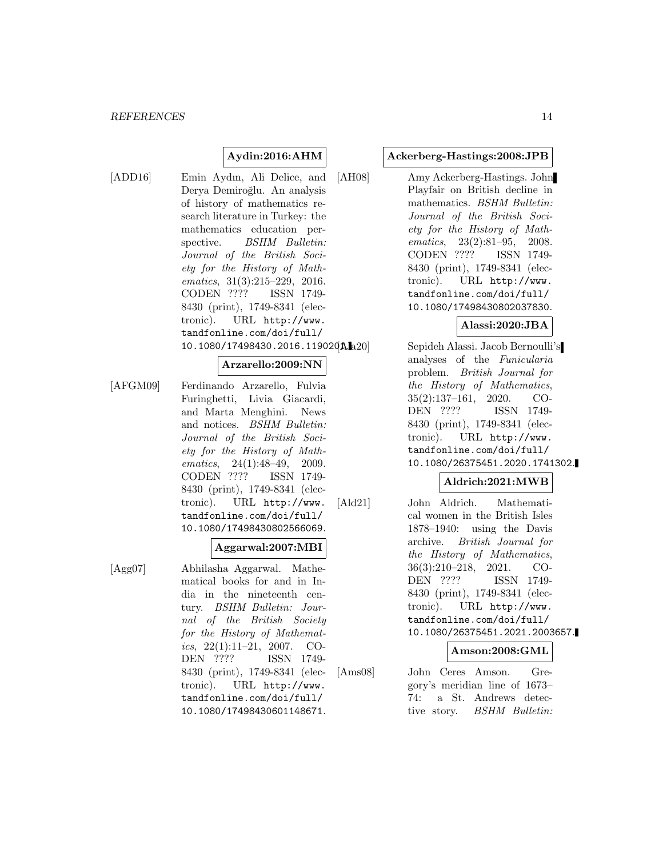# **Aydin:2016:AHM**

[ADD16] Emin Aydın, Ali Delice, and Derya Demiroğlu. An analysis of history of mathematics research literature in Turkey: the mathematics education perspective. BSHM Bulletin: Journal of the British Society for the History of Mathematics, 31(3):215–229, 2016. CODEN ???? ISSN 1749- 8430 (print), 1749-8341 (electronic). URL http://www. tandfonline.com/doi/full/ 10.1080/17498430.2016.119020A.a20

#### **Arzarello:2009:NN**

[AFGM09] Ferdinando Arzarello, Fulvia Furinghetti, Livia Giacardi, and Marta Menghini. News and notices. BSHM Bulletin: Journal of the British Society for the History of Mathematics, 24(1):48–49, 2009. CODEN ???? ISSN 1749- 8430 (print), 1749-8341 (electronic). URL http://www. tandfonline.com/doi/full/ 10.1080/17498430802566069.

### **Aggarwal:2007:MBI**

[Agg07] Abhilasha Aggarwal. Mathematical books for and in India in the nineteenth century. BSHM Bulletin: Journal of the British Society for the History of Mathematics,  $22(1):11-21$ ,  $2007$ . CO-DEN ???? ISSN 1749- 8430 (print), 1749-8341 (electronic). URL http://www. tandfonline.com/doi/full/ 10.1080/17498430601148671.

#### **Ackerberg-Hastings:2008:JPB**

[AH08] Amy Ackerberg-Hastings. John Playfair on British decline in mathematics. BSHM Bulletin: Journal of the British Society for the History of Mathematics, 23(2):81–95, 2008. CODEN ???? ISSN 1749- 8430 (print), 1749-8341 (electronic). URL http://www. tandfonline.com/doi/full/ 10.1080/17498430802037830.

### **Alassi:2020:JBA**

Sepideh Alassi. Jacob Bernoulli's analyses of the Funicularia problem. British Journal for the History of Mathematics, 35(2):137–161, 2020. CO-DEN ???? ISSN 1749- 8430 (print), 1749-8341 (electronic). URL http://www. tandfonline.com/doi/full/ 10.1080/26375451.2020.1741302.

## **Aldrich:2021:MWB**

[Ald21] John Aldrich. Mathematical women in the British Isles 1878–1940: using the Davis archive. British Journal for the History of Mathematics, 36(3):210–218, 2021. CO-DEN ???? ISSN 1749- 8430 (print), 1749-8341 (electronic). URL http://www. tandfonline.com/doi/full/ 10.1080/26375451.2021.2003657.

#### **Amson:2008:GML**

[Ams08] John Ceres Amson. Gregory's meridian line of 1673– 74: a St. Andrews detective story. BSHM Bulletin: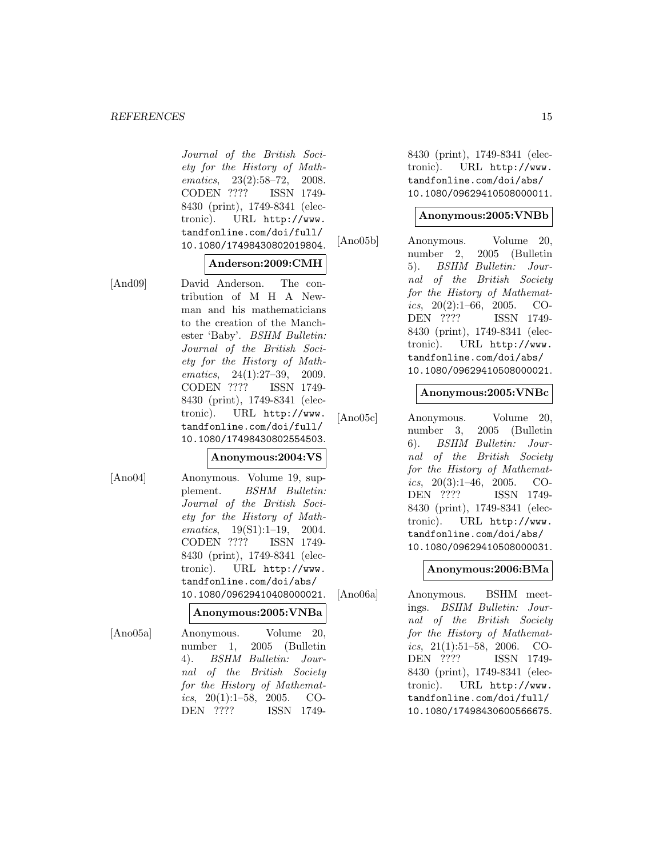Journal of the British Society for the History of Mathematics, 23(2):58–72, 2008. CODEN ???? ISSN 1749- 8430 (print), 1749-8341 (electronic). URL http://www. tandfonline.com/doi/full/ 10.1080/17498430802019804.

### **Anderson:2009:CMH**

[And09] David Anderson. The contribution of M H A Newman and his mathematicians to the creation of the Manchester 'Baby'. BSHM Bulletin: Journal of the British Society for the History of Mathematics, 24(1):27–39, 2009. CODEN ???? ISSN 1749- 8430 (print), 1749-8341 (electronic). URL http://www. tandfonline.com/doi/full/ 10.1080/17498430802554503.

#### **Anonymous:2004:VS**

[Ano04] Anonymous. Volume 19, supplement. BSHM Bulletin: Journal of the British Society for the History of Mathematics, 19(S1):1–19, 2004. CODEN ???? ISSN 1749- 8430 (print), 1749-8341 (electronic). URL http://www. tandfonline.com/doi/abs/ 10.1080/09629410408000021.

**Anonymous:2005:VNBa**

[Ano05a] Anonymous. Volume 20, number 1, 2005 (Bulletin 4). BSHM Bulletin: Journal of the British Society for the History of Mathematics,  $20(1):1-58$ ,  $2005$ . CO-DEN ???? ISSN 17498430 (print), 1749-8341 (electronic). URL http://www. tandfonline.com/doi/abs/ 10.1080/09629410508000011.

### **Anonymous:2005:VNBb**

[Ano05b] Anonymous. Volume 20, number 2, 2005 (Bulletin 5). BSHM Bulletin: Journal of the British Society for the History of Mathematics,  $20(2):1-66$ ,  $2005$ . CO-DEN ???? ISSN 1749- 8430 (print), 1749-8341 (electronic). URL http://www. tandfonline.com/doi/abs/ 10.1080/09629410508000021.

## **Anonymous:2005:VNBc**

[Ano05c] Anonymous. Volume 20, number 3, 2005 (Bulletin 6). BSHM Bulletin: Journal of the British Society for the History of Mathematics,  $20(3):1-46$ ,  $2005$ . CO-DEN ???? ISSN 1749- 8430 (print), 1749-8341 (electronic). URL http://www. tandfonline.com/doi/abs/ 10.1080/09629410508000031.

## **Anonymous:2006:BMa**

[Ano06a] Anonymous. BSHM meetings. BSHM Bulletin: Journal of the British Society for the History of Mathematics, 21(1):51–58, 2006. CO-DEN ???? ISSN 1749- 8430 (print), 1749-8341 (electronic). URL http://www. tandfonline.com/doi/full/ 10.1080/17498430600566675.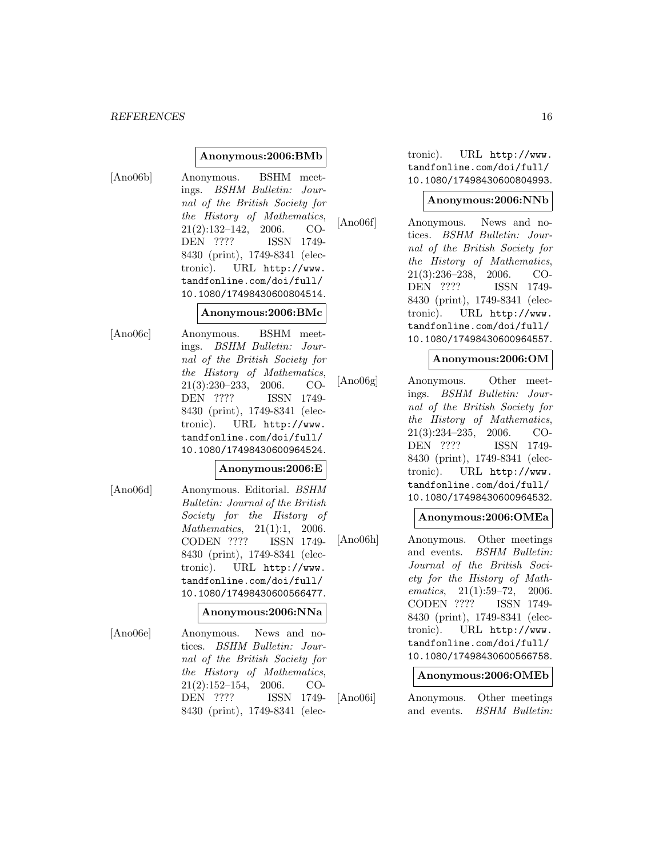### **Anonymous:2006:BMb**

[Ano06b] Anonymous. BSHM meetings. BSHM Bulletin: Journal of the British Society for the History of Mathematics, 21(2):132–142, 2006. CO-DEN ???? ISSN 1749- 8430 (print), 1749-8341 (electronic). URL http://www. tandfonline.com/doi/full/ 10.1080/17498430600804514.

#### **Anonymous:2006:BMc**

[Ano06c] Anonymous. BSHM meetings. BSHM Bulletin: Journal of the British Society for the History of Mathematics, 21(3):230–233, 2006. CO-DEN ???? ISSN 1749- 8430 (print), 1749-8341 (electronic). URL http://www. tandfonline.com/doi/full/ 10.1080/17498430600964524.

#### **Anonymous:2006:E**

[Ano06d] Anonymous. Editorial. BSHM Bulletin: Journal of the British Society for the History of Mathematics, 21(1):1, 2006. CODEN ???? ISSN 1749- 8430 (print), 1749-8341 (electronic). URL http://www. tandfonline.com/doi/full/ 10.1080/17498430600566477.

#### **Anonymous:2006:NNa**

[Ano06e] Anonymous. News and notices. BSHM Bulletin: Journal of the British Society for the History of Mathematics, 21(2):152–154, 2006. CO-DEN ???? ISSN 1749- 8430 (print), 1749-8341 (elec-

tronic). URL http://www. tandfonline.com/doi/full/ 10.1080/17498430600804993.

#### **Anonymous:2006:NNb**

[Ano06f] Anonymous. News and notices. BSHM Bulletin: Journal of the British Society for the History of Mathematics, 21(3):236–238, 2006. CO-DEN ???? ISSN 1749- 8430 (print), 1749-8341 (electronic). URL http://www. tandfonline.com/doi/full/ 10.1080/17498430600964557.

### **Anonymous:2006:OM**

[Ano06g] Anonymous. Other meetings. BSHM Bulletin: Journal of the British Society for the History of Mathematics, 21(3):234–235, 2006. CO-DEN ???? ISSN 1749- 8430 (print), 1749-8341 (electronic). URL http://www. tandfonline.com/doi/full/ 10.1080/17498430600964532.

### **Anonymous:2006:OMEa**

[Ano06h] Anonymous. Other meetings and events. BSHM Bulletin: Journal of the British Society for the History of Mathematics, 21(1):59–72, 2006. CODEN ???? ISSN 1749- 8430 (print), 1749-8341 (electronic). URL http://www. tandfonline.com/doi/full/ 10.1080/17498430600566758.

#### **Anonymous:2006:OMEb**

[Ano06i] Anonymous. Other meetings and events. BSHM Bulletin: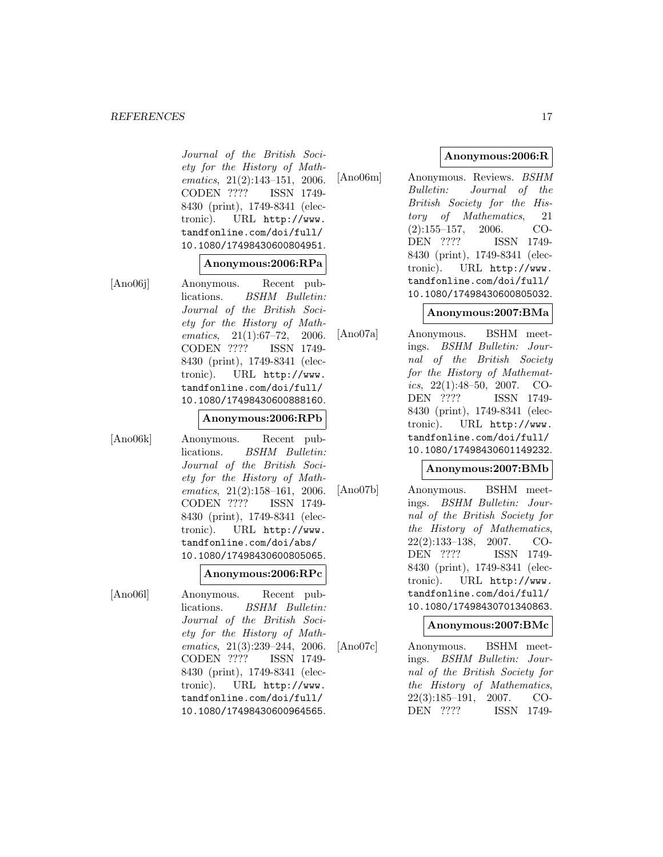Journal of the British Society for the History of Mathematics, 21(2):143–151, 2006. CODEN ???? ISSN 1749- 8430 (print), 1749-8341 (electronic). URL http://www. tandfonline.com/doi/full/ 10.1080/17498430600804951.

#### **Anonymous:2006:RPa**

[Ano06j] Anonymous. Recent publications. BSHM Bulletin: Journal of the British Society for the History of Mathematics, 21(1):67–72, 2006. CODEN ???? ISSN 1749- 8430 (print), 1749-8341 (electronic). URL http://www. tandfonline.com/doi/full/ 10.1080/17498430600888160.

#### **Anonymous:2006:RPb**

[Ano06k] Anonymous. Recent publications. BSHM Bulletin: Journal of the British Society for the History of Mathematics, 21(2):158–161, 2006. CODEN ???? ISSN 1749- 8430 (print), 1749-8341 (electronic). URL http://www. tandfonline.com/doi/abs/ 10.1080/17498430600805065.

### **Anonymous:2006:RPc**

[Ano06l] Anonymous. Recent publications. BSHM Bulletin: Journal of the British Society for the History of Mathematics, 21(3):239–244, 2006. CODEN ???? ISSN 1749- 8430 (print), 1749-8341 (electronic). URL http://www. tandfonline.com/doi/full/ 10.1080/17498430600964565.

### **Anonymous:2006:R**

[Ano06m] Anonymous. Reviews. BSHM Bulletin: Journal of the British Society for the History of Mathematics, 21 (2):155–157, 2006. CO-DEN ???? ISSN 1749- 8430 (print), 1749-8341 (electronic). URL http://www. tandfonline.com/doi/full/ 10.1080/17498430600805032.

### **Anonymous:2007:BMa**

[Ano07a] Anonymous. BSHM meetings. BSHM Bulletin: Journal of the British Society for the History of Mathematics, 22(1):48–50, 2007. CO-<br>DEN ???? ISSN 1749-ISSN 1749-8430 (print), 1749-8341 (electronic). URL http://www. tandfonline.com/doi/full/ 10.1080/17498430601149232.

### **Anonymous:2007:BMb**

[Ano07b] Anonymous. BSHM meetings. BSHM Bulletin: Journal of the British Society for the History of Mathematics, 22(2):133–138, 2007. CO-DEN ???? ISSN 1749- 8430 (print), 1749-8341 (electronic). URL http://www. tandfonline.com/doi/full/ 10.1080/17498430701340863.

### **Anonymous:2007:BMc**

[Ano07c] Anonymous. BSHM meetings. BSHM Bulletin: Journal of the British Society for the History of Mathematics, 22(3):185–191, 2007. CO-DEN ???? ISSN 1749-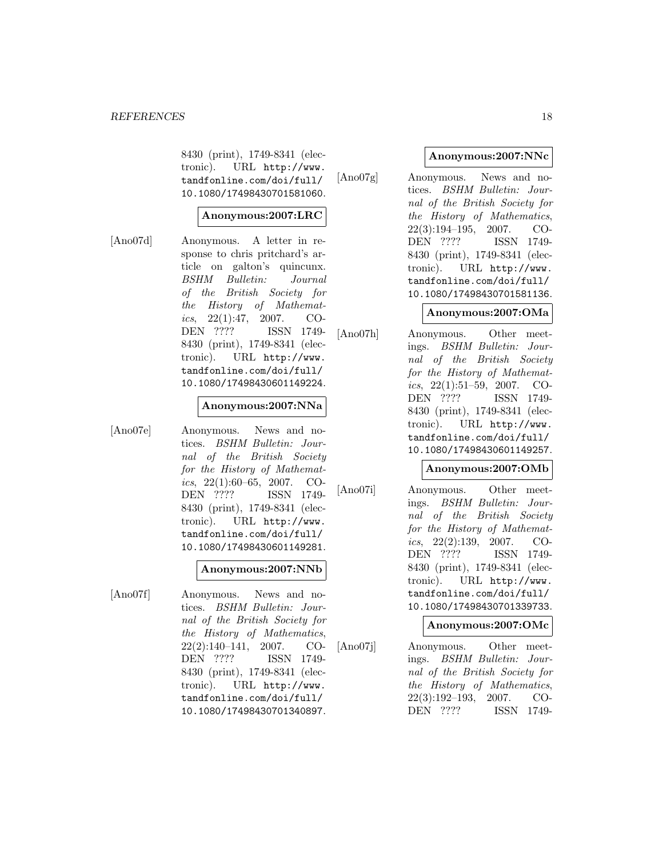8430 (print), 1749-8341 (electronic). URL http://www. tandfonline.com/doi/full/ 10.1080/17498430701581060.

### **Anonymous:2007:LRC**

[Ano07d] Anonymous. A letter in response to chris pritchard's article on galton's quincunx. BSHM Bulletin: Journal of the British Society for the History of Mathematics,  $22(1):47$ ,  $2007$ . CO-DEN ???? ISSN 1749- 8430 (print), 1749-8341 (electronic). URL http://www. tandfonline.com/doi/full/ 10.1080/17498430601149224.

### **Anonymous:2007:NNa**

[Ano07e] Anonymous. News and notices. BSHM Bulletin: Journal of the British Society for the History of Mathematics,  $22(1):60-65$ ,  $2007$ . CO-DEN ???? ISSN 1749- 8430 (print), 1749-8341 (electronic). URL http://www. tandfonline.com/doi/full/ 10.1080/17498430601149281.

# **Anonymous:2007:NNb**

[Ano07f] Anonymous. News and notices. BSHM Bulletin: Journal of the British Society for the History of Mathematics, 22(2):140–141, 2007. CO-DEN ???? ISSN 1749- 8430 (print), 1749-8341 (electronic). URL http://www. tandfonline.com/doi/full/ 10.1080/17498430701340897.

### **Anonymous:2007:NNc**

[Ano07g] Anonymous. News and notices. BSHM Bulletin: Journal of the British Society for the History of Mathematics, 22(3):194–195, 2007. CO-DEN ???? ISSN 1749- 8430 (print), 1749-8341 (electronic). URL http://www. tandfonline.com/doi/full/ 10.1080/17498430701581136.

## **Anonymous:2007:OMa**

[Ano07h] Anonymous. Other meetings. BSHM Bulletin: Journal of the British Society for the History of Mathematics,  $22(1):51-59$ ,  $2007$ . CO-DEN ???? ISSN 1749- 8430 (print), 1749-8341 (electronic). URL http://www. tandfonline.com/doi/full/ 10.1080/17498430601149257.

### **Anonymous:2007:OMb**

[Ano07i] Anonymous. Other meetings. BSHM Bulletin: Journal of the British Society for the History of Mathematics,  $22(2):139$ ,  $2007$ . CO-DEN ???? ISSN 1749- 8430 (print), 1749-8341 (electronic). URL http://www. tandfonline.com/doi/full/ 10.1080/17498430701339733.

## **Anonymous:2007:OMc**

[Ano07j] Anonymous. Other meetings. BSHM Bulletin: Journal of the British Society for the History of Mathematics, 22(3):192–193, 2007. CO-DEN ???? ISSN 1749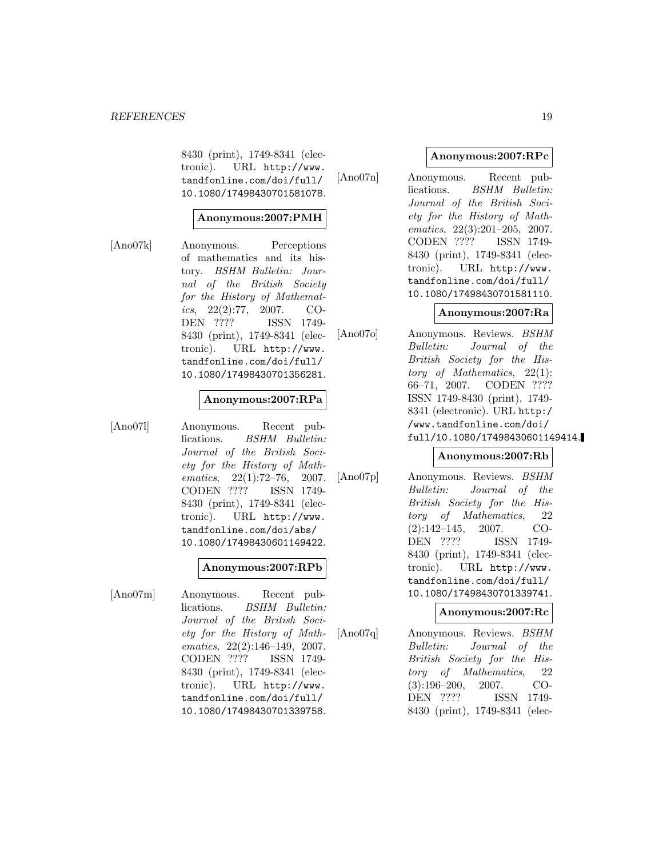8430 (print), 1749-8341 (electronic). URL http://www. tandfonline.com/doi/full/ 10.1080/17498430701581078.

## **Anonymous:2007:PMH**

[Ano07k] Anonymous. Perceptions of mathematics and its history. BSHM Bulletin: Journal of the British Society for the History of Mathematics, 22(2):77, 2007. CO-DEN ???? ISSN 1749- 8430 (print), 1749-8341 (electronic). URL http://www. tandfonline.com/doi/full/ 10.1080/17498430701356281.

### **Anonymous:2007:RPa**

[Ano07l] Anonymous. Recent publications. BSHM Bulletin: Journal of the British Society for the History of Mathematics, 22(1):72–76, 2007. CODEN ???? ISSN 1749- 8430 (print), 1749-8341 (electronic). URL http://www. tandfonline.com/doi/abs/ 10.1080/17498430601149422.

### **Anonymous:2007:RPb**

[Ano07m] Anonymous. Recent publications. BSHM Bulletin: Journal of the British Society for the History of Mathematics, 22(2):146–149, 2007. CODEN ???? ISSN 1749- 8430 (print), 1749-8341 (electronic). URL http://www. tandfonline.com/doi/full/ 10.1080/17498430701339758.

### **Anonymous:2007:RPc**

[Ano07n] Anonymous. Recent publications. BSHM Bulletin: Journal of the British Society for the History of Mathematics, 22(3):201–205, 2007. CODEN ???? ISSN 1749- 8430 (print), 1749-8341 (electronic). URL http://www. tandfonline.com/doi/full/ 10.1080/17498430701581110.

## **Anonymous:2007:Ra**

[Ano07o] Anonymous. Reviews. BSHM Bulletin: Journal of the British Society for the History of Mathematics, 22(1): 66–71, 2007. CODEN ???? ISSN 1749-8430 (print), 1749- 8341 (electronic). URL http:/ /www.tandfonline.com/doi/ full/10.1080/17498430601149414.

### **Anonymous:2007:Rb**

[Ano07p] Anonymous. Reviews. BSHM Bulletin: Journal of the British Society for the History of Mathematics, 22 (2):142–145, 2007. CO-DEN ???? ISSN 1749- 8430 (print), 1749-8341 (electronic). URL http://www. tandfonline.com/doi/full/ 10.1080/17498430701339741.

### **Anonymous:2007:Rc**

[Ano07q] Anonymous. Reviews. BSHM Bulletin: Journal of the British Society for the History of Mathematics, 22 (3):196–200, 2007. CO-DEN ???? ISSN 1749- 8430 (print), 1749-8341 (elec-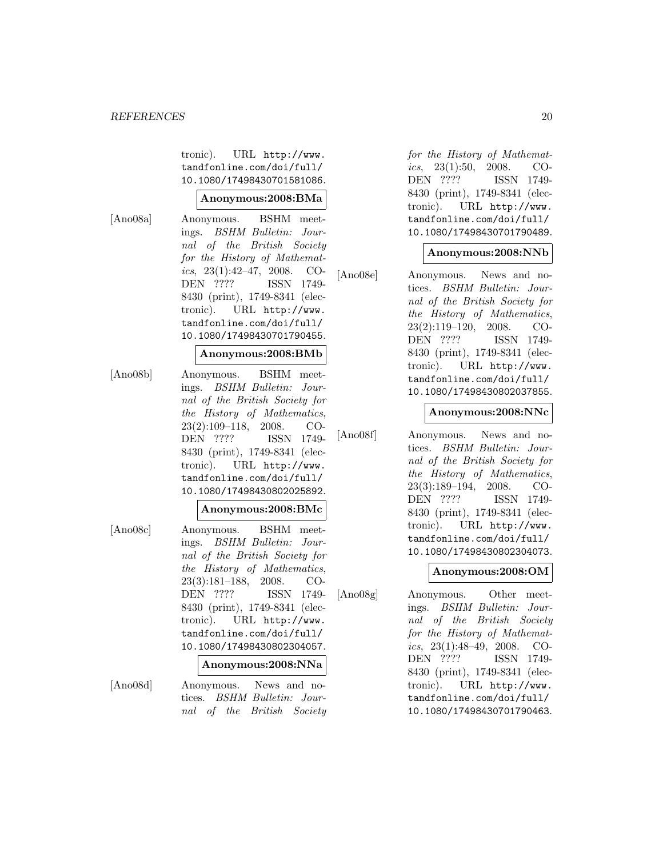tronic). URL http://www. tandfonline.com/doi/full/ 10.1080/17498430701581086.

#### **Anonymous:2008:BMa**

[Ano08a] Anonymous. BSHM meetings. BSHM Bulletin: Journal of the British Society for the History of Mathematics,  $23(1):42-47$ ,  $2008$ . CO-DEN ???? ISSN 1749- 8430 (print), 1749-8341 (electronic). URL http://www. tandfonline.com/doi/full/ 10.1080/17498430701790455.

#### **Anonymous:2008:BMb**

[Ano08b] Anonymous. BSHM meetings. BSHM Bulletin: Journal of the British Society for the History of Mathematics, 23(2):109–118, 2008. CO-DEN ???? ISSN 1749- 8430 (print), 1749-8341 (electronic). URL http://www. tandfonline.com/doi/full/ 10.1080/17498430802025892.

#### **Anonymous:2008:BMc**

[Ano08c] Anonymous. BSHM meetings. BSHM Bulletin: Journal of the British Society for the History of Mathematics, 23(3):181–188, 2008. CO-DEN ???? ISSN 1749- 8430 (print), 1749-8341 (electronic). URL http://www. tandfonline.com/doi/full/ 10.1080/17498430802304057.

#### **Anonymous:2008:NNa**

[Ano08d] Anonymous. News and notices. BSHM Bulletin: Journal of the British Society for the History of Mathematics,  $23(1):50$ ,  $2008$ . CO-DEN ???? ISSN 1749- 8430 (print), 1749-8341 (electronic). URL http://www. tandfonline.com/doi/full/ 10.1080/17498430701790489.

## **Anonymous:2008:NNb**

[Ano08e] Anonymous. News and notices. BSHM Bulletin: Journal of the British Society for the History of Mathematics, 23(2):119–120, 2008. CO-DEN ???? ISSN 1749- 8430 (print), 1749-8341 (electronic). URL http://www. tandfonline.com/doi/full/ 10.1080/17498430802037855.

### **Anonymous:2008:NNc**

[Ano08f] Anonymous. News and notices. BSHM Bulletin: Journal of the British Society for the History of Mathematics, 23(3):189–194, 2008. CO-DEN ???? ISSN 1749- 8430 (print), 1749-8341 (electronic). URL http://www. tandfonline.com/doi/full/ 10.1080/17498430802304073.

## **Anonymous:2008:OM**

[Ano08g] Anonymous. Other meetings. BSHM Bulletin: Journal of the British Society for the History of Mathematics,  $23(1):48-49$ ,  $2008$ . CO-DEN ???? ISSN 1749- 8430 (print), 1749-8341 (electronic). URL http://www. tandfonline.com/doi/full/ 10.1080/17498430701790463.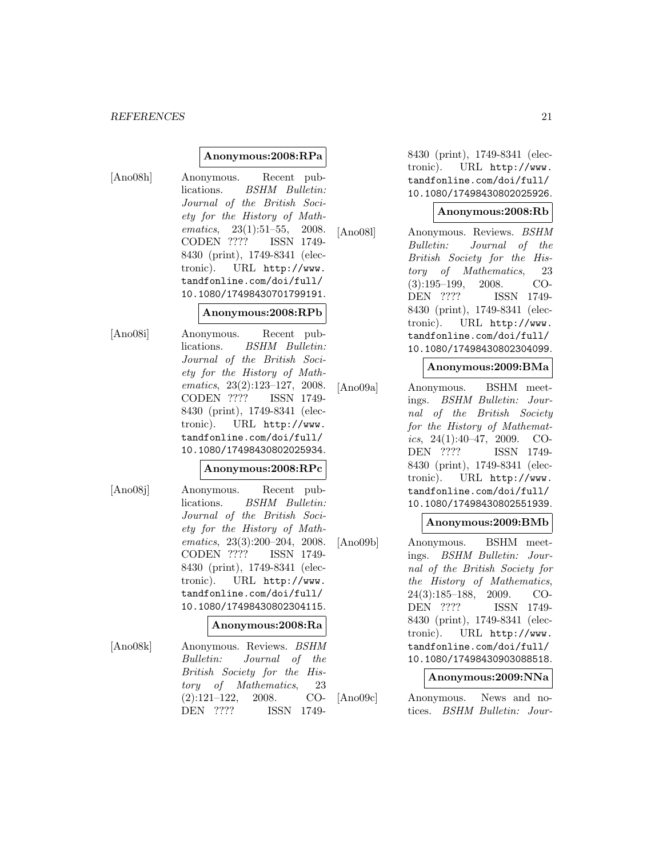### **Anonymous:2008:RPa**

[Ano08h] Anonymous. Recent publications. BSHM Bulletin: Journal of the British Society for the History of Mathematics, 23(1):51–55, 2008. CODEN ???? ISSN 1749- 8430 (print), 1749-8341 (electronic). URL http://www. tandfonline.com/doi/full/ 10.1080/17498430701799191.

#### **Anonymous:2008:RPb**

[Ano08i] Anonymous. Recent publications. BSHM Bulletin: Journal of the British Society for the History of Mathematics, 23(2):123–127, 2008. CODEN ???? ISSN 1749- 8430 (print), 1749-8341 (electronic). URL http://www. tandfonline.com/doi/full/ 10.1080/17498430802025934.

### **Anonymous:2008:RPc**

[Ano08j] Anonymous. Recent publications. BSHM Bulletin: Journal of the British Society for the History of Mathematics, 23(3):200–204, 2008. CODEN ???? ISSN 1749- 8430 (print), 1749-8341 (electronic). URL http://www. tandfonline.com/doi/full/ 10.1080/17498430802304115.

### **Anonymous:2008:Ra**

[Ano08k] Anonymous. Reviews. BSHM Bulletin: Journal of the British Society for the History of Mathematics, 23 (2):121–122, 2008. CO-DEN ???? ISSN 17498430 (print), 1749-8341 (electronic). URL http://www. tandfonline.com/doi/full/ 10.1080/17498430802025926.

#### **Anonymous:2008:Rb**

[Ano08l] Anonymous. Reviews. BSHM Bulletin: Journal of the British Society for the History of Mathematics, 23 (3):195–199, 2008. CO-DEN ???? ISSN 1749- 8430 (print), 1749-8341 (electronic). URL http://www. tandfonline.com/doi/full/ 10.1080/17498430802304099.

#### **Anonymous:2009:BMa**

[Ano09a] Anonymous. BSHM meetings. BSHM Bulletin: Journal of the British Society for the History of Mathematics,  $24(1):40-47$ ,  $2009$ . CO-DEN ???? ISSN 1749- 8430 (print), 1749-8341 (electronic). URL http://www. tandfonline.com/doi/full/ 10.1080/17498430802551939.

### **Anonymous:2009:BMb**

[Ano09b] Anonymous. BSHM meetings. BSHM Bulletin: Journal of the British Society for the History of Mathematics, 24(3):185–188, 2009. CO-DEN ???? ISSN 1749- 8430 (print), 1749-8341 (electronic). URL http://www. tandfonline.com/doi/full/ 10.1080/17498430903088518.

### **Anonymous:2009:NNa**

[Ano09c] Anonymous. News and notices. BSHM Bulletin: Jour-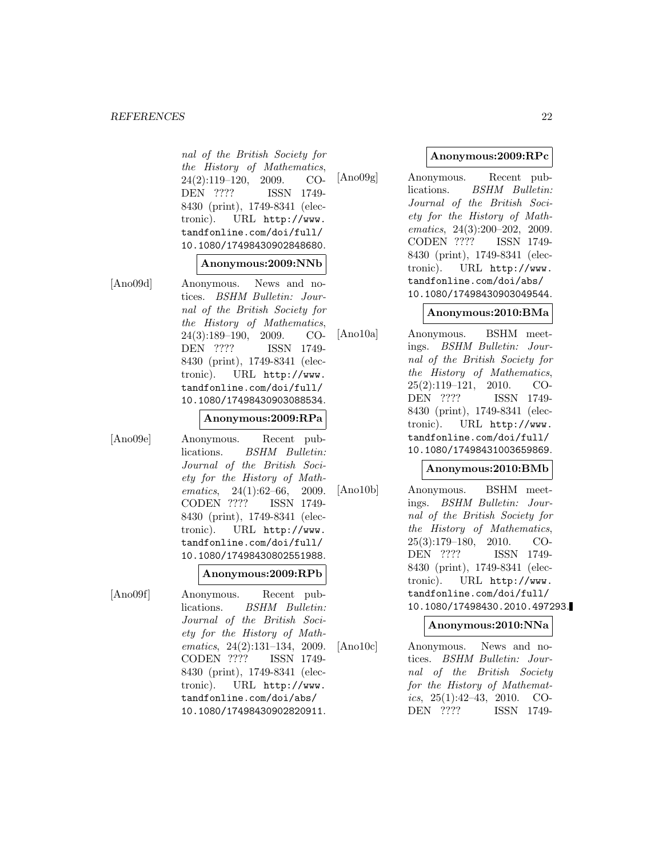nal of the British Society for the History of Mathematics, 24(2):119–120, 2009. CO-DEN ???? ISSN 1749- 8430 (print), 1749-8341 (electronic). URL http://www. tandfonline.com/doi/full/ 10.1080/17498430902848680.

#### **Anonymous:2009:NNb**

[Ano09d] Anonymous. News and notices. BSHM Bulletin: Journal of the British Society for the History of Mathematics, 24(3):189–190, 2009. CO-DEN ???? ISSN 1749- 8430 (print), 1749-8341 (electronic). URL http://www. tandfonline.com/doi/full/ 10.1080/17498430903088534.

#### **Anonymous:2009:RPa**

[Ano09e] Anonymous. Recent publications. BSHM Bulletin: Journal of the British Society for the History of Mathematics, 24(1):62–66, 2009. CODEN ???? ISSN 1749- 8430 (print), 1749-8341 (electronic). URL http://www. tandfonline.com/doi/full/ 10.1080/17498430802551988.

#### **Anonymous:2009:RPb**

[Ano09f] Anonymous. Recent publications. BSHM Bulletin: Journal of the British Society for the History of Mathematics, 24(2):131–134, 2009. CODEN ???? ISSN 1749- 8430 (print), 1749-8341 (electronic). URL http://www. tandfonline.com/doi/abs/ 10.1080/17498430902820911.

### **Anonymous:2009:RPc**

[Ano09g] Anonymous. Recent publications. BSHM Bulletin: Journal of the British Society for the History of Mathematics, 24(3):200–202, 2009. CODEN ???? ISSN 1749- 8430 (print), 1749-8341 (electronic). URL http://www. tandfonline.com/doi/abs/ 10.1080/17498430903049544.

### **Anonymous:2010:BMa**

[Ano10a] Anonymous. BSHM meetings. BSHM Bulletin: Journal of the British Society for the History of Mathematics, 25(2):119–121, 2010. CO-DEN ???? ISSN 1749- 8430 (print), 1749-8341 (electronic). URL http://www. tandfonline.com/doi/full/ 10.1080/17498431003659869.

### **Anonymous:2010:BMb**

[Ano10b] Anonymous. BSHM meetings. BSHM Bulletin: Journal of the British Society for the History of Mathematics, 25(3):179–180, 2010. CO-DEN ???? ISSN 1749- 8430 (print), 1749-8341 (electronic). URL http://www. tandfonline.com/doi/full/ 10.1080/17498430.2010.497293.

### **Anonymous:2010:NNa**

[Ano10c] Anonymous. News and notices. BSHM Bulletin: Journal of the British Society for the History of Mathematics,  $25(1):42-43$ ,  $2010$ . CO-DEN ???? ISSN 1749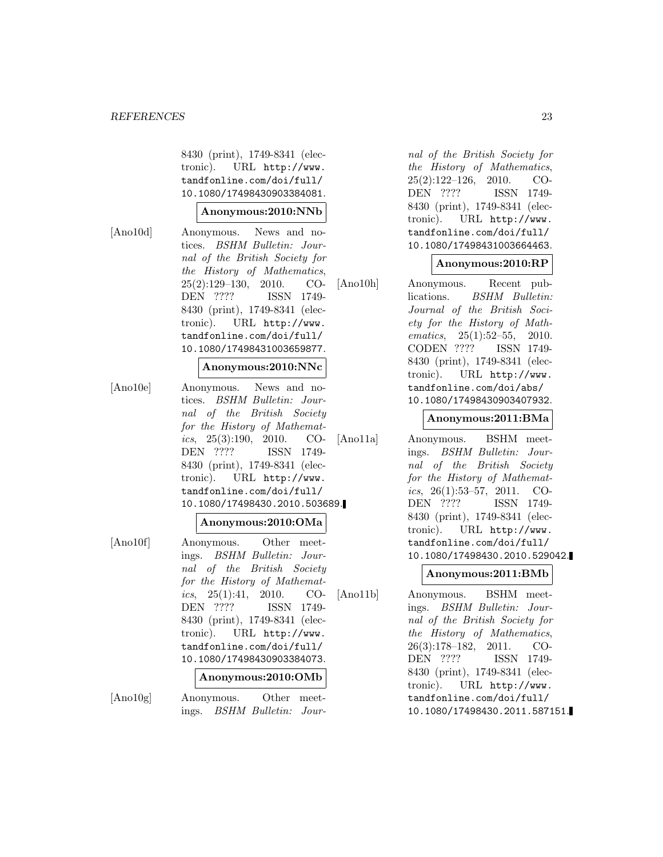8430 (print), 1749-8341 (electronic). URL http://www. tandfonline.com/doi/full/ 10.1080/17498430903384081.

### **Anonymous:2010:NNb**

[Ano10d] Anonymous. News and notices. BSHM Bulletin: Journal of the British Society for the History of Mathematics, 25(2):129–130, 2010. CO-DEN ???? ISSN 1749- 8430 (print), 1749-8341 (electronic). URL http://www. tandfonline.com/doi/full/ 10.1080/17498431003659877.

#### **Anonymous:2010:NNc**

[Ano10e] Anonymous. News and notices. BSHM Bulletin: Journal of the British Society for the History of Mathematics,  $25(3):190$ ,  $2010$ . CO-DEN ???? ISSN 1749- 8430 (print), 1749-8341 (electronic). URL http://www. tandfonline.com/doi/full/ 10.1080/17498430.2010.503689.

#### **Anonymous:2010:OMa**

[Ano10f] Anonymous. Other meetings. BSHM Bulletin: Journal of the British Society for the History of Mathematics,  $25(1):41$ ,  $2010$ . CO-DEN ???? ISSN 1749- 8430 (print), 1749-8341 (electronic). URL http://www. tandfonline.com/doi/full/ 10.1080/17498430903384073.

## **Anonymous:2010:OMb**

[Ano10g] Anonymous. Other meetings. BSHM Bulletin: Jour-

nal of the British Society for the History of Mathematics, 25(2):122–126, 2010. CO-DEN ???? ISSN 1749- 8430 (print), 1749-8341 (electronic). URL http://www. tandfonline.com/doi/full/ 10.1080/17498431003664463.

#### **Anonymous:2010:RP**

[Ano10h] Anonymous. Recent publications. BSHM Bulletin: Journal of the British Society for the History of Mathematics, 25(1):52–55, 2010. CODEN ???? ISSN 1749- 8430 (print), 1749-8341 (electronic). URL http://www. tandfonline.com/doi/abs/ 10.1080/17498430903407932.

#### **Anonymous:2011:BMa**

[Ano11a] Anonymous. BSHM meetings. BSHM Bulletin: Journal of the British Society for the History of Mathematics,  $26(1):53-57$ ,  $2011$ . CO-DEN ???? ISSN 1749- 8430 (print), 1749-8341 (electronic). URL http://www. tandfonline.com/doi/full/ 10.1080/17498430.2010.529042.

### **Anonymous:2011:BMb**

[Ano11b] Anonymous. BSHM meetings. BSHM Bulletin: Journal of the British Society for the History of Mathematics, 26(3):178–182, 2011. CO-DEN ???? ISSN 1749- 8430 (print), 1749-8341 (electronic). URL http://www. tandfonline.com/doi/full/ 10.1080/17498430.2011.587151.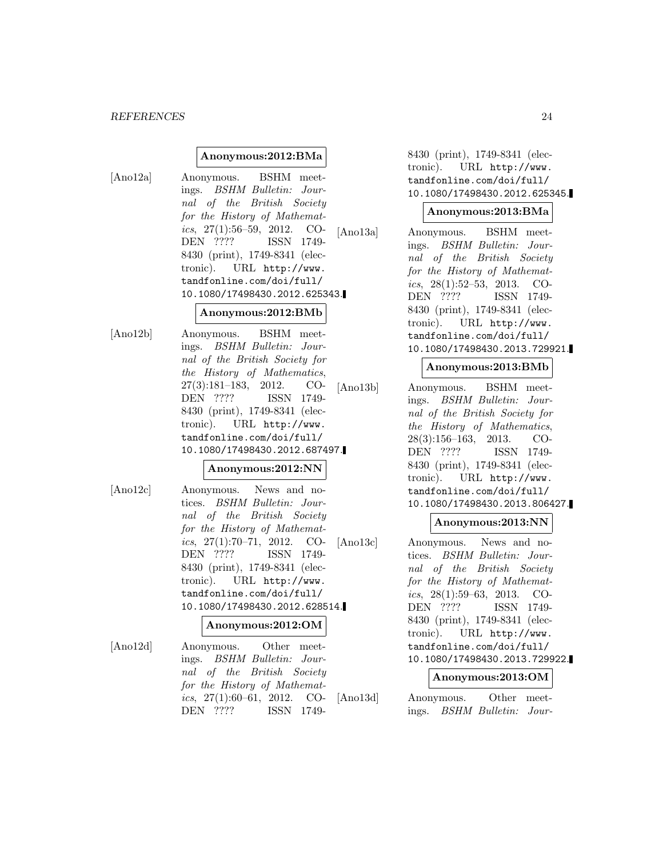### **Anonymous:2012:BMa**

[Ano12a] Anonymous. BSHM meetings. BSHM Bulletin: Journal of the British Society for the History of Mathematics,  $27(1):56-59$ ,  $2012$ . CO-DEN ???? ISSN 1749- 8430 (print), 1749-8341 (electronic). URL http://www. tandfonline.com/doi/full/ 10.1080/17498430.2012.625343.

### **Anonymous:2012:BMb**

[Ano12b] Anonymous. BSHM meetings. BSHM Bulletin: Journal of the British Society for the History of Mathematics, 27(3):181–183, 2012. CO-DEN ???? ISSN 1749- 8430 (print), 1749-8341 (electronic). URL http://www. tandfonline.com/doi/full/ 10.1080/17498430.2012.687497.

## **Anonymous:2012:NN**

[Ano12c] Anonymous. News and notices. BSHM Bulletin: Journal of the British Society for the History of Mathematics,  $27(1):70-71$ ,  $2012$ . CO-DEN ???? ISSN 1749- 8430 (print), 1749-8341 (electronic). URL http://www. tandfonline.com/doi/full/ 10.1080/17498430.2012.628514.

#### **Anonymous:2012:OM**

[Ano12d] Anonymous. Other meetings. BSHM Bulletin: Journal of the British Society for the History of Mathematics,  $27(1):60-61$ ,  $2012$ . CO-DEN ???? ISSN 17498430 (print), 1749-8341 (electronic). URL http://www. tandfonline.com/doi/full/ 10.1080/17498430.2012.625345.

### **Anonymous:2013:BMa**

[Ano13a] Anonymous. BSHM meetings. BSHM Bulletin: Journal of the British Society for the History of Mathematics,  $28(1):52-53$ ,  $2013$ . CO-DEN ???? ISSN 1749- 8430 (print), 1749-8341 (electronic). URL http://www. tandfonline.com/doi/full/ 10.1080/17498430.2013.729921.

### **Anonymous:2013:BMb**

[Ano13b] Anonymous. BSHM meetings. BSHM Bulletin: Journal of the British Society for the History of Mathematics, 28(3):156–163, 2013. CO-DEN ???? ISSN 1749- 8430 (print), 1749-8341 (electronic). URL http://www. tandfonline.com/doi/full/ 10.1080/17498430.2013.806427.

### **Anonymous:2013:NN**

[Ano13c] Anonymous. News and notices. BSHM Bulletin: Journal of the British Society for the History of Mathematics, 28(1):59–63, 2013. CO-DEN ???? ISSN 1749- 8430 (print), 1749-8341 (electronic). URL http://www. tandfonline.com/doi/full/ 10.1080/17498430.2013.729922.

### **Anonymous:2013:OM**

[Ano13d] Anonymous. Other meetings. BSHM Bulletin: Jour-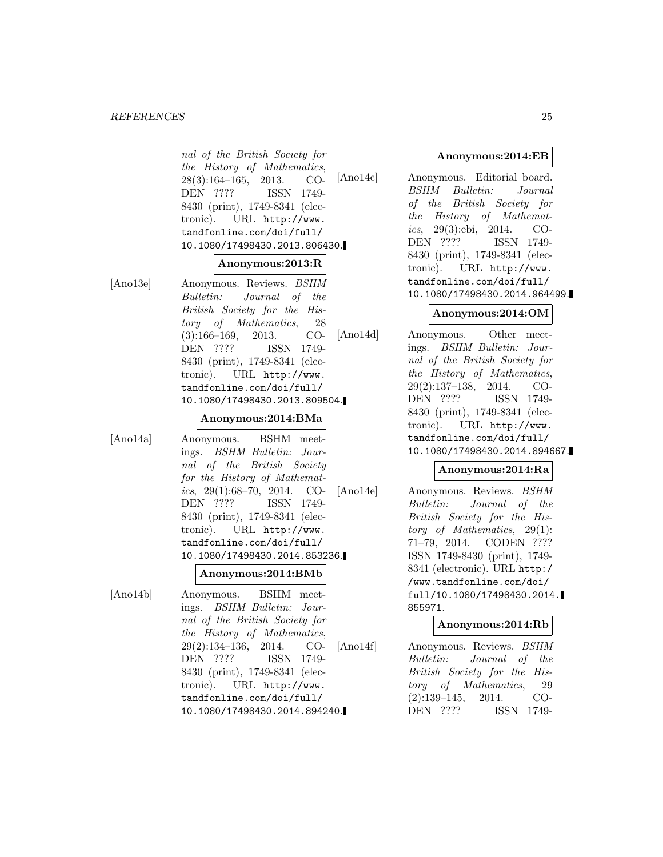nal of the British Society for the History of Mathematics, 28(3):164–165, 2013. CO-DEN ???? ISSN 1749- 8430 (print), 1749-8341 (electronic). URL http://www. tandfonline.com/doi/full/ 10.1080/17498430.2013.806430.

#### **Anonymous:2013:R**

[Ano13e] Anonymous. Reviews. BSHM Bulletin: Journal of the British Society for the History of Mathematics, 28 (3):166–169, 2013. CO-DEN ???? ISSN 1749- 8430 (print), 1749-8341 (electronic). URL http://www. tandfonline.com/doi/full/ 10.1080/17498430.2013.809504.

#### **Anonymous:2014:BMa**

[Ano14a] Anonymous. BSHM meetings. BSHM Bulletin: Journal of the British Society for the History of Mathematics,  $29(1):68-70$ ,  $2014$ . CO-DEN ???? ISSN 1749- 8430 (print), 1749-8341 (electronic). URL http://www. tandfonline.com/doi/full/ 10.1080/17498430.2014.853236.

## **Anonymous:2014:BMb**

[Ano14b] Anonymous. BSHM meetings. BSHM Bulletin: Journal of the British Society for the History of Mathematics, 29(2):134–136, 2014. CO-DEN ???? ISSN 1749- 8430 (print), 1749-8341 (electronic). URL http://www. tandfonline.com/doi/full/ 10.1080/17498430.2014.894240.

# **Anonymous:2014:EB**

[Ano14c] Anonymous. Editorial board. BSHM Bulletin: Journal of the British Society for the History of Mathematics, 29(3):ebi, 2014. CO-DEN ???? ISSN 1749- 8430 (print), 1749-8341 (electronic). URL http://www. tandfonline.com/doi/full/ 10.1080/17498430.2014.964499.

# **Anonymous:2014:OM**

[Ano14d] Anonymous. Other meetings. BSHM Bulletin: Journal of the British Society for the History of Mathematics, 29(2):137–138, 2014. CO-DEN ???? ISSN 1749- 8430 (print), 1749-8341 (electronic). URL http://www. tandfonline.com/doi/full/ 10.1080/17498430.2014.894667.

## **Anonymous:2014:Ra**

[Ano14e] Anonymous. Reviews. BSHM Bulletin: Journal of the British Society for the History of Mathematics, 29(1): 71–79, 2014. CODEN ???? ISSN 1749-8430 (print), 1749- 8341 (electronic). URL http:/ /www.tandfonline.com/doi/ full/10.1080/17498430.2014. 855971.

# **Anonymous:2014:Rb**

[Ano14f] Anonymous. Reviews. BSHM Bulletin: Journal of the British Society for the History of Mathematics, 29 (2):139–145, 2014. CO-DEN ???? ISSN 1749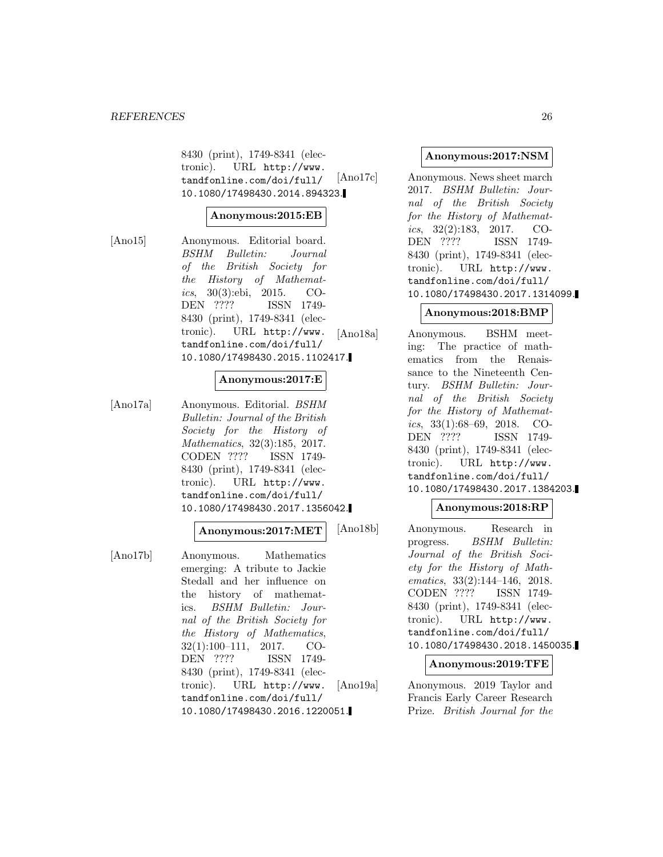8430 (print), 1749-8341 (electronic). URL http://www. tandfonline.com/doi/full/ 10.1080/17498430.2014.894323.

### **Anonymous:2015:EB**

[Ano15] Anonymous. Editorial board. BSHM Bulletin: Journal of the British Society for the History of Mathematics, 30(3):ebi, 2015. CO-DEN ???? ISSN 1749- 8430 (print), 1749-8341 (electronic). URL http://www. tandfonline.com/doi/full/ 10.1080/17498430.2015.1102417.

### **Anonymous:2017:E**

[Ano17a] Anonymous. Editorial. BSHM Bulletin: Journal of the British Society for the History of Mathematics, 32(3):185, 2017. CODEN ???? ISSN 1749- 8430 (print), 1749-8341 (electronic). URL http://www. tandfonline.com/doi/full/ 10.1080/17498430.2017.1356042.

#### **Anonymous:2017:MET**

[Ano17b] Anonymous. Mathematics emerging: A tribute to Jackie Stedall and her influence on the history of mathematics. BSHM Bulletin: Journal of the British Society for the History of Mathematics, 32(1):100–111, 2017. CO-DEN ???? ISSN 1749- 8430 (print), 1749-8341 (electronic). URL http://www. tandfonline.com/doi/full/ 10.1080/17498430.2016.1220051.

### **Anonymous:2017:NSM**

[Ano17c] Anonymous. News sheet march 2017. BSHM Bulletin: Journal of the British Society for the History of Mathematics,  $32(2):183$ ,  $2017$ . CO-DEN ???? ISSN 1749- 8430 (print), 1749-8341 (electronic). URL http://www. tandfonline.com/doi/full/ 10.1080/17498430.2017.1314099.

### **Anonymous:2018:BMP**

[Ano18a] Anonymous. BSHM meeting: The practice of mathematics from the Renaissance to the Nineteenth Century. BSHM Bulletin: Journal of the British Society for the History of Mathematics, 33(1):68–69, 2018. CO-DEN ???? ISSN 1749- 8430 (print), 1749-8341 (electronic). URL http://www. tandfonline.com/doi/full/ 10.1080/17498430.2017.1384203.

### **Anonymous:2018:RP**

[Ano18b] Anonymous. Research in progress. BSHM Bulletin: Journal of the British Society for the History of Mathematics, 33(2):144–146, 2018. CODEN ???? ISSN 1749- 8430 (print), 1749-8341 (electronic). URL http://www. tandfonline.com/doi/full/ 10.1080/17498430.2018.1450035.

## **Anonymous:2019:TFE**

[Ano19a] Anonymous. 2019 Taylor and Francis Early Career Research Prize. British Journal for the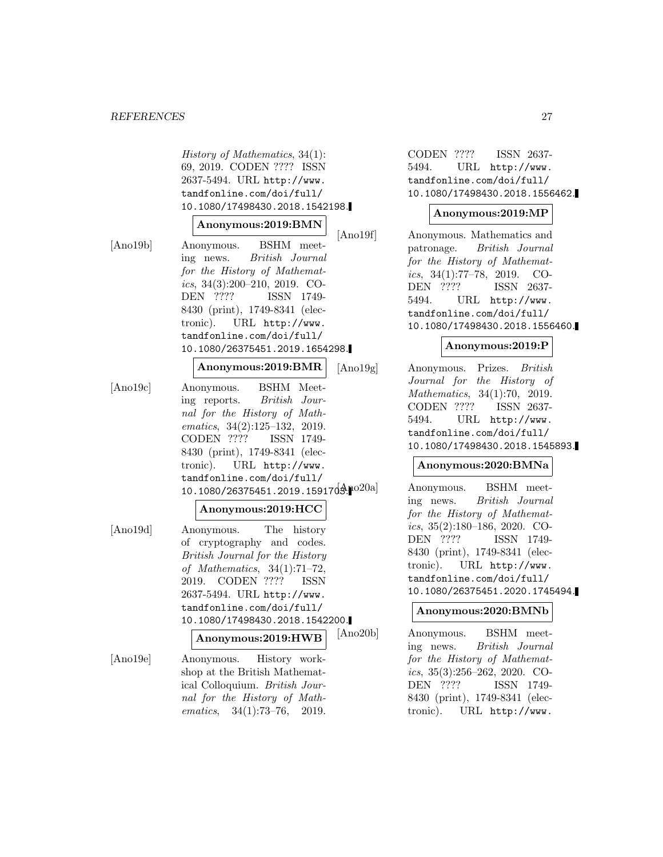History of Mathematics, 34(1): 69, 2019. CODEN ???? ISSN 2637-5494. URL http://www. tandfonline.com/doi/full/ 10.1080/17498430.2018.1542198.

### **Anonymous:2019:BMN**

[Ano19b] Anonymous. BSHM meeting news. British Journal for the History of Mathematics, 34(3):200–210, 2019. CO-DEN ???? ISSN 1749- 8430 (print), 1749-8341 (electronic). URL http://www. tandfonline.com/doi/full/ 10.1080/26375451.2019.1654298.

### **Anonymous:2019:BMR**

[Ano19c] Anonymous. BSHM Meeting reports. British Journal for the History of Mathematics, 34(2):125–132, 2019. CODEN ???? ISSN 1749- 8430 (print), 1749-8341 (electronic). URL http://www. tandfonline.com/doi/full/ 10.1080/26375451.2019.1591703.1020a]

### **Anonymous:2019:HCC**

[Ano19d] Anonymous. The history of cryptography and codes. British Journal for the History of Mathematics, 34(1):71–72, 2019. CODEN ???? ISSN 2637-5494. URL http://www. tandfonline.com/doi/full/ 10.1080/17498430.2018.1542200.

**Anonymous:2019:HWB**

[Ano19e] Anonymous. History workshop at the British Mathematical Colloquium. British Journal for the History of Mathematics, 34(1):73–76, 2019.

CODEN ???? ISSN 2637- 5494. URL http://www. tandfonline.com/doi/full/ 10.1080/17498430.2018.1556462.

## **Anonymous:2019:MP**

[Ano19f] Anonymous. Mathematics and patronage. British Journal for the History of Mathematics,  $34(1)$ :77-78,  $2019$ . CO-DEN ???? ISSN 2637- 5494. URL http://www. tandfonline.com/doi/full/ 10.1080/17498430.2018.1556460.

### **Anonymous:2019:P**

[Ano19g] Anonymous. Prizes. British Journal for the History of Mathematics, 34(1):70, 2019. CODEN ???? ISSN 2637- 5494. URL http://www. tandfonline.com/doi/full/ 10.1080/17498430.2018.1545893.

## **Anonymous:2020:BMNa**

Anonymous. BSHM meeting news. British Journal for the History of Mathematics, 35(2):180–186, 2020. CO-DEN ???? ISSN 1749- 8430 (print), 1749-8341 (electronic). URL http://www. tandfonline.com/doi/full/ 10.1080/26375451.2020.1745494.

### **Anonymous:2020:BMNb**

[Ano20b] Anonymous. BSHM meeting news. British Journal for the History of Mathematics, 35(3):256–262, 2020. CO-DEN ???? ISSN 1749- 8430 (print), 1749-8341 (electronic). URL http://www.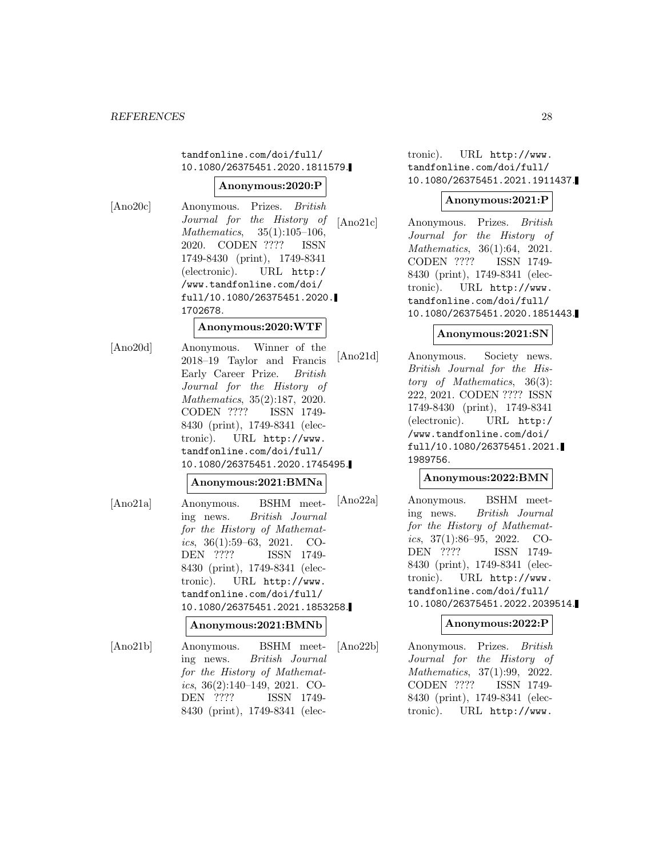tandfonline.com/doi/full/ 10.1080/26375451.2020.1811579.

#### **Anonymous:2020:P**

[Ano20c] Anonymous. Prizes. British

Journal for the History of Mathematics, 35(1):105–106, 2020. CODEN ???? ISSN 1749-8430 (print), 1749-8341 (electronic). URL http:/ /www.tandfonline.com/doi/ full/10.1080/26375451.2020. 1702678.

## **Anonymous:2020:WTF**

[Ano20d] Anonymous. Winner of the 2018–19 Taylor and Francis Early Career Prize. British Journal for the History of Mathematics, 35(2):187, 2020. CODEN ???? ISSN 1749- 8430 (print), 1749-8341 (electronic). URL http://www. tandfonline.com/doi/full/ 10.1080/26375451.2020.1745495.

## **Anonymous:2021:BMNa**

[Ano21a] Anonymous. BSHM meeting news. British Journal for the History of Mathematics, 36(1):59–63, 2021. CO-DEN ???? ISSN 1749- 8430 (print), 1749-8341 (electronic). URL http://www. tandfonline.com/doi/full/ 10.1080/26375451.2021.1853258.

## **Anonymous:2021:BMNb**

[Ano21b] Anonymous. BSHM meeting news. British Journal for the History of Mathematics, 36(2):140–149, 2021. CO-DEN ???? ISSN 1749- 8430 (print), 1749-8341 (electronic). URL http://www. tandfonline.com/doi/full/ 10.1080/26375451.2021.1911437.

### **Anonymous:2021:P**

[Ano21c] Anonymous. Prizes. British Journal for the History of Mathematics, 36(1):64, 2021. CODEN ???? ISSN 1749- 8430 (print), 1749-8341 (electronic). URL http://www. tandfonline.com/doi/full/ 10.1080/26375451.2020.1851443.

## **Anonymous:2021:SN**

[Ano21d] Anonymous. Society news. British Journal for the History of Mathematics, 36(3): 222, 2021. CODEN ???? ISSN 1749-8430 (print), 1749-8341 (electronic). URL http:/ /www.tandfonline.com/doi/ full/10.1080/26375451.2021. 1989756.

## **Anonymous:2022:BMN**

[Ano22a] Anonymous. BSHM meeting news. British Journal for the History of Mathematics, 37(1):86–95, 2022. CO-DEN ???? ISSN 1749- 8430 (print), 1749-8341 (electronic). URL http://www. tandfonline.com/doi/full/ 10.1080/26375451.2022.2039514.

### **Anonymous:2022:P**

[Ano22b] Anonymous. Prizes. British Journal for the History of Mathematics, 37(1):99, 2022. CODEN ???? ISSN 1749- 8430 (print), 1749-8341 (electronic). URL http://www.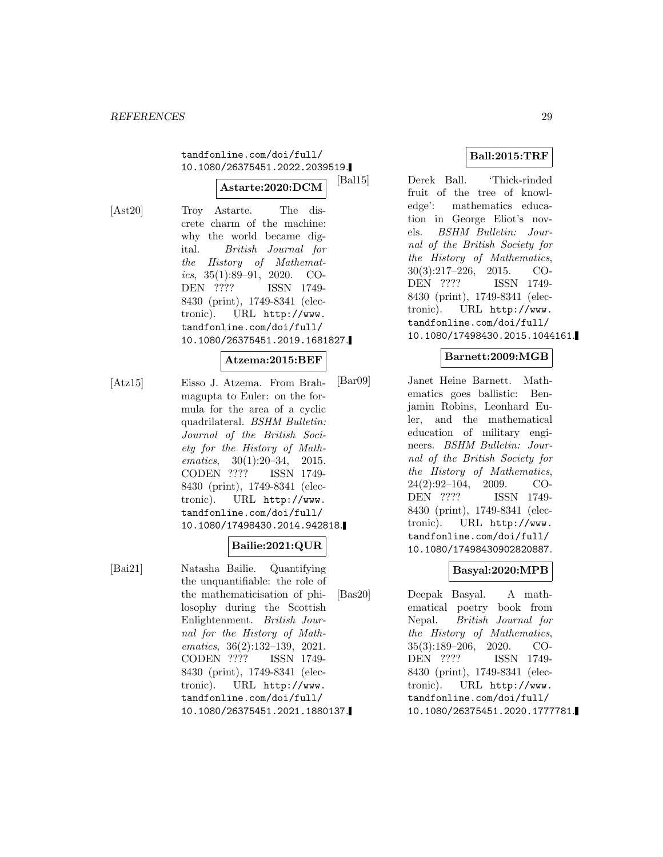tandfonline.com/doi/full/ 10.1080/26375451.2022.2039519.

### **Astarte:2020:DCM**

[Ast20] Troy Astarte. The discrete charm of the machine: why the world became digital. British Journal for the History of Mathematics, 35(1):89–91, 2020. CO-DEN ???? ISSN 1749- 8430 (print), 1749-8341 (electronic). URL http://www. tandfonline.com/doi/full/ 10.1080/26375451.2019.1681827.

### **Atzema:2015:BEF**

[Atz15] Eisso J. Atzema. From Brahmagupta to Euler: on the formula for the area of a cyclic quadrilateral. BSHM Bulletin: Journal of the British Society for the History of Mathematics, 30(1):20–34, 2015. CODEN ???? ISSN 1749- 8430 (print), 1749-8341 (electronic). URL http://www. tandfonline.com/doi/full/ 10.1080/17498430.2014.942818.

## **Bailie:2021:QUR**

[Bai21] Natasha Bailie. Quantifying the unquantifiable: the role of the mathematicisation of philosophy during the Scottish Enlightenment. British Journal for the History of Mathematics, 36(2):132–139, 2021. CODEN ???? ISSN 1749- 8430 (print), 1749-8341 (electronic). URL http://www. tandfonline.com/doi/full/ 10.1080/26375451.2021.1880137.

## **Ball:2015:TRF**

[Bal15] Derek Ball. 'Thick-rinded fruit of the tree of knowledge': mathematics education in George Eliot's novels. BSHM Bulletin: Journal of the British Society for the History of Mathematics, 30(3):217–226, 2015. CO-DEN ???? ISSN 1749- 8430 (print), 1749-8341 (electronic). URL http://www. tandfonline.com/doi/full/ 10.1080/17498430.2015.1044161.

### **Barnett:2009:MGB**

[Bar09] Janet Heine Barnett. Mathematics goes ballistic: Benjamin Robins, Leonhard Euler, and the mathematical education of military engineers. BSHM Bulletin: Journal of the British Society for the History of Mathematics, 24(2):92–104, 2009. CO-DEN ???? ISSN 1749- 8430 (print), 1749-8341 (electronic). URL http://www. tandfonline.com/doi/full/ 10.1080/17498430902820887.

## **Basyal:2020:MPB**

[Bas20] Deepak Basyal. A mathematical poetry book from Nepal. British Journal for the History of Mathematics, 35(3):189–206, 2020. CO-DEN ???? ISSN 1749- 8430 (print), 1749-8341 (electronic). URL http://www. tandfonline.com/doi/full/ 10.1080/26375451.2020.1777781.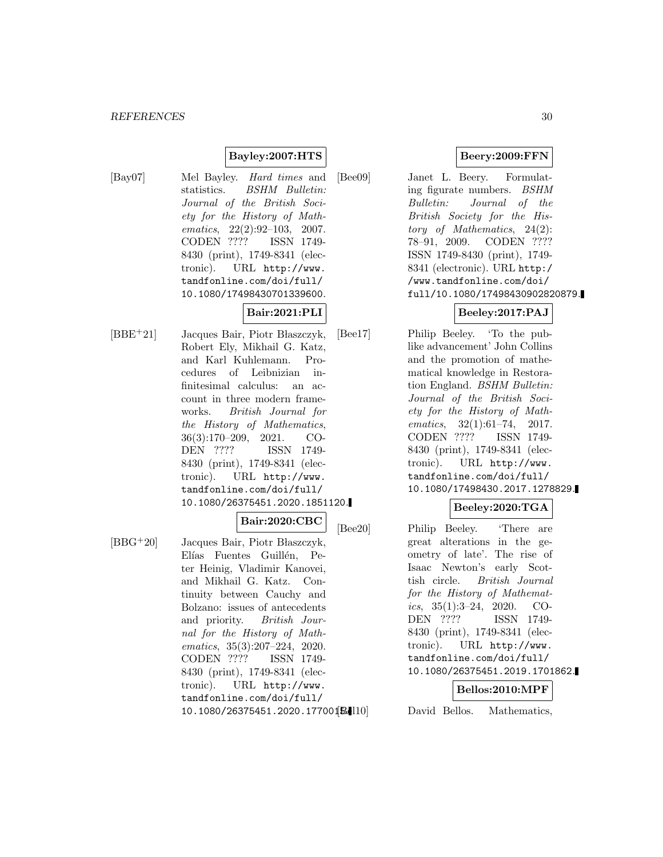## **Bayley:2007:HTS**

[Bay07] Mel Bayley. Hard times and statistics. *BSHM Bulletin:* Journal of the British Society for the History of Mathematics, 22(2):92–103, 2007. CODEN ???? ISSN 1749- 8430 (print), 1749-8341 (electronic). URL http://www. tandfonline.com/doi/full/ 10.1080/17498430701339600.

# **Bair:2021:PLI**

 $[BBE<sup>+</sup>21]$  Jacques Bair, Piotr Błaszczyk, Robert Ely, Mikhail G. Katz, and Karl Kuhlemann. Procedures of Leibnizian infinitesimal calculus: an account in three modern frameworks. British Journal for the History of Mathematics, 36(3):170–209, 2021. CO-DEN ???? ISSN 1749- 8430 (print), 1749-8341 (electronic). URL http://www. tandfonline.com/doi/full/ 10.1080/26375451.2020.1851120.

### **Bair:2020:CBC**

 $[BBG^+20]$  Jacques Bair, Piotr Błaszczyk, Elías Fuentes Guillén, Peter Heinig, Vladimir Kanovei, and Mikhail G. Katz. Continuity between Cauchy and Bolzano: issues of antecedents and priority. British Journal for the History of Mathematics, 35(3):207–224, 2020. CODEN ???? ISSN 1749- 8430 (print), 1749-8341 (electronic). URL http://www. tandfonline.com/doi/full/ 10.1080/26375451.2020.177001**B.1** 

### **Beery:2009:FFN**

[Bee09] Janet L. Beery. Formulating figurate numbers. BSHM Bulletin: Journal of the British Society for the History of Mathematics, 24(2): 78–91, 2009. CODEN ???? ISSN 1749-8430 (print), 1749- 8341 (electronic). URL http:/ /www.tandfonline.com/doi/ full/10.1080/17498430902820879.

# **Beeley:2017:PAJ**

[Bee17] Philip Beeley. 'To the publike advancement' John Collins and the promotion of mathematical knowledge in Restoration England. BSHM Bulletin: Journal of the British Society for the History of Mathematics, 32(1):61–74, 2017. CODEN ???? ISSN 1749- 8430 (print), 1749-8341 (electronic). URL http://www. tandfonline.com/doi/full/ 10.1080/17498430.2017.1278829.

## **Beeley:2020:TGA**

[Bee20] Philip Beeley. 'There are great alterations in the geometry of late'. The rise of Isaac Newton's early Scottish circle. British Journal for the History of Mathematics,  $35(1):3-24$ ,  $2020$ . CO-DEN ???? ISSN 1749- 8430 (print), 1749-8341 (electronic). URL http://www. tandfonline.com/doi/full/ 10.1080/26375451.2019.1701862.

## **Bellos:2010:MPF**

David Bellos. Mathematics,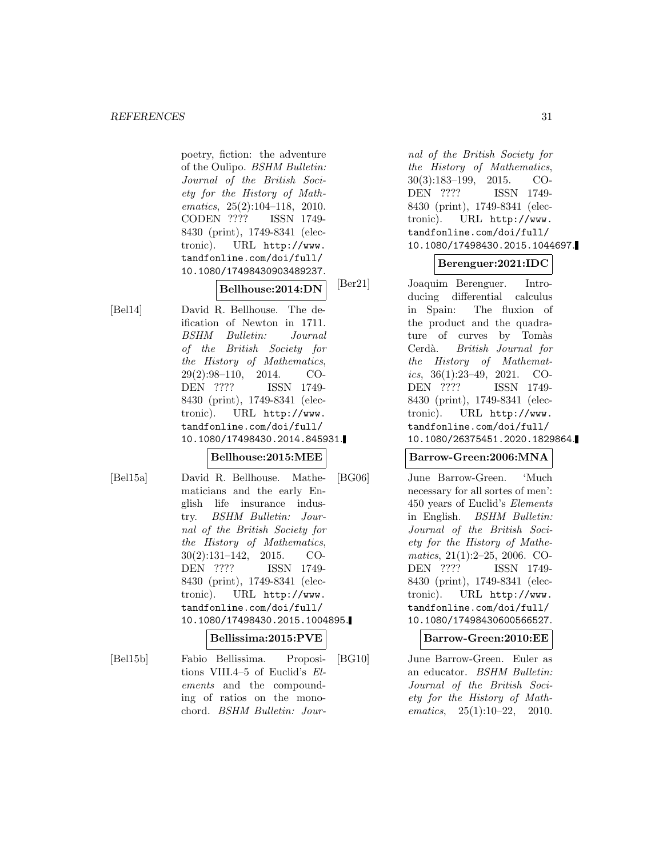poetry, fiction: the adventure of the Oulipo. BSHM Bulletin: Journal of the British Society for the History of Mathematics, 25(2):104–118, 2010. CODEN ???? ISSN 1749- 8430 (print), 1749-8341 (electronic). URL http://www. tandfonline.com/doi/full/ 10.1080/17498430903489237.

**Bellhouse:2014:DN**

[Bel14] David R. Bellhouse. The deification of Newton in 1711. BSHM Bulletin: Journal of the British Society for the History of Mathematics, 29(2):98–110, 2014. CO-DEN ???? ISSN 1749- 8430 (print), 1749-8341 (electronic). URL http://www. tandfonline.com/doi/full/ 10.1080/17498430.2014.845931.

### **Bellhouse:2015:MEE**

[Bel15a] David R. Bellhouse. Mathematicians and the early English life insurance industry. BSHM Bulletin: Journal of the British Society for the History of Mathematics, 30(2):131–142, 2015. CO-DEN ???? ISSN 1749- 8430 (print), 1749-8341 (electronic). URL http://www. tandfonline.com/doi/full/ 10.1080/17498430.2015.1004895.

#### **Bellissima:2015:PVE**

[Bel15b] Fabio Bellissima. Propositions VIII.4–5 of Euclid's Elements and the compounding of ratios on the monochord. BSHM Bulletin: Jour-

nal of the British Society for the History of Mathematics, 30(3):183–199, 2015. CO-DEN ???? ISSN 1749- 8430 (print), 1749-8341 (electronic). URL http://www. tandfonline.com/doi/full/ 10.1080/17498430.2015.1044697.

## **Berenguer:2021:IDC**

[Ber21] Joaquim Berenguer. Introducing differential calculus in Spain: The fluxion of the product and the quadrature of curves by Tomàs Cerdà. British Journal for the History of Mathematics, 36(1):23–49, 2021. CO-DEN ???? ISSN 1749- 8430 (print), 1749-8341 (electronic). URL http://www. tandfonline.com/doi/full/ 10.1080/26375451.2020.1829864.

### **Barrow-Green:2006:MNA**

[BG06] June Barrow-Green. 'Much necessary for all sortes of men': 450 years of Euclid's Elements in English. BSHM Bulletin: Journal of the British Society for the History of Mathematics, 21(1):2–25, 2006. CO-DEN ???? ISSN 1749- 8430 (print), 1749-8341 (electronic). URL http://www. tandfonline.com/doi/full/ 10.1080/17498430600566527.

**Barrow-Green:2010:EE**

[BG10] June Barrow-Green. Euler as an educator. BSHM Bulletin: Journal of the British Society for the History of Mathematics, 25(1):10–22, 2010.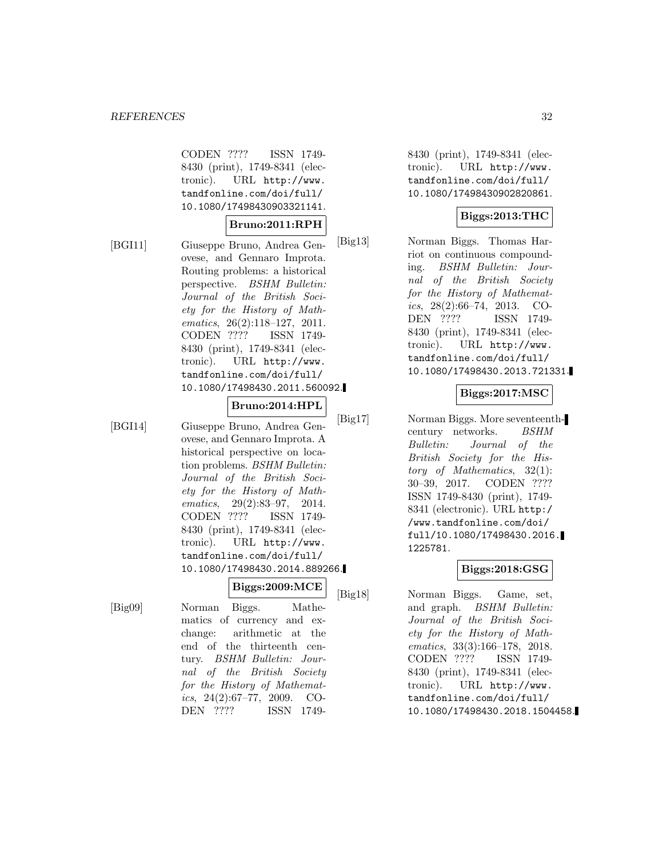CODEN ???? ISSN 1749- 8430 (print), 1749-8341 (electronic). URL http://www. tandfonline.com/doi/full/ 10.1080/17498430903321141.

### **Bruno:2011:RPH**

[BGI11] Giuseppe Bruno, Andrea Genovese, and Gennaro Improta. Routing problems: a historical perspective. BSHM Bulletin: Journal of the British Society for the History of Mathematics, 26(2):118–127, 2011. CODEN ???? ISSN 1749- 8430 (print), 1749-8341 (electronic). URL http://www. tandfonline.com/doi/full/ 10.1080/17498430.2011.560092.

### **Bruno:2014:HPL**

[BGI14] Giuseppe Bruno, Andrea Genovese, and Gennaro Improta. A historical perspective on location problems. BSHM Bulletin: Journal of the British Society for the History of Mathematics, 29(2):83–97, 2014. CODEN ???? ISSN 1749- 8430 (print), 1749-8341 (electronic). URL http://www. tandfonline.com/doi/full/ 10.1080/17498430.2014.889266.

**Biggs:2009:MCE**

[Big09] Norman Biggs. Mathematics of currency and exchange: arithmetic at the end of the thirteenth century. BSHM Bulletin: Journal of the British Society for the History of Mathematics,  $24(2):67-77$ ,  $2009$ . CO-DEN ???? ISSN 17498430 (print), 1749-8341 (electronic). URL http://www. tandfonline.com/doi/full/ 10.1080/17498430902820861.

## **Biggs:2013:THC**

[Big13] Norman Biggs. Thomas Harriot on continuous compounding. BSHM Bulletin: Journal of the British Society for the History of Mathematics, 28(2):66–74, 2013. CO-DEN ???? ISSN 1749- 8430 (print), 1749-8341 (electronic). URL http://www. tandfonline.com/doi/full/ 10.1080/17498430.2013.721331.

## **Biggs:2017:MSC**

[Big17] Norman Biggs. More seventeenthcentury networks. BSHM Bulletin: Journal of the British Society for the History of Mathematics, 32(1): 30–39, 2017. CODEN ???? ISSN 1749-8430 (print), 1749- 8341 (electronic). URL http:/ /www.tandfonline.com/doi/ full/10.1080/17498430.2016. 1225781.

## **Biggs:2018:GSG**

[Big18] Norman Biggs. Game, set, and graph. BSHM Bulletin: Journal of the British Society for the History of Mathematics, 33(3):166–178, 2018. CODEN ???? ISSN 1749- 8430 (print), 1749-8341 (electronic). URL http://www. tandfonline.com/doi/full/ 10.1080/17498430.2018.1504458.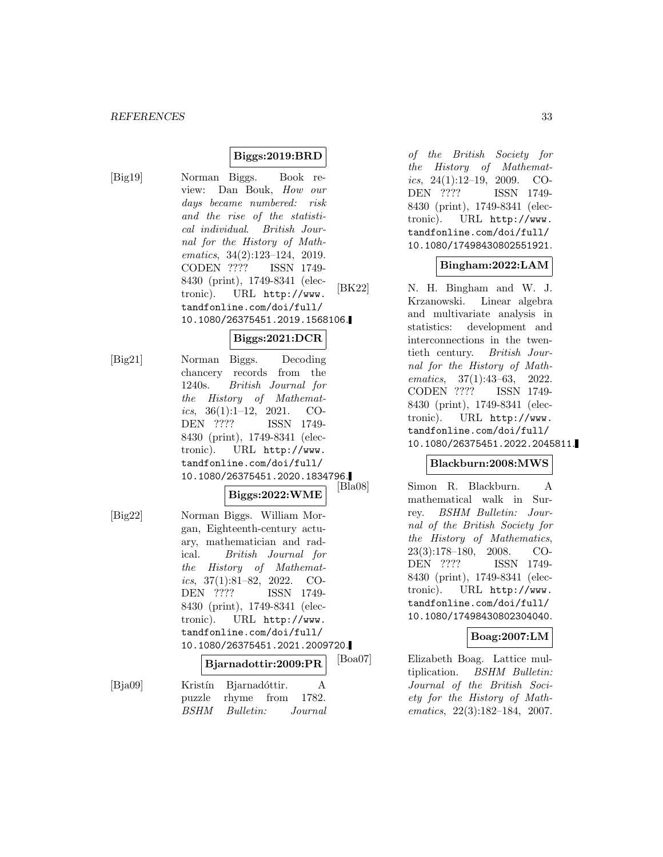## **Biggs:2019:BRD**

[Big19] Norman Biggs. Book review: Dan Bouk, How our days became numbered: risk and the rise of the statistical individual. British Journal for the History of Mathematics, 34(2):123–124, 2019. CODEN ???? ISSN 1749- 8430 (print), 1749-8341 (electronic). URL http://www. tandfonline.com/doi/full/ 10.1080/26375451.2019.1568106.

### **Biggs:2021:DCR**

[Big21] Norman Biggs. Decoding chancery records from the 1240s. British Journal for the History of Mathematics,  $36(1):1-12$ ,  $2021$ . CO-DEN ???? ISSN 1749- 8430 (print), 1749-8341 (electronic). URL http://www. tandfonline.com/doi/full/ 10.1080/26375451.2020.1834796.

$$
{\rm Biggs\texttt{:}2022\texttt{:}WME}
$$

[Big22] Norman Biggs. William Morgan, Eighteenth-century actuary, mathematician and radical. British Journal for the History of Mathematics,  $37(1):81-82$ ,  $2022$ . CO-DEN ???? ISSN 1749- 8430 (print), 1749-8341 (electronic). URL http://www. tandfonline.com/doi/full/ 10.1080/26375451.2021.2009720.

|         | $ $ Bjarnadottir:2009:PR | ıв |
|---------|--------------------------|----|
| [Bja09] | Kristín Bjarnadóttir.    |    |
|         | puzzle rhyme from 1782.  |    |
|         | BSHM Bulletin: Journal   |    |

of the British Society for the History of Mathematics,  $24(1):12-19$ ,  $2009$ . CO-DEN ???? ISSN 1749- 8430 (print), 1749-8341 (electronic). URL http://www. tandfonline.com/doi/full/ 10.1080/17498430802551921.

### **Bingham:2022:LAM**

[BK22] N. H. Bingham and W. J. Krzanowski. Linear algebra and multivariate analysis in statistics: development and interconnections in the twentieth century. British Journal for the History of Mathematics, 37(1):43–63, 2022. CODEN ???? ISSN 1749- 8430 (print), 1749-8341 (electronic). URL http://www. tandfonline.com/doi/full/ 10.1080/26375451.2022.2045811.

## **Blackburn:2008:MWS**

Simon R. Blackburn. A mathematical walk in Surrey. BSHM Bulletin: Journal of the British Society for the History of Mathematics, 23(3):178–180, 2008. CO-DEN ???? ISSN 1749- 8430 (print), 1749-8341 (electronic). URL http://www. tandfonline.com/doi/full/ 10.1080/17498430802304040.

### **Boag:2007:LM**

[Boa07] Elizabeth Boag. Lattice multiplication. BSHM Bulletin: Journal of the British Society for the History of Mathematics, 22(3):182–184, 2007.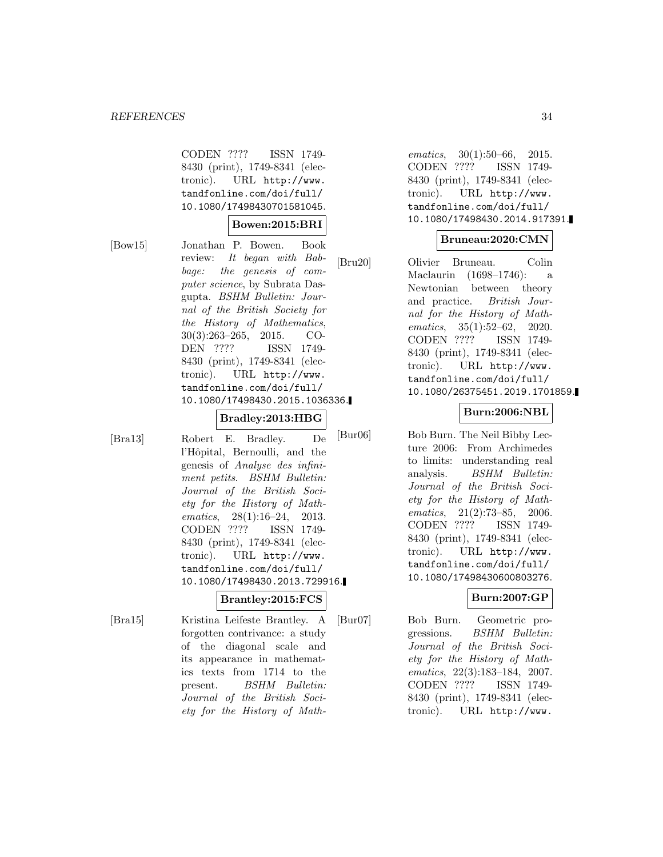CODEN ???? ISSN 1749- 8430 (print), 1749-8341 (electronic). URL http://www. tandfonline.com/doi/full/ 10.1080/17498430701581045.

### **Bowen:2015:BRI**

[Bow15] Jonathan P. Bowen. Book review: It began with Babbage: the genesis of computer science, by Subrata Dasgupta. BSHM Bulletin: Journal of the British Society for the History of Mathematics, 30(3):263–265, 2015. CO-DEN ???? ISSN 1749- 8430 (print), 1749-8341 (electronic). URL http://www. tandfonline.com/doi/full/ 10.1080/17498430.2015.1036336.

### **Bradley:2013:HBG**

[Bra13] Robert E. Bradley. De l'Hôpital, Bernoulli, and the genesis of Analyse des infiniment petits. BSHM Bulletin: Journal of the British Society for the History of Mathematics, 28(1):16–24, 2013. CODEN ???? ISSN 1749- 8430 (print), 1749-8341 (electronic). URL http://www. tandfonline.com/doi/full/ 10.1080/17498430.2013.729916.

# **Brantley:2015:FCS**

[Bra15] Kristina Leifeste Brantley. A forgotten contrivance: a study of the diagonal scale and its appearance in mathematics texts from 1714 to the present. BSHM Bulletin: Journal of the British Society for the History of Math-

ematics, 30(1):50–66, 2015. CODEN ???? ISSN 1749- 8430 (print), 1749-8341 (electronic). URL http://www. tandfonline.com/doi/full/ 10.1080/17498430.2014.917391.

# **Bruneau:2020:CMN**

[Bru20] Olivier Bruneau. Colin Maclaurin (1698–1746): a Newtonian between theory and practice. British Journal for the History of Mathematics, 35(1):52–62, 2020. CODEN ???? ISSN 1749- 8430 (print), 1749-8341 (electronic). URL http://www. tandfonline.com/doi/full/ 10.1080/26375451.2019.1701859.

## **Burn:2006:NBL**

[Bur06] Bob Burn. The Neil Bibby Lecture 2006: From Archimedes to limits: understanding real analysis. BSHM Bulletin: Journal of the British Society for the History of Mathematics, 21(2):73–85, 2006. CODEN ???? ISSN 1749- 8430 (print), 1749-8341 (electronic). URL http://www. tandfonline.com/doi/full/ 10.1080/17498430600803276.

### **Burn:2007:GP**

[Bur07] Bob Burn. Geometric progressions. BSHM Bulletin: Journal of the British Society for the History of Mathematics, 22(3):183–184, 2007. CODEN ???? ISSN 1749- 8430 (print), 1749-8341 (electronic). URL http://www.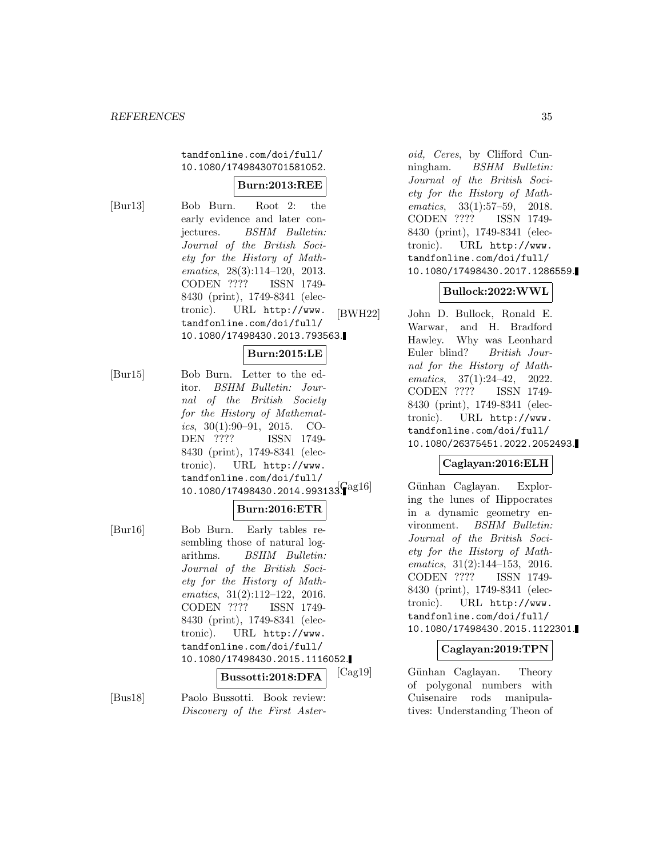tandfonline.com/doi/full/ 10.1080/17498430701581052.

#### **Burn:2013:REE**

[Bur13] Bob Burn. Root 2: the early evidence and later conjectures. BSHM Bulletin: Journal of the British Society for the History of Mathematics, 28(3):114–120, 2013. CODEN ???? ISSN 1749- 8430 (print), 1749-8341 (electronic). URL http://www. tandfonline.com/doi/full/ 10.1080/17498430.2013.793563.

### **Burn:2015:LE**

[Bur15] Bob Burn. Letter to the editor. BSHM Bulletin: Journal of the British Society for the History of Mathematics,  $30(1):90-91$ ,  $2015$ . CO-DEN ???? ISSN 1749- 8430 (print), 1749-8341 (electronic). URL http://www. tandfonline.com/doi/full/  $10.1080/17498430.2014.993133^{a}$ 

### **Burn:2016:ETR**

[Bur16] Bob Burn. Early tables resembling those of natural logarithms. BSHM Bulletin: Journal of the British Society for the History of Mathematics, 31(2):112–122, 2016. CODEN ???? ISSN 1749- 8430 (print), 1749-8341 (electronic). URL http://www. tandfonline.com/doi/full/ 10.1080/17498430.2015.1116052.

#### **Bussotti:2018:DFA**

[Bus18] Paolo Bussotti. Book review: Discovery of the First Aster-

oid, Ceres, by Clifford Cunningham. BSHM Bulletin: Journal of the British Society for the History of Mathematics, 33(1):57–59, 2018. CODEN ???? ISSN 1749- 8430 (print), 1749-8341 (electronic). URL http://www. tandfonline.com/doi/full/ 10.1080/17498430.2017.1286559.

### **Bullock:2022:WWL**

[BWH22] John D. Bullock, Ronald E. Warwar, and H. Bradford Hawley. Why was Leonhard Euler blind? British Journal for the History of Mathematics, 37(1):24–42, 2022. CODEN ???? ISSN 1749- 8430 (print), 1749-8341 (electronic). URL http://www. tandfonline.com/doi/full/ 10.1080/26375451.2022.2052493.

### **Caglayan:2016:ELH**

Günhan Caglayan. Exploring the lunes of Hippocrates in a dynamic geometry environment. BSHM Bulletin: Journal of the British Society for the History of Mathematics, 31(2):144–153, 2016. CODEN ???? ISSN 1749- 8430 (print), 1749-8341 (electronic). URL http://www. tandfonline.com/doi/full/ 10.1080/17498430.2015.1122301.

### **Caglayan:2019:TPN**

[Cag19] G¨unhan Caglayan. Theory of polygonal numbers with Cuisenaire rods manipulatives: Understanding Theon of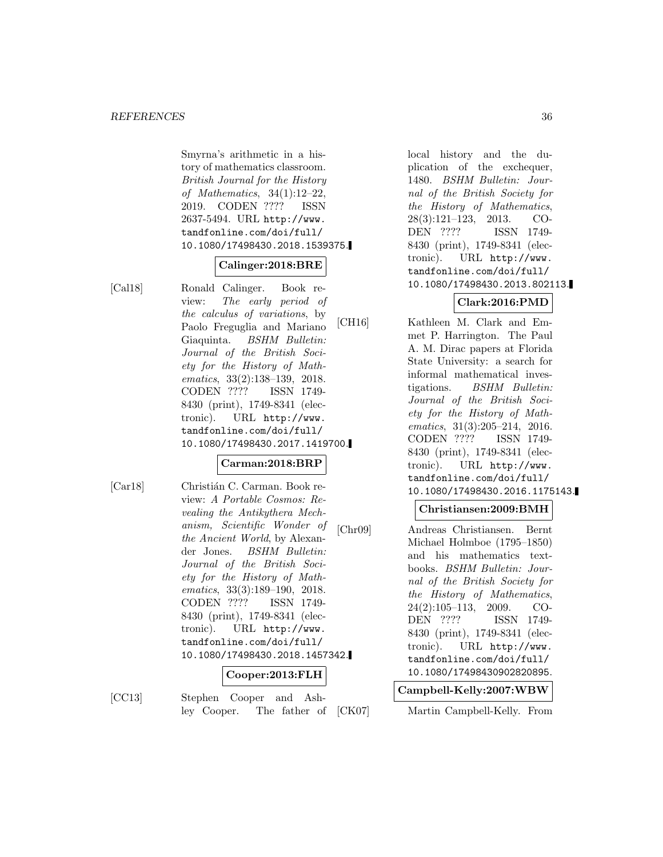Smyrna's arithmetic in a history of mathematics classroom. British Journal for the History of Mathematics, 34(1):12–22, 2019. CODEN ???? ISSN 2637-5494. URL http://www. tandfonline.com/doi/full/ 10.1080/17498430.2018.1539375.

### **Calinger:2018:BRE**

[Cal18] Ronald Calinger. Book review: The early period of the calculus of variations, by Paolo Freguglia and Mariano Giaquinta. BSHM Bulletin: Journal of the British Society for the History of Mathematics, 33(2):138–139, 2018. CODEN ???? ISSN 1749- 8430 (print), 1749-8341 (electronic). URL http://www. tandfonline.com/doi/full/ 10.1080/17498430.2017.1419700.

### **Carman:2018:BRP**

[Car18] Christián C. Carman. Book review: A Portable Cosmos: Revealing the Antikythera Mechanism, Scientific Wonder of the Ancient World, by Alexander Jones. BSHM Bulletin: Journal of the British Society for the History of Mathematics, 33(3):189–190, 2018. CODEN ???? ISSN 1749- 8430 (print), 1749-8341 (electronic). URL http://www. tandfonline.com/doi/full/ 10.1080/17498430.2018.1457342.

### **Cooper:2013:FLH**

[CC13] Stephen Cooper and Ashley Cooper. The father of local history and the duplication of the exchequer, 1480. BSHM Bulletin: Journal of the British Society for the History of Mathematics, 28(3):121–123, 2013. CO-DEN ???? ISSN 1749- 8430 (print), 1749-8341 (electronic). URL http://www. tandfonline.com/doi/full/ 10.1080/17498430.2013.802113.

## **Clark:2016:PMD**

[CH16] Kathleen M. Clark and Emmet P. Harrington. The Paul A. M. Dirac papers at Florida State University: a search for informal mathematical investigations. BSHM Bulletin: Journal of the British Society for the History of Mathematics, 31(3):205–214, 2016. CODEN ???? ISSN 1749- 8430 (print), 1749-8341 (electronic). URL http://www. tandfonline.com/doi/full/ 10.1080/17498430.2016.1175143.

### **Christiansen:2009:BMH**

[Chr09] Andreas Christiansen. Bernt Michael Holmboe (1795–1850) and his mathematics textbooks. BSHM Bulletin: Journal of the British Society for the History of Mathematics, 24(2):105–113, 2009. CO-DEN ???? ISSN 1749- 8430 (print), 1749-8341 (electronic). URL http://www. tandfonline.com/doi/full/ 10.1080/17498430902820895.

### **Campbell-Kelly:2007:WBW**

[CK07] Martin Campbell-Kelly. From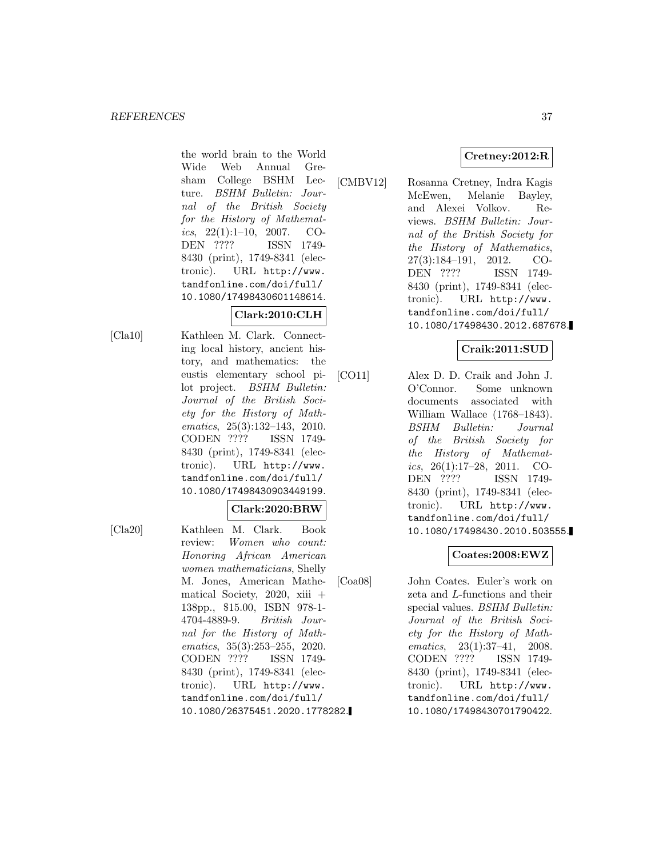the world brain to the World Wide Web Annual Gresham College BSHM Lecture. BSHM Bulletin: Journal of the British Society for the History of Mathematics,  $22(1):1-10$ ,  $2007$ . CO-DEN ???? ISSN 1749- 8430 (print), 1749-8341 (electronic). URL http://www. tandfonline.com/doi/full/ 10.1080/17498430601148614.

# **Clark:2010:CLH**

[Cla10] Kathleen M. Clark. Connecting local history, ancient history, and mathematics: the eustis elementary school pilot project. BSHM Bulletin: Journal of the British Society for the History of Mathematics, 25(3):132–143, 2010. CODEN ???? ISSN 1749- 8430 (print), 1749-8341 (electronic). URL http://www. tandfonline.com/doi/full/ 10.1080/17498430903449199.

#### **Clark:2020:BRW**

[Cla20] Kathleen M. Clark. Book review: Women who count: Honoring African American women mathematicians, Shelly M. Jones, American Mathematical Society,  $2020$ , xiii + 138pp., \$15.00, ISBN 978-1- 4704-4889-9. British Journal for the History of Mathematics, 35(3):253–255, 2020. CODEN ???? ISSN 1749- 8430 (print), 1749-8341 (electronic). URL http://www. tandfonline.com/doi/full/ 10.1080/26375451.2020.1778282.

[CMBV12] Rosanna Cretney, Indra Kagis McEwen, Melanie Bayley, and Alexei Volkov. Reviews. BSHM Bulletin: Journal of the British Society for the History of Mathematics, 27(3):184–191, 2012. CO-DEN ???? ISSN 1749- 8430 (print), 1749-8341 (electronic). URL http://www. tandfonline.com/doi/full/ 10.1080/17498430.2012.687678.

## **Craik:2011:SUD**

[CO11] Alex D. D. Craik and John J. O'Connor. Some unknown documents associated with William Wallace (1768–1843). BSHM Bulletin: Journal of the British Society for the History of Mathematics,  $26(1):17-28$ ,  $2011$ . CO-DEN ???? ISSN 1749- 8430 (print), 1749-8341 (electronic). URL http://www. tandfonline.com/doi/full/ 10.1080/17498430.2010.503555.

## **Coates:2008:EWZ**

[Coa08] John Coates. Euler's work on zeta and L-functions and their special values. BSHM Bulletin: Journal of the British Society for the History of Mathematics, 23(1):37–41, 2008. CODEN ???? ISSN 1749- 8430 (print), 1749-8341 (electronic). URL http://www. tandfonline.com/doi/full/ 10.1080/17498430701790422.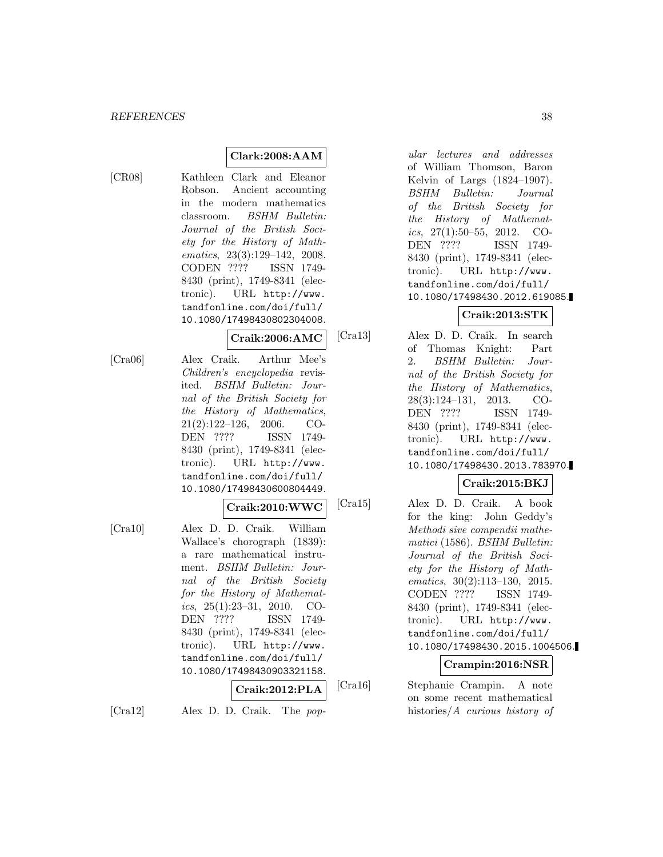## **Clark:2008:AAM**

[CR08] Kathleen Clark and Eleanor Robson. Ancient accounting in the modern mathematics classroom. BSHM Bulletin: Journal of the British Society for the History of Mathematics, 23(3):129–142, 2008. CODEN ???? ISSN 1749- 8430 (print), 1749-8341 (electronic). URL http://www. tandfonline.com/doi/full/ 10.1080/17498430802304008.

#### **Craik:2006:AMC**

[Cra06] Alex Craik. Arthur Mee's Children's encyclopedia revisited. BSHM Bulletin: Journal of the British Society for the History of Mathematics, 21(2):122–126, 2006. CO-DEN ???? ISSN 1749- 8430 (print), 1749-8341 (electronic). URL http://www. tandfonline.com/doi/full/ 10.1080/17498430600804449.

#### **Craik:2010:WWC**

[Cra10] Alex D. D. Craik. William Wallace's chorograph (1839): a rare mathematical instrument. BSHM Bulletin: Journal of the British Society for the History of Mathematics, 25(1):23–31, 2010. CO-DEN ???? ISSN 1749- 8430 (print), 1749-8341 (electronic). URL http://www. tandfonline.com/doi/full/ 10.1080/17498430903321158.

$$
\fbox{Craik:} {\bf 2012:} {\bf PLA} \quad \text{[C}
$$

[Cra12] Alex D. D. Craik. The pop-

ular lectures and addresses of William Thomson, Baron Kelvin of Largs (1824–1907). BSHM Bulletin: Journal of the British Society for the History of Mathematics,  $27(1):50-55$ ,  $2012$ . CO-DEN ???? ISSN 1749- 8430 (print), 1749-8341 (electronic). URL http://www. tandfonline.com/doi/full/ 10.1080/17498430.2012.619085.

## **Craik:2013:STK**

[Cra13] Alex D. D. Craik. In search of Thomas Knight: Part 2. BSHM Bulletin: Journal of the British Society for the History of Mathematics, 28(3):124–131, 2013. CO-DEN ???? ISSN 1749- 8430 (print), 1749-8341 (electronic). URL http://www. tandfonline.com/doi/full/ 10.1080/17498430.2013.783970.

# **Craik:2015:BKJ**

[Cra15] Alex D. D. Craik. A book for the king: John Geddy's Methodi sive compendii mathematici (1586). BSHM Bulletin: Journal of the British Society for the History of Mathematics, 30(2):113–130, 2015. CODEN ???? ISSN 1749- 8430 (print), 1749-8341 (electronic). URL http://www. tandfonline.com/doi/full/ 10.1080/17498430.2015.1004506.

#### **Crampin:2016:NSR**

[Cra16] Stephanie Crampin. A note on some recent mathematical histories/A curious history of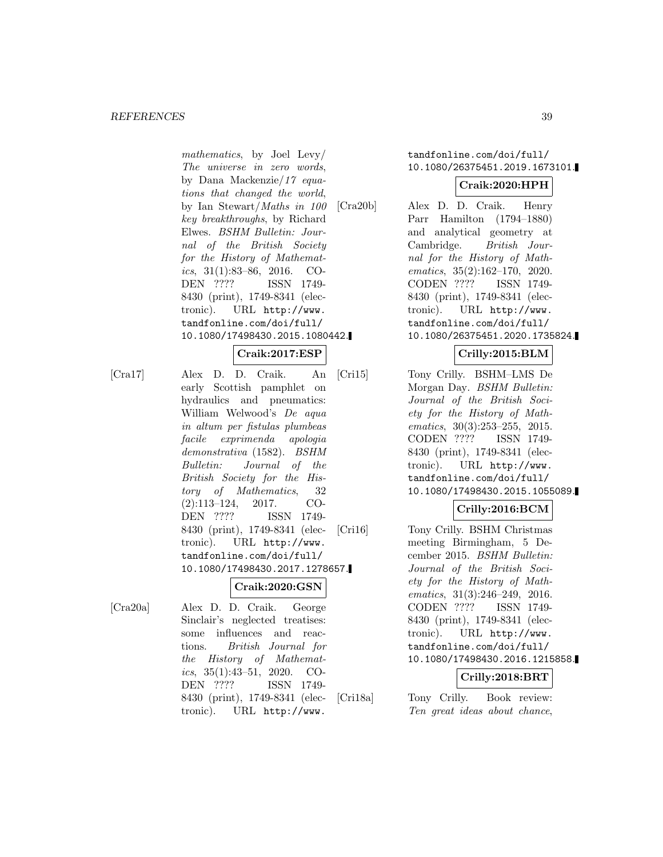mathematics, by Joel Levy/ The universe in zero words, by Dana Mackenzie/17 equations that changed the world, by Ian Stewart/Maths in 100 key breakthroughs, by Richard Elwes. BSHM Bulletin: Journal of the British Society for the History of Mathematics,  $31(1):83-86$ ,  $2016$ . CO-DEN ???? ISSN 1749- 8430 (print), 1749-8341 (electronic). URL http://www. tandfonline.com/doi/full/ 10.1080/17498430.2015.1080442.

### **Craik:2017:ESP**

[Cra17] Alex D. D. Craik. An early Scottish pamphlet on hydraulics and pneumatics: William Welwood's De aqua in altum per fistulas plumbeas facile exprimenda apologia demonstrativa (1582). BSHM Bulletin: Journal of the British Society for the History of Mathematics, 32 (2):113–124, 2017. CO-DEN ???? ISSN 1749- 8430 (print), 1749-8341 (electronic). URL http://www. tandfonline.com/doi/full/ 10.1080/17498430.2017.1278657.

#### **Craik:2020:GSN**

[Cra20a] Alex D. D. Craik. George Sinclair's neglected treatises: some influences and reactions. British Journal for the History of Mathematics, 35(1):43–51, 2020. CO-DEN ???? ISSN 1749- 8430 (print), 1749-8341 (electronic). URL http://www.

## tandfonline.com/doi/full/ 10.1080/26375451.2019.1673101.

#### **Craik:2020:HPH**

[Cra20b] Alex D. D. Craik. Henry Parr Hamilton (1794–1880) and analytical geometry at Cambridge. British Journal for the History of Mathematics, 35(2):162–170, 2020. CODEN ???? ISSN 1749- 8430 (print), 1749-8341 (electronic). URL http://www. tandfonline.com/doi/full/ 10.1080/26375451.2020.1735824.

# **Crilly:2015:BLM**

[Cri15] Tony Crilly. BSHM–LMS De Morgan Day. BSHM Bulletin: Journal of the British Society for the History of Mathematics, 30(3):253–255, 2015. CODEN ???? ISSN 1749- 8430 (print), 1749-8341 (electronic). URL http://www. tandfonline.com/doi/full/ 10.1080/17498430.2015.1055089.

### **Crilly:2016:BCM**

[Cri16] Tony Crilly. BSHM Christmas meeting Birmingham, 5 December 2015. BSHM Bulletin: Journal of the British Society for the History of Mathematics, 31(3):246–249, 2016. CODEN ???? ISSN 1749- 8430 (print), 1749-8341 (electronic). URL http://www. tandfonline.com/doi/full/ 10.1080/17498430.2016.1215858.

## **Crilly:2018:BRT**

[Cri18a] Tony Crilly. Book review: Ten great ideas about chance,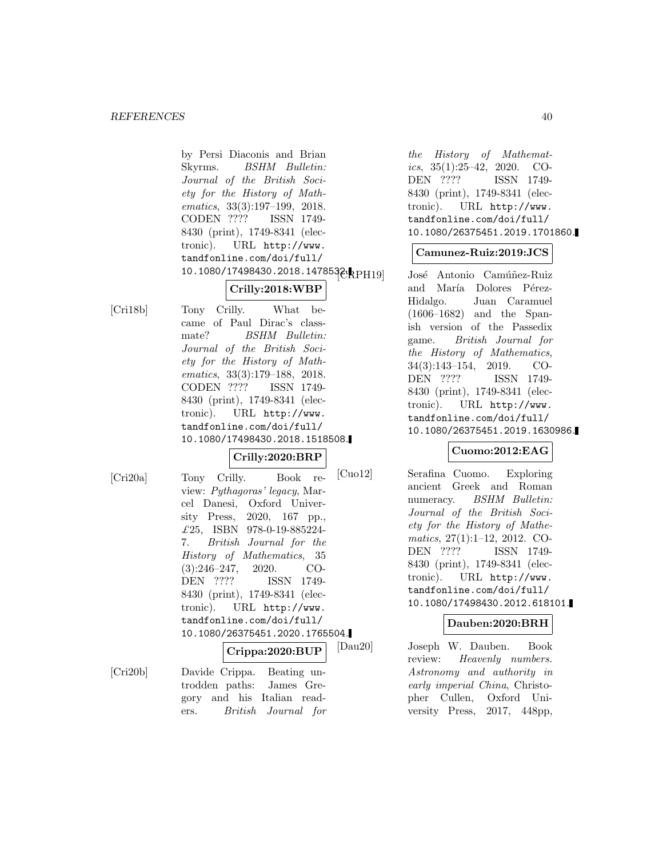by Persi Diaconis and Brian Skyrms. BSHM Bulletin: Journal of the British Society for the History of Mathematics, 33(3):197–199, 2018. CODEN ???? ISSN 1749- 8430 (print), 1749-8341 (electronic). URL http://www. tandfonline.com/doi/full/ 10.1080/17498430.2018.1478532.

# **Crilly:2018:WBP**

[Cri18b] Tony Crilly. What became of Paul Dirac's classmate? BSHM Bulletin: Journal of the British Society for the History of Mathematics, 33(3):179–188, 2018. CODEN ???? ISSN 1749- 8430 (print), 1749-8341 (electronic). URL http://www. tandfonline.com/doi/full/ 10.1080/17498430.2018.1518508.

### **Crilly:2020:BRP**

[Cri20a] Tony Crilly. Book review: Pythagoras' legacy, Marcel Danesi, Oxford University Press, 2020, 167 pp., £25, ISBN 978-0-19-885224- 7. British Journal for the History of Mathematics, 35 (3):246–247, 2020. CO-DEN ???? ISSN 1749- 8430 (print), 1749-8341 (electronic). URL http://www. tandfonline.com/doi/full/ 10.1080/26375451.2020.1765504.

**Crippa:2020:BUP**

[Cri20b] Davide Crippa. Beating untrodden paths: James Gregory and his Italian readers. British Journal for

the History of Mathematics, 35(1):25–42, 2020. CO-DEN ???? ISSN 1749- 8430 (print), 1749-8341 (electronic). URL http://www. tandfonline.com/doi/full/ 10.1080/26375451.2019.1701860.

## **Camunez-Ruiz:2019:JCS**

José Antonio Camúñez-Ruiz and María Dolores Pérez-Hidalgo. Juan Caramuel (1606–1682) and the Spanish version of the Passedix game. British Journal for the History of Mathematics, 34(3):143–154, 2019. CO-DEN ???? ISSN 1749- 8430 (print), 1749-8341 (electronic). URL http://www. tandfonline.com/doi/full/ 10.1080/26375451.2019.1630986.

## **Cuomo:2012:EAG**

[Cuo12] Serafina Cuomo. Exploring ancient Greek and Roman numeracy. BSHM Bulletin: Journal of the British Society for the History of Mathematics, 27(1):1–12, 2012. CO-DEN ???? ISSN 1749- 8430 (print), 1749-8341 (electronic). URL http://www. tandfonline.com/doi/full/ 10.1080/17498430.2012.618101.

#### **Dauben:2020:BRH**

[Dau20] Joseph W. Dauben. Book review: Heavenly numbers. Astronomy and authority in early imperial China, Christopher Cullen, Oxford University Press, 2017, 448pp,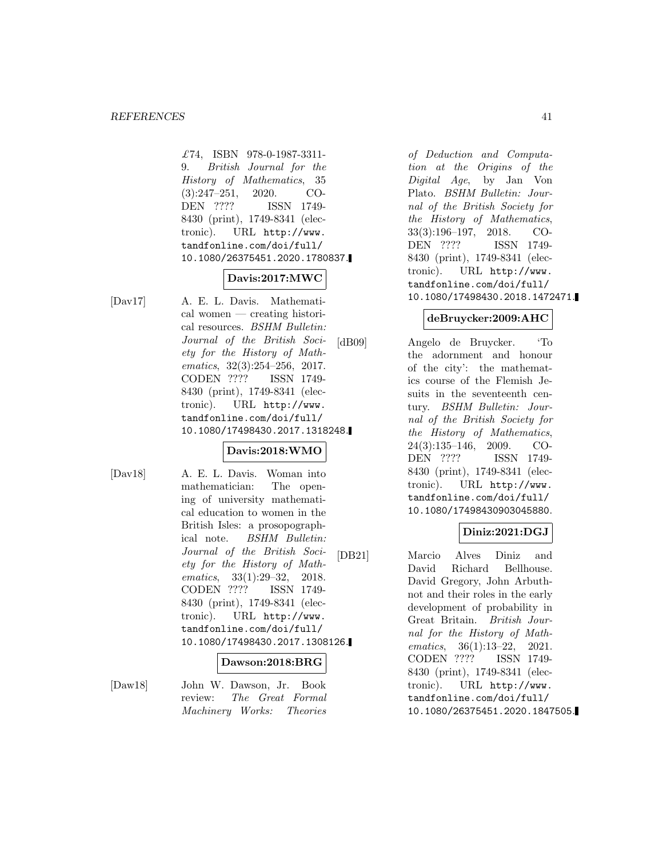£74, ISBN 978-0-1987-3311- 9. British Journal for the History of Mathematics, 35 (3):247–251, 2020. CO-DEN ???? ISSN 1749- 8430 (print), 1749-8341 (electronic). URL http://www. tandfonline.com/doi/full/ 10.1080/26375451.2020.1780837.

## **Davis:2017:MWC**

[Dav17] A. E. L. Davis. Mathematical women — creating historical resources. BSHM Bulletin: Journal of the British Society for the History of Mathematics, 32(3):254–256, 2017. CODEN ???? ISSN 1749- 8430 (print), 1749-8341 (electronic). URL http://www. tandfonline.com/doi/full/ 10.1080/17498430.2017.1318248.

## **Davis:2018:WMO**

[Dav18] A. E. L. Davis. Woman into mathematician: The opening of university mathematical education to women in the British Isles: a prosopographical note. BSHM Bulletin: Journal of the British Society for the History of Mathematics, 33(1):29–32, 2018. CODEN ???? ISSN 1749- 8430 (print), 1749-8341 (electronic). URL http://www. tandfonline.com/doi/full/ 10.1080/17498430.2017.1308126.

#### **Dawson:2018:BRG**

[Daw18] John W. Dawson, Jr. Book review: The Great Formal Machinery Works: Theories

of Deduction and Computation at the Origins of the Digital Age, by Jan Von Plato. BSHM Bulletin: Journal of the British Society for the History of Mathematics, 33(3):196–197, 2018. CO-DEN ???? ISSN 1749- 8430 (print), 1749-8341 (electronic). URL http://www. tandfonline.com/doi/full/ 10.1080/17498430.2018.1472471.

## **deBruycker:2009:AHC**

[dB09] Angelo de Bruycker. 'To the adornment and honour of the city': the mathematics course of the Flemish Jesuits in the seventeenth century. BSHM Bulletin: Journal of the British Society for the History of Mathematics, 24(3):135–146, 2009. CO-DEN ???? ISSN 1749- 8430 (print), 1749-8341 (electronic). URL http://www. tandfonline.com/doi/full/ 10.1080/17498430903045880.

## **Diniz:2021:DGJ**

[DB21] Marcio Alves Diniz and David Richard Bellhouse. David Gregory, John Arbuthnot and their roles in the early development of probability in Great Britain. British Journal for the History of Mathematics, 36(1):13–22, 2021. CODEN ???? ISSN 1749- 8430 (print), 1749-8341 (electronic). URL http://www. tandfonline.com/doi/full/ 10.1080/26375451.2020.1847505.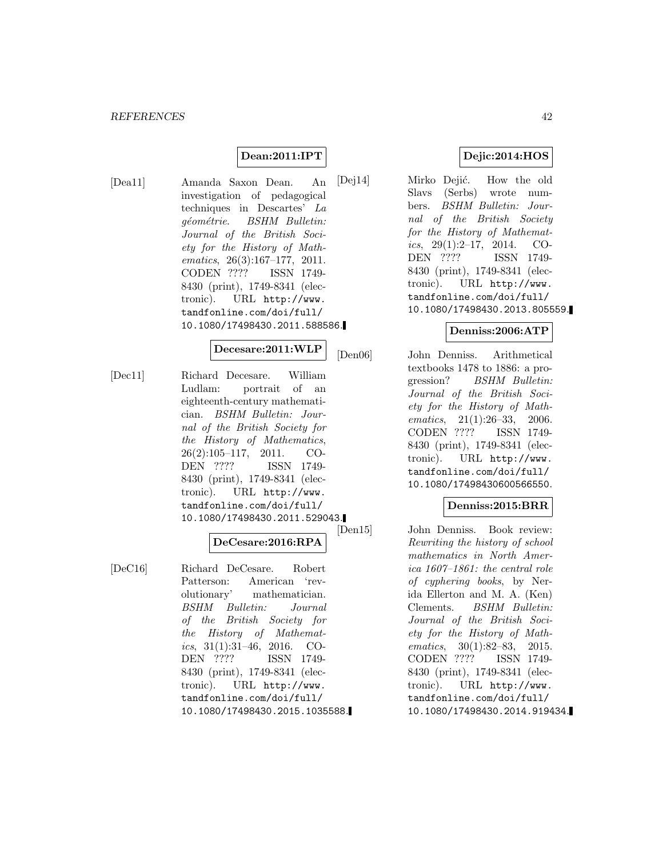## **Dean:2011:IPT**

[Dea11] Amanda Saxon Dean. An investigation of pedagogical techniques in Descartes' La géométrie. BSHM Bulletin: Journal of the British Society for the History of Mathematics, 26(3):167–177, 2011. CODEN ???? ISSN 1749- 8430 (print), 1749-8341 (electronic). URL http://www. tandfonline.com/doi/full/ 10.1080/17498430.2011.588586.

#### **Decesare:2011:WLP**

[Dec11] Richard Decesare. William Ludlam: portrait of an eighteenth-century mathematician. BSHM Bulletin: Journal of the British Society for the History of Mathematics, 26(2):105–117, 2011. CO-DEN ???? ISSN 1749- 8430 (print), 1749-8341 (electronic). URL http://www. tandfonline.com/doi/full/ 10.1080/17498430.2011.529043.<br>
[Den15]

# **DeCesare:2016:RPA**

[DeC16] Richard DeCesare. Robert Patterson: American 'revolutionary' mathematician. BSHM Bulletin: Journal of the British Society for the History of Mathematics, 31(1):31–46, 2016. CO-DEN ???? ISSN 1749- 8430 (print), 1749-8341 (electronic). URL http://www. tandfonline.com/doi/full/ 10.1080/17498430.2015.1035588.

## **Dejic:2014:HOS**

[Dej14] Mirko Dejić. How the old Slavs (Serbs) wrote numbers. BSHM Bulletin: Journal of the British Society for the History of Mathematics, 29(1):2–17, 2014. CO-DEN ???? ISSN 1749- 8430 (print), 1749-8341 (electronic). URL http://www. tandfonline.com/doi/full/ 10.1080/17498430.2013.805559.

#### **Denniss:2006:ATP**

[Den06] John Denniss. Arithmetical textbooks 1478 to 1886: a progression? BSHM Bulletin: Journal of the British Society for the History of Mathematics, 21(1):26–33, 2006. CODEN ???? ISSN 1749- 8430 (print), 1749-8341 (electronic). URL http://www. tandfonline.com/doi/full/ 10.1080/17498430600566550.

## **Denniss:2015:BRR**

John Denniss. Book review: Rewriting the history of school mathematics in North America 1607–1861: the central role of cyphering books, by Nerida Ellerton and M. A. (Ken) Clements. BSHM Bulletin: Journal of the British Society for the History of Mathematics, 30(1):82–83, 2015. CODEN ???? ISSN 1749- 8430 (print), 1749-8341 (electronic). URL http://www. tandfonline.com/doi/full/ 10.1080/17498430.2014.919434.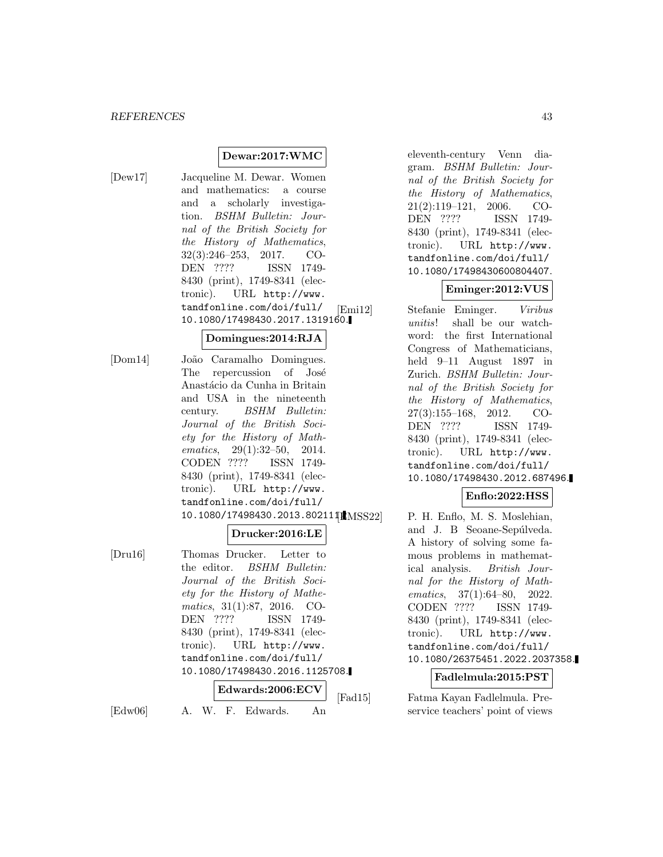#### **Dewar:2017:WMC**

[Dew17] Jacqueline M. Dewar. Women and mathematics: a course and a scholarly investigation. BSHM Bulletin: Journal of the British Society for the History of Mathematics, 32(3):246–253, 2017. CO-DEN ???? ISSN 1749- 8430 (print), 1749-8341 (electronic). URL http://www. tandfonline.com/doi/full/ 10.1080/17498430.2017.1319160.

## **Domingues:2014:RJA**

[Dom14] João Caramalho Domingues. The repercussion of José Anastácio da Cunha in Britain and USA in the nineteenth century. BSHM Bulletin: Journal of the British Society for the History of Mathematics, 29(1):32–50, 2014. CODEN ???? ISSN 1749- 8430 (print), 1749-8341 (electronic). URL http://www. tandfonline.com/doi/full/ 10.1080/17498430.2013.802111LMSS22

#### **Drucker:2016:LE**

[Dru16] Thomas Drucker. Letter to the editor. BSHM Bulletin: Journal of the British Society for the History of Mathematics, 31(1):87, 2016. CO-DEN ???? ISSN 1749- 8430 (print), 1749-8341 (electronic). URL http://www. tandfonline.com/doi/full/ 10.1080/17498430.2016.1125708. **Edwards:2006:ECV**

[Edw06] A. W. F. Edwards. An

eleventh-century Venn diagram. BSHM Bulletin: Journal of the British Society for the History of Mathematics, 21(2):119–121, 2006. CO-DEN ???? ISSN 1749- 8430 (print), 1749-8341 (electronic). URL http://www. tandfonline.com/doi/full/ 10.1080/17498430600804407.

# **Eminger:2012:VUS**

[Emi12] Stefanie Eminger. Viribus unitis! shall be our watchword: the first International Congress of Mathematicians, held 9–11 August 1897 in Zurich. BSHM Bulletin: Journal of the British Society for the History of Mathematics, 27(3):155–168, 2012. CO-DEN ???? ISSN 1749- 8430 (print), 1749-8341 (electronic). URL http://www. tandfonline.com/doi/full/ 10.1080/17498430.2012.687496.

#### **Enflo:2022:HSS**

P. H. Enflo, M. S. Moslehian, and J. B Seoane-Sepúlveda. A history of solving some famous problems in mathematical analysis. British Journal for the History of Mathematics, 37(1):64–80, 2022. CODEN ???? ISSN 1749- 8430 (print), 1749-8341 (electronic). URL http://www. tandfonline.com/doi/full/ 10.1080/26375451.2022.2037358.

## **Fadlelmula:2015:PST**

[Fad15] Fatma Kayan Fadlelmula. Preservice teachers' point of views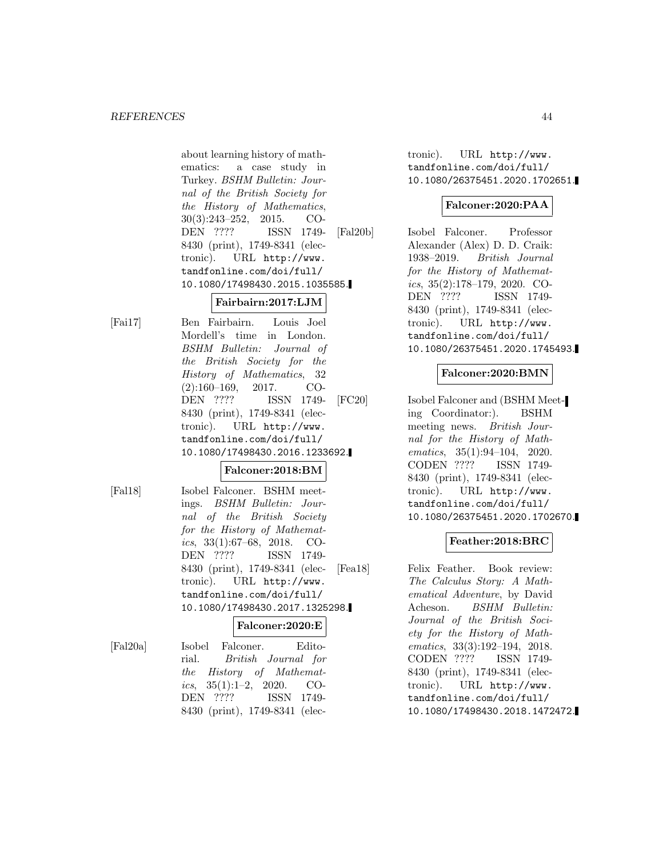about learning history of mathematics: a case study in Turkey. BSHM Bulletin: Journal of the British Society for the History of Mathematics, 30(3):243–252, 2015. CO-DEN ???? ISSN 1749- 8430 (print), 1749-8341 (electronic). URL http://www. tandfonline.com/doi/full/ 10.1080/17498430.2015.1035585.

## **Fairbairn:2017:LJM**

[Fai17] Ben Fairbairn. Louis Joel Mordell's time in London. BSHM Bulletin: Journal of the British Society for the History of Mathematics, 32 (2):160–169, 2017. CO-DEN ???? ISSN 1749- 8430 (print), 1749-8341 (electronic). URL http://www. tandfonline.com/doi/full/ 10.1080/17498430.2016.1233692.

## **Falconer:2018:BM**

[Fal18] Isobel Falconer. BSHM meetings. BSHM Bulletin: Journal of the British Society for the History of Mathematics,  $33(1):67-68$ ,  $2018$ . CO-DEN ???? ISSN 1749- 8430 (print), 1749-8341 (electronic). URL http://www. tandfonline.com/doi/full/ 10.1080/17498430.2017.1325298.

#### **Falconer:2020:E**

[Fal20a] Isobel Falconer. Editorial. British Journal for the History of Mathematics,  $35(1):1-2$ ,  $2020$ . CO-DEN ???? ISSN 1749- 8430 (print), 1749-8341 (electronic). URL http://www. tandfonline.com/doi/full/ 10.1080/26375451.2020.1702651.

# **Falconer:2020:PAA**

[Fal20b] Isobel Falconer. Professor Alexander (Alex) D. D. Craik: 1938–2019. British Journal for the History of Mathematics, 35(2):178–179, 2020. CO-DEN ???? ISSN 1749- 8430 (print), 1749-8341 (electronic). URL http://www. tandfonline.com/doi/full/ 10.1080/26375451.2020.1745493.

## **Falconer:2020:BMN**

[FC20] Isobel Falconer and (BSHM Meeting Coordinator:). BSHM meeting news. British Journal for the History of Mathematics, 35(1):94–104, 2020. CODEN ???? ISSN 1749- 8430 (print), 1749-8341 (electronic). URL http://www. tandfonline.com/doi/full/ 10.1080/26375451.2020.1702670.

# **Feather:2018:BRC**

[Fea18] Felix Feather. Book review: The Calculus Story: A Mathematical Adventure, by David Acheson. BSHM Bulletin: Journal of the British Society for the History of Mathematics, 33(3):192–194, 2018. CODEN ???? ISSN 1749- 8430 (print), 1749-8341 (electronic). URL http://www. tandfonline.com/doi/full/ 10.1080/17498430.2018.1472472.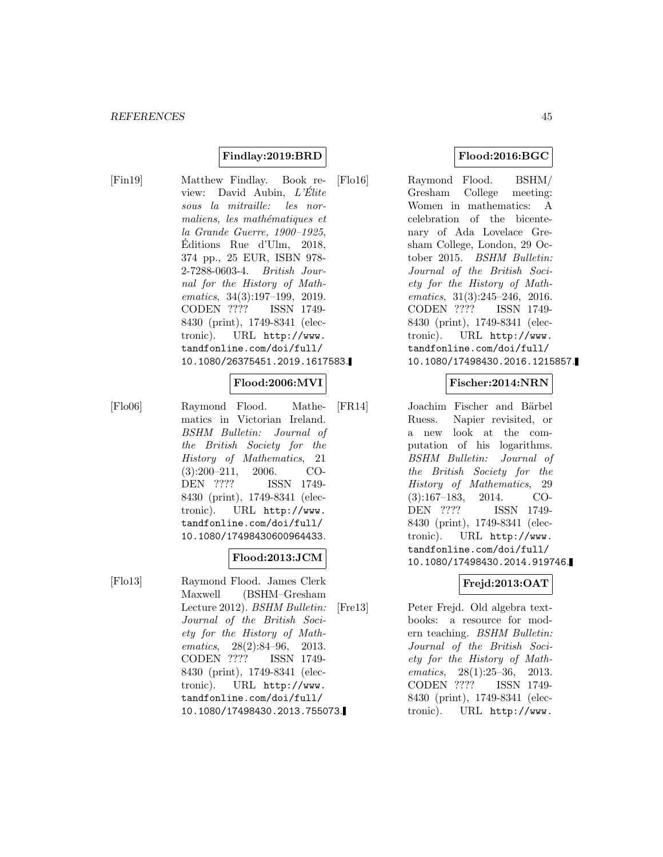## **Findlay:2019:BRD**

[Fin19] Matthew Findlay. Book review: David Aubin, L'Élite sous la mitraille: les normaliens, les mathématiques et la Grande Guerre, 1900–1925, Editions Rue d'Ulm, 2018, ´ 374 pp., 25 EUR, ISBN 978- 2-7288-0603-4. British Journal for the History of Mathematics, 34(3):197–199, 2019. CODEN ???? ISSN 1749- 8430 (print), 1749-8341 (electronic). URL http://www. tandfonline.com/doi/full/ 10.1080/26375451.2019.1617583.

## **Flood:2006:MVI**

[Flo06] Raymond Flood. Mathematics in Victorian Ireland. BSHM Bulletin: Journal of the British Society for the History of Mathematics, 21 (3):200–211, 2006. CO-DEN ???? ISSN 1749- 8430 (print), 1749-8341 (electronic). URL http://www. tandfonline.com/doi/full/ 10.1080/17498430600964433.

## **Flood:2013:JCM**

[Flo13] Raymond Flood. James Clerk Maxwell (BSHM–Gresham Lecture 2012). BSHM Bulletin: Journal of the British Society for the History of Mathematics, 28(2):84–96, 2013. CODEN ???? ISSN 1749- 8430 (print), 1749-8341 (electronic). URL http://www. tandfonline.com/doi/full/ 10.1080/17498430.2013.755073.

## **Flood:2016:BGC**

[Flo16] Raymond Flood. BSHM/ Gresham College meeting: Women in mathematics: A celebration of the bicentenary of Ada Lovelace Gresham College, London, 29 October 2015. BSHM Bulletin: Journal of the British Society for the History of Mathematics, 31(3):245–246, 2016. CODEN ???? ISSN 1749- 8430 (print), 1749-8341 (electronic). URL http://www. tandfonline.com/doi/full/ 10.1080/17498430.2016.1215857.

## **Fischer:2014:NRN**

[FR14] Joachim Fischer and Bärbel Ruess. Napier revisited, or a new look at the computation of his logarithms. BSHM Bulletin: Journal of the British Society for the History of Mathematics, 29 (3):167–183, 2014. CO-DEN ???? ISSN 1749- 8430 (print), 1749-8341 (electronic). URL http://www. tandfonline.com/doi/full/ 10.1080/17498430.2014.919746.

# **Frejd:2013:OAT**

[Fre13] Peter Frejd. Old algebra textbooks: a resource for modern teaching. BSHM Bulletin: Journal of the British Society for the History of Mathematics, 28(1):25–36, 2013. CODEN ???? ISSN 1749- 8430 (print), 1749-8341 (electronic). URL http://www.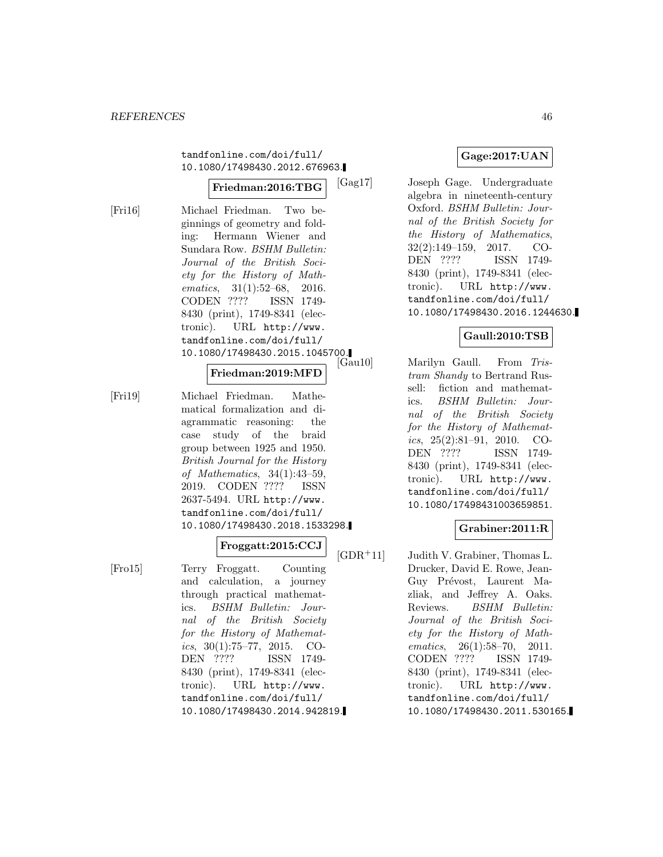tandfonline.com/doi/full/ 10.1080/17498430.2012.676963.

#### **Friedman:2016:TBG**

[Fri16] Michael Friedman. Two beginnings of geometry and folding: Hermann Wiener and Sundara Row. BSHM Bulletin: Journal of the British Society for the History of Mathematics, 31(1):52–68, 2016. CODEN ???? ISSN 1749- 8430 (print), 1749-8341 (electronic). URL http://www. tandfonline.com/doi/full/ 10.1080/17498430.2015.1045700.

#### **Friedman:2019:MFD**

[Fri19] Michael Friedman. Mathematical formalization and diagrammatic reasoning: the case study of the braid group between 1925 and 1950. British Journal for the History of Mathematics, 34(1):43–59, 2019. CODEN ???? ISSN 2637-5494. URL http://www. tandfonline.com/doi/full/ 10.1080/17498430.2018.1533298.

#### **Froggatt:2015:CCJ**

[Fro15] Terry Froggatt. Counting and calculation, a journey through practical mathematics. BSHM Bulletin: Journal of the British Society for the History of Mathematics,  $30(1):75-77$ ,  $2015$ . CO-DEN ???? ISSN 1749- 8430 (print), 1749-8341 (electronic). URL http://www. tandfonline.com/doi/full/ 10.1080/17498430.2014.942819.

## **Gage:2017:UAN**

[Gag17] Joseph Gage. Undergraduate algebra in nineteenth-century Oxford. BSHM Bulletin: Journal of the British Society for the History of Mathematics, 32(2):149–159, 2017. CO-DEN ???? ISSN 1749- 8430 (print), 1749-8341 (electronic). URL http://www. tandfonline.com/doi/full/ 10.1080/17498430.2016.1244630.

### **Gaull:2010:TSB**

Marilyn Gaull. From Tristram Shandy to Bertrand Russell: fiction and mathematics. BSHM Bulletin: Journal of the British Society for the History of Mathematics,  $25(2):81-91$ ,  $2010$ . CO-DEN ???? ISSN 1749- 8430 (print), 1749-8341 (electronic). URL http://www. tandfonline.com/doi/full/ 10.1080/17498431003659851.

## **Grabiner:2011:R**

[GDR<sup>+</sup>11] Judith V. Grabiner, Thomas L. Drucker, David E. Rowe, Jean-Guy Prévost, Laurent Mazliak, and Jeffrey A. Oaks. Reviews. BSHM Bulletin: Journal of the British Society for the History of Mathematics, 26(1):58-70, 2011. CODEN ???? ISSN 1749- 8430 (print), 1749-8341 (electronic). URL http://www. tandfonline.com/doi/full/ 10.1080/17498430.2011.530165.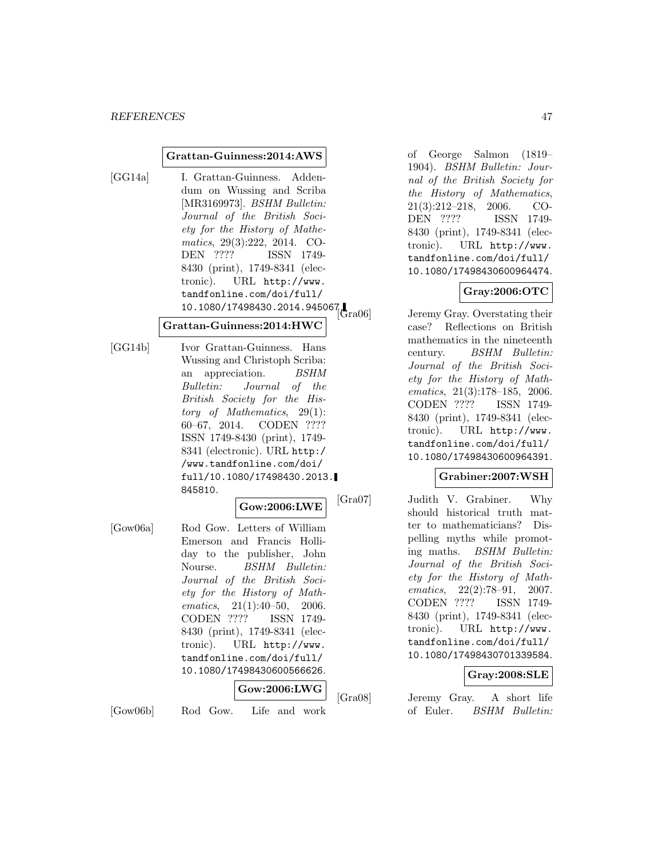#### **Grattan-Guinness:2014:AWS**

[GG14a] I. Grattan-Guinness. Addendum on Wussing and Scriba [MR3169973]. BSHM Bulletin: Journal of the British Society for the History of Mathematics, 29(3):222, 2014. CO-DEN ???? ISSN 1749- 8430 (print), 1749-8341 (electronic). URL http://www. tandfonline.com/doi/full/  $10.1080/17498430.2014.945067.$ 

#### **Grattan-Guinness:2014:HWC**

[GG14b] Ivor Grattan-Guinness. Hans Wussing and Christoph Scriba: an appreciation. BSHM Bulletin: Journal of the British Society for the History of Mathematics, 29(1): 60–67, 2014. CODEN ???? ISSN 1749-8430 (print), 1749- 8341 (electronic). URL http:/ /www.tandfonline.com/doi/ full/10.1080/17498430.2013. 845810.

#### **Gow:2006:LWE**

[Gow06a] Rod Gow. Letters of William Emerson and Francis Holliday to the publisher, John Nourse. BSHM Bulletin: Journal of the British Society for the History of Mathematics, 21(1):40–50, 2006. CODEN ???? ISSN 1749- 8430 (print), 1749-8341 (electronic). URL http://www. tandfonline.com/doi/full/ 10.1080/17498430600566626.

#### **Gow:2006:LWG**

[Gow06b] Rod Gow. Life and work

of George Salmon (1819– 1904). BSHM Bulletin: Journal of the British Society for the History of Mathematics, 21(3):212–218, 2006. CO-DEN ???? ISSN 1749- 8430 (print), 1749-8341 (electronic). URL http://www. tandfonline.com/doi/full/ 10.1080/17498430600964474.

## **Gray:2006:OTC**

Jeremy Gray. Overstating their case? Reflections on British mathematics in the nineteenth century. BSHM Bulletin: Journal of the British Society for the History of Mathematics, 21(3):178–185, 2006. CODEN ???? ISSN 1749- 8430 (print), 1749-8341 (electronic). URL http://www. tandfonline.com/doi/full/ 10.1080/17498430600964391.

#### **Grabiner:2007:WSH**

[Gra07] Judith V. Grabiner. Why should historical truth matter to mathematicians? Dispelling myths while promoting maths. BSHM Bulletin: Journal of the British Society for the History of Mathematics, 22(2):78–91, 2007. CODEN ???? ISSN 1749- 8430 (print), 1749-8341 (electronic). URL http://www. tandfonline.com/doi/full/ 10.1080/17498430701339584.

## **Gray:2008:SLE**

[Gra08] Jeremy Gray. A short life of Euler. BSHM Bulletin: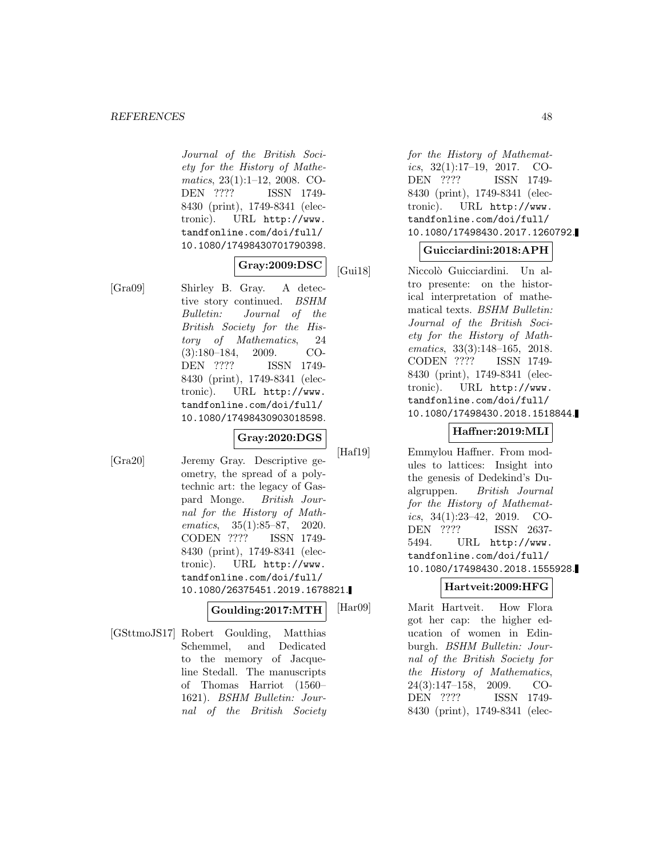#### *REFERENCES* 48

Journal of the British Society for the History of Mathematics, 23(1):1–12, 2008. CO-DEN ???? ISSN 1749- 8430 (print), 1749-8341 (electronic). URL http://www. tandfonline.com/doi/full/ 10.1080/17498430701790398.

## **Gray:2009:DSC**

[Gra09] Shirley B. Gray. A detective story continued. BSHM Bulletin: Journal of the British Society for the History of Mathematics, 24 (3):180–184, 2009. CO-DEN ???? ISSN 1749- 8430 (print), 1749-8341 (electronic). URL http://www. tandfonline.com/doi/full/ 10.1080/17498430903018598.

#### **Gray:2020:DGS**

[Gra20] Jeremy Gray. Descriptive geometry, the spread of a polytechnic art: the legacy of Gaspard Monge. British Journal for the History of Mathematics, 35(1):85–87, 2020. CODEN ???? ISSN 1749- 8430 (print), 1749-8341 (electronic). URL http://www. tandfonline.com/doi/full/ 10.1080/26375451.2019.1678821.

#### **Goulding:2017:MTH**

[GSttmoJS17] Robert Goulding, Matthias Schemmel, and Dedicated to the memory of Jacqueline Stedall. The manuscripts of Thomas Harriot (1560– 1621). BSHM Bulletin: Journal of the British Society for the History of Mathematics, 32(1):17–19, 2017. CO-DEN ???? ISSN 1749- 8430 (print), 1749-8341 (electronic). URL http://www. tandfonline.com/doi/full/ 10.1080/17498430.2017.1260792.

## **Guicciardini:2018:APH**

[Gui18] Niccolò Guicciardini. Un altro presente: on the historical interpretation of mathematical texts. BSHM Bulletin: Journal of the British Society for the History of Mathematics, 33(3):148–165, 2018. CODEN ???? ISSN 1749- 8430 (print), 1749-8341 (electronic). URL http://www. tandfonline.com/doi/full/ 10.1080/17498430.2018.1518844.

# **Haffner:2019:MLI**

[Haf19] Emmylou Haffner. From modules to lattices: Insight into the genesis of Dedekind's Dualgruppen. British Journal for the History of Mathematics, 34(1):23–42, 2019. CO-<br>DEN ???? ISSN 2637-ISSN 2637-5494. URL http://www. tandfonline.com/doi/full/ 10.1080/17498430.2018.1555928.

#### **Hartveit:2009:HFG**

[Har09] Marit Hartveit. How Flora got her cap: the higher education of women in Edinburgh. BSHM Bulletin: Journal of the British Society for the History of Mathematics, 24(3):147–158, 2009. CO-DEN ???? ISSN 1749- 8430 (print), 1749-8341 (elec-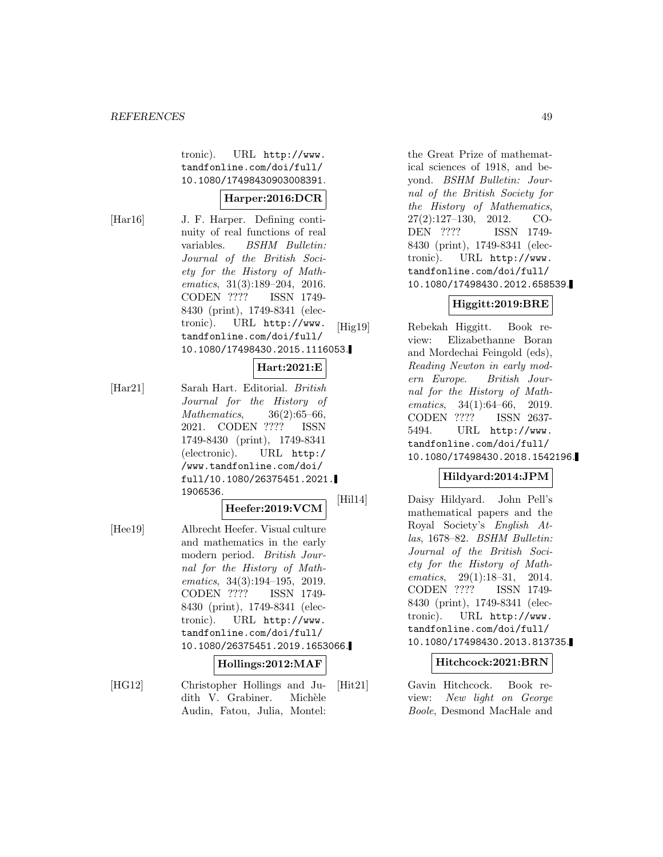tronic). URL http://www. tandfonline.com/doi/full/ 10.1080/17498430903008391.

### **Harper:2016:DCR**

[Har16] J. F. Harper. Defining continuity of real functions of real variables. BSHM Bulletin: Journal of the British Society for the History of Mathematics, 31(3):189–204, 2016. CODEN ???? ISSN 1749- 8430 (print), 1749-8341 (electronic). URL http://www. tandfonline.com/doi/full/ 10.1080/17498430.2015.1116053.

## **Hart:2021:E**

[Har21] Sarah Hart. Editorial. British Journal for the History of Mathematics, 36(2):65–66, 2021. CODEN ???? ISSN 1749-8430 (print), 1749-8341 (electronic). URL http:/ /www.tandfonline.com/doi/ full/10.1080/26375451.2021. 1906536.

# **Heefer:2019:VCM**

[Hee19] Albrecht Heefer. Visual culture and mathematics in the early modern period. British Journal for the History of Mathematics, 34(3):194–195, 2019. CODEN ???? ISSN 1749- 8430 (print), 1749-8341 (electronic). URL http://www. tandfonline.com/doi/full/ 10.1080/26375451.2019.1653066.

#### **Hollings:2012:MAF**

[HG12] Christopher Hollings and Judith V. Grabiner. Michèle Audin, Fatou, Julia, Montel:

the Great Prize of mathematical sciences of 1918, and beyond. BSHM Bulletin: Journal of the British Society for the History of Mathematics, 27(2):127–130, 2012. CO-DEN ???? ISSN 1749- 8430 (print), 1749-8341 (electronic). URL http://www. tandfonline.com/doi/full/ 10.1080/17498430.2012.658539.

# **Higgitt:2019:BRE**

[Hig19] Rebekah Higgitt. Book review: Elizabethanne Boran and Mordechai Feingold (eds), Reading Newton in early modern Europe. British Journal for the History of Mathematics, 34(1):64–66, 2019. CODEN ???? ISSN 2637- 5494. URL http://www. tandfonline.com/doi/full/ 10.1080/17498430.2018.1542196.

# **Hildyard:2014:JPM**

[Hil14] Daisy Hildyard. John Pell's mathematical papers and the Royal Society's English Atlas, 1678–82. BSHM Bulletin: Journal of the British Society for the History of Mathematics, 29(1):18–31, 2014. CODEN ???? ISSN 1749- 8430 (print), 1749-8341 (electronic). URL http://www. tandfonline.com/doi/full/ 10.1080/17498430.2013.813735.

#### **Hitchcock:2021:BRN**

[Hit21] Gavin Hitchcock. Book review: New light on George Boole, Desmond MacHale and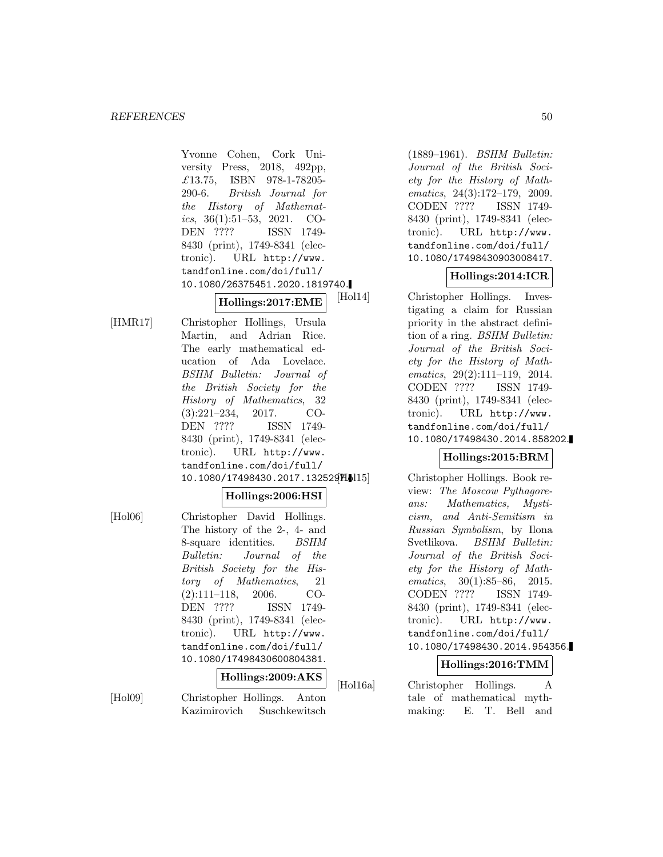Yvonne Cohen, Cork University Press, 2018, 492pp, £13.75, ISBN 978-1-78205- 290-6. British Journal for the History of Mathematics, 36(1):51–53, 2021. CO-DEN ???? ISSN 1749- 8430 (print), 1749-8341 (electronic). URL http://www. tandfonline.com/doi/full/ 10.1080/26375451.2020.1819740.

# **Hollings:2017:EME**

[HMR17] Christopher Hollings, Ursula Martin, and Adrian Rice. The early mathematical education of Ada Lovelace. BSHM Bulletin: Journal of the British Society for the History of Mathematics, 32 (3):221–234, 2017. CO-DEN ???? ISSN 1749- 8430 (print), 1749-8341 (electronic). URL http://www. tandfonline.com/doi/full/ 10.1080/17498430.2017.1325297.

### **Hollings:2006:HSI**

[Hol06] Christopher David Hollings. The history of the 2-, 4- and 8-square identities. BSHM Bulletin: Journal of the British Society for the History of Mathematics, 21 (2):111–118, 2006. CO-DEN ???? ISSN 1749- 8430 (print), 1749-8341 (electronic). URL http://www. tandfonline.com/doi/full/ 10.1080/17498430600804381.

## **Hollings:2009:AKS**

[Hol09] Christopher Hollings. Anton Kazimirovich Suschkewitsch

(1889–1961). BSHM Bulletin: Journal of the British Society for the History of Mathematics, 24(3):172–179, 2009. CODEN ???? ISSN 1749- 8430 (print), 1749-8341 (electronic). URL http://www. tandfonline.com/doi/full/ 10.1080/17498430903008417.

## **Hollings:2014:ICR**

[Hol14] Christopher Hollings. Investigating a claim for Russian priority in the abstract definition of a ring. BSHM Bulletin: Journal of the British Society for the History of Mathematics, 29(2):111–119, 2014. CODEN ???? ISSN 1749- 8430 (print), 1749-8341 (electronic). URL http://www. tandfonline.com/doi/full/ 10.1080/17498430.2014.858202.

## **Hollings:2015:BRM**

Christopher Hollings. Book review: The Moscow Pythagoreans: Mathematics, Mysticism, and Anti-Semitism in Russian Symbolism, by Ilona Svetlikova. BSHM Bulletin: Journal of the British Society for the History of Mathematics, 30(1):85–86, 2015. CODEN ???? ISSN 1749- 8430 (print), 1749-8341 (electronic). URL http://www. tandfonline.com/doi/full/ 10.1080/17498430.2014.954356.

#### **Hollings:2016:TMM**

[Hol16a] Christopher Hollings. A tale of mathematical mythmaking: E. T. Bell and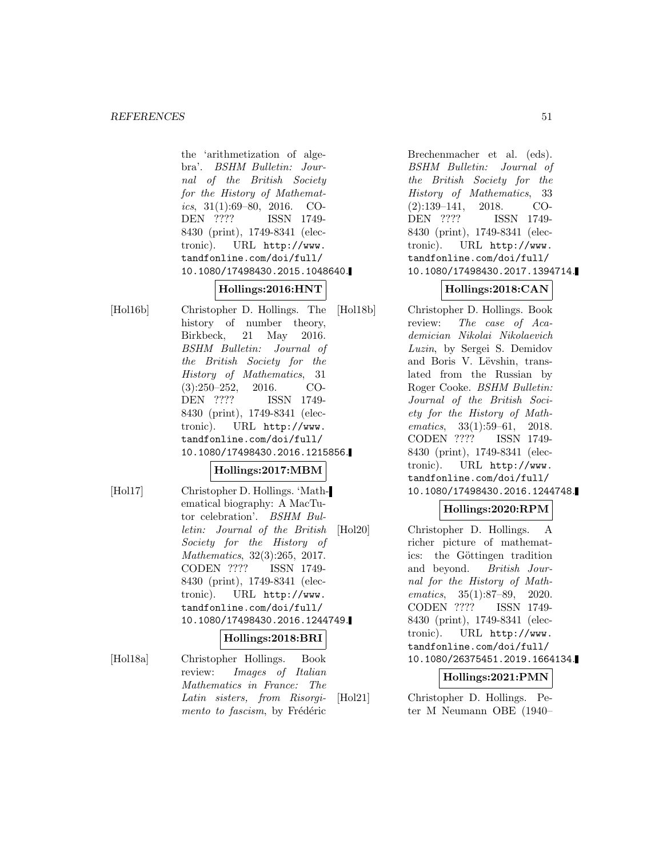the 'arithmetization of algebra'. BSHM Bulletin: Journal of the British Society for the History of Mathematics,  $31(1):69-80$ ,  $2016$ . CO-DEN ???? ISSN 1749- 8430 (print), 1749-8341 (electronic). URL http://www. tandfonline.com/doi/full/ 10.1080/17498430.2015.1048640.

# **Hollings:2016:HNT**

[Hol16b] Christopher D. Hollings. The history of number theory, Birkbeck, 21 May 2016. BSHM Bulletin: Journal of the British Society for the History of Mathematics, 31 (3):250–252, 2016. CO-DEN ???? ISSN 1749- 8430 (print), 1749-8341 (electronic). URL http://www. tandfonline.com/doi/full/ 10.1080/17498430.2016.1215856.

## **Hollings:2017:MBM**

[Hol17] Christopher D. Hollings. 'Mathematical biography: A MacTutor celebration'. BSHM Bulletin: Journal of the British Society for the History of Mathematics, 32(3):265, 2017. CODEN ???? ISSN 1749- 8430 (print), 1749-8341 (electronic). URL http://www. tandfonline.com/doi/full/ 10.1080/17498430.2016.1244749.

### **Hollings:2018:BRI**

[Hol18a] Christopher Hollings. Book review: Images of Italian Mathematics in France: The Latin sisters, from Risorgimento to fascism, by Frédéric

Brechenmacher et al. (eds). BSHM Bulletin: Journal of the British Society for the History of Mathematics, 33 (2):139–141, 2018. CO-DEN ???? ISSN 1749- 8430 (print), 1749-8341 (electronic). URL http://www. tandfonline.com/doi/full/ 10.1080/17498430.2017.1394714.

# **Hollings:2018:CAN**

[Hol18b] Christopher D. Hollings. Book review: The case of Academician Nikolai Nikolaevich Luzin, by Sergei S. Demidov and Boris V. Lëvshin, translated from the Russian by Roger Cooke. BSHM Bulletin: Journal of the British Society for the History of Mathematics, 33(1):59–61, 2018. CODEN ???? ISSN 1749- 8430 (print), 1749-8341 (electronic). URL http://www. tandfonline.com/doi/full/ 10.1080/17498430.2016.1244748.

## **Hollings:2020:RPM**

[Hol20] Christopher D. Hollings. A richer picture of mathematics: the Göttingen tradition and beyond. British Journal for the History of Mathematics, 35(1):87–89, 2020. CODEN ???? ISSN 1749- 8430 (print), 1749-8341 (electronic). URL http://www. tandfonline.com/doi/full/ 10.1080/26375451.2019.1664134.

# **Hollings:2021:PMN**

[Hol21] Christopher D. Hollings. Peter M Neumann OBE (1940–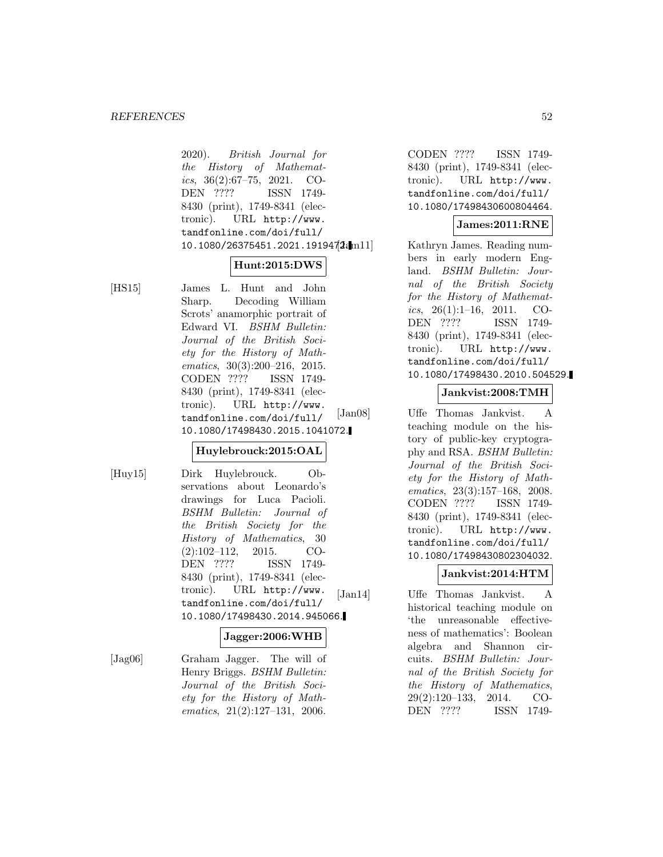2020). British Journal for the History of Mathematics,  $36(2):67-75$ ,  $2021$ . CO-DEN ???? ISSN 1749- 8430 (print), 1749-8341 (electronic). URL http://www. tandfonline.com/doi/full/ 10.1080/26375451.2021.1919472.mll

#### **Hunt:2015:DWS**

[HS15] James L. Hunt and John Sharp. Decoding William Scrots' anamorphic portrait of Edward VI. BSHM Bulletin: Journal of the British Society for the History of Mathematics, 30(3):200–216, 2015. CODEN ???? ISSN 1749- 8430 (print), 1749-8341 (electronic). URL http://www. tandfonline.com/doi/full/ 10.1080/17498430.2015.1041072.

## **Huylebrouck:2015:OAL**

[Huy15] Dirk Huylebrouck. Observations about Leonardo's drawings for Luca Pacioli. BSHM Bulletin: Journal of the British Society for the History of Mathematics, 30 (2):102–112, 2015. CO-DEN ???? ISSN 1749- 8430 (print), 1749-8341 (electronic). URL http://www. tandfonline.com/doi/full/ 10.1080/17498430.2014.945066.

#### **Jagger:2006:WHB**

[Jag06] Graham Jagger. The will of Henry Briggs. BSHM Bulletin: Journal of the British Society for the History of Mathematics, 21(2):127–131, 2006.

CODEN ???? ISSN 1749- 8430 (print), 1749-8341 (electronic). URL http://www. tandfonline.com/doi/full/ 10.1080/17498430600804464.

## **James:2011:RNE**

Kathryn James. Reading numbers in early modern England. BSHM Bulletin: Journal of the British Society for the History of Mathematics,  $26(1):1-16$ ,  $2011$ . CO-DEN ???? ISSN 1749- 8430 (print), 1749-8341 (electronic). URL http://www. tandfonline.com/doi/full/ 10.1080/17498430.2010.504529.

## **Jankvist:2008:TMH**

[Jan08] Uffe Thomas Jankvist. A teaching module on the history of public-key cryptography and RSA. BSHM Bulletin: Journal of the British Society for the History of Mathematics, 23(3):157–168, 2008. CODEN ???? ISSN 1749- 8430 (print), 1749-8341 (electronic). URL http://www. tandfonline.com/doi/full/ 10.1080/17498430802304032.

# **Jankvist:2014:HTM**

[Jan14] Uffe Thomas Jankvist. A historical teaching module on 'the unreasonable effectiveness of mathematics': Boolean algebra and Shannon circuits. BSHM Bulletin: Journal of the British Society for the History of Mathematics, 29(2):120–133, 2014. CO-DEN ???? ISSN 1749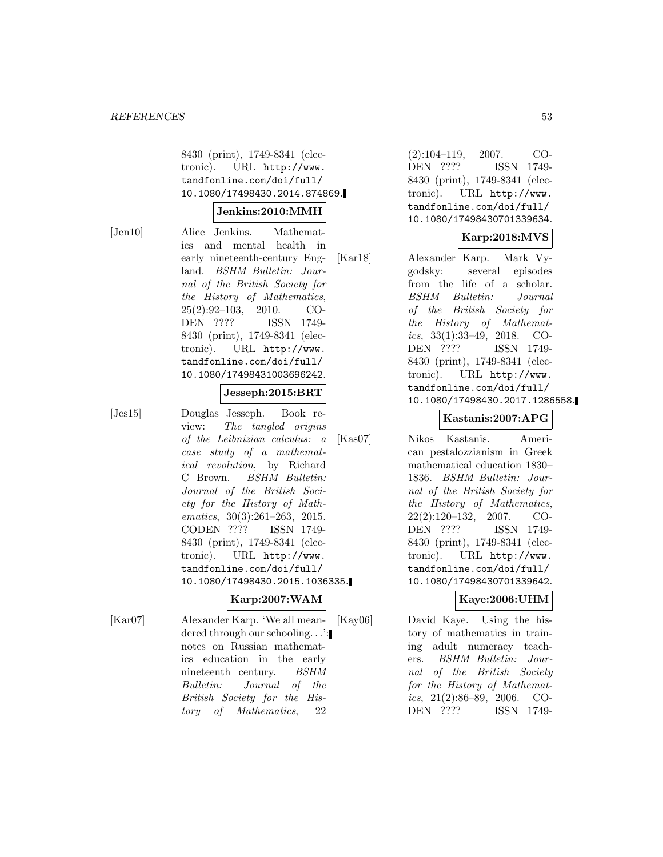8430 (print), 1749-8341 (electronic). URL http://www. tandfonline.com/doi/full/ 10.1080/17498430.2014.874869.

#### **Jenkins:2010:MMH**

[Jen10] Alice Jenkins. Mathematics and mental health in early nineteenth-century England. BSHM Bulletin: Journal of the British Society for the History of Mathematics, 25(2):92–103, 2010. CO-DEN ???? ISSN 1749- 8430 (print), 1749-8341 (electronic). URL http://www. tandfonline.com/doi/full/ 10.1080/17498431003696242.

#### **Jesseph:2015:BRT**

[Jes15] Douglas Jesseph. Book review: The tangled origins of the Leibnizian calculus: a case study of a mathematical revolution, by Richard C Brown. BSHM Bulletin: Journal of the British Society for the History of Mathematics, 30(3):261–263, 2015.<br>CODEN ???? ISSN 1749-CODEN ???? 8430 (print), 1749-8341 (electronic). URL http://www. tandfonline.com/doi/full/ 10.1080/17498430.2015.1036335.

#### **Karp:2007:WAM**

[Kar07] Alexander Karp. 'We all meandered through our schooling...': notes on Russian mathematics education in the early nineteenth century. BSHM Bulletin: Journal of the British Society for the History of Mathematics, 22

(2):104–119, 2007. CO-DEN ???? ISSN 1749- 8430 (print), 1749-8341 (electronic). URL http://www. tandfonline.com/doi/full/ 10.1080/17498430701339634.

# **Karp:2018:MVS**

[Kar18] Alexander Karp. Mark Vygodsky: several episodes from the life of a scholar. BSHM Bulletin: Journal of the British Society for the History of Mathematics, 33(1):33–49, 2018. CO-DEN ???? ISSN 1749- 8430 (print), 1749-8341 (electronic). URL http://www. tandfonline.com/doi/full/ 10.1080/17498430.2017.1286558.

#### **Kastanis:2007:APG**

[Kas07] Nikos Kastanis. American pestalozzianism in Greek mathematical education 1830– 1836. BSHM Bulletin: Journal of the British Society for the History of Mathematics, 22(2):120–132, 2007. CO-DEN ???? ISSN 1749- 8430 (print), 1749-8341 (electronic). URL http://www. tandfonline.com/doi/full/ 10.1080/17498430701339642.

### **Kaye:2006:UHM**

[Kay06] David Kaye. Using the history of mathematics in training adult numeracy teachers. BSHM Bulletin: Journal of the British Society for the History of Mathematics, 21(2):86–89, 2006. CO-DEN ???? ISSN 1749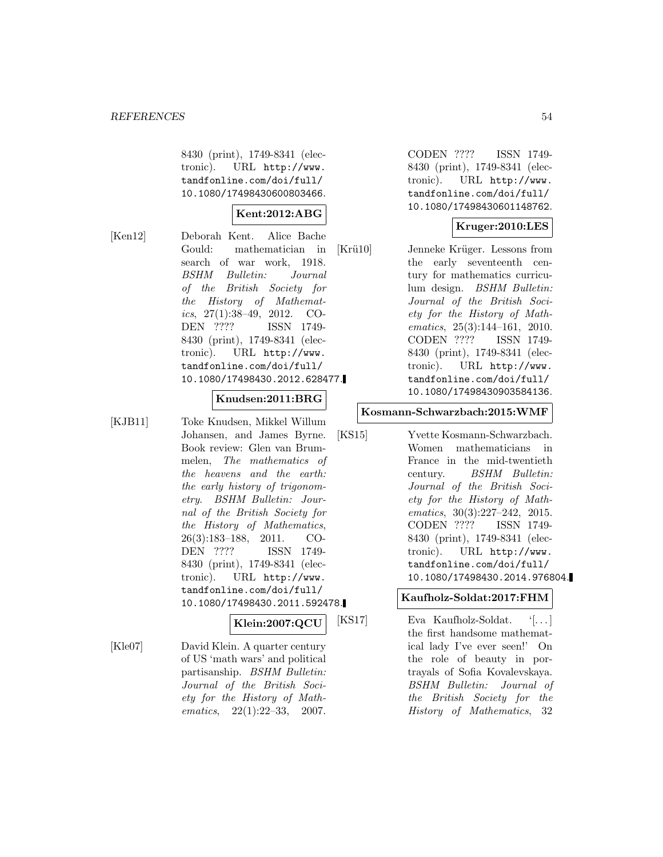8430 (print), 1749-8341 (electronic). URL http://www. tandfonline.com/doi/full/ 10.1080/17498430600803466.

## **Kent:2012:ABG**

[Ken12] Deborah Kent. Alice Bache Gould: mathematician in search of war work, 1918. BSHM Bulletin: Journal of the British Society for the History of Mathematics,  $27(1):38-49$ ,  $2012$ . CO-DEN ???? ISSN 1749- 8430 (print), 1749-8341 (electronic). URL http://www. tandfonline.com/doi/full/ 10.1080/17498430.2012.628477.

## **Knudsen:2011:BRG**

[KJB11] Toke Knudsen, Mikkel Willum Johansen, and James Byrne. Book review: Glen van Brummelen, The mathematics of the heavens and the earth: the early history of trigonometry. BSHM Bulletin: Journal of the British Society for the History of Mathematics, 26(3):183–188, 2011. CO-DEN ???? ISSN 1749- 8430 (print), 1749-8341 (electronic). URL http://www. tandfonline.com/doi/full/ 10.1080/17498430.2011.592478.

## **Klein:2007:QCU**

[Kle07] David Klein. A quarter century of US 'math wars' and political partisanship. BSHM Bulletin: Journal of the British Society for the History of Mathematics, 22(1):22–33, 2007.

CODEN ???? ISSN 1749- 8430 (print), 1749-8341 (electronic). URL http://www. tandfonline.com/doi/full/ 10.1080/17498430601148762.

# **Kruger:2010:LES**

[Krü10] Jenneke Krüger. Lessons from the early seventeenth century for mathematics curriculum design. BSHM Bulletin: Journal of the British Society for the History of Mathematics, 25(3):144–161, 2010. CODEN ???? ISSN 1749- 8430 (print), 1749-8341 (electronic). URL http://www. tandfonline.com/doi/full/ 10.1080/17498430903584136.

### **Kosmann-Schwarzbach:2015:WMF**

[KS15] Yvette Kosmann-Schwarzbach. Women mathematicians in France in the mid-twentieth century. BSHM Bulletin: Journal of the British Society for the History of Mathematics, 30(3):227–242, 2015. CODEN ???? ISSN 1749- 8430 (print), 1749-8341 (electronic). URL http://www. tandfonline.com/doi/full/ 10.1080/17498430.2014.976804.

## **Kaufholz-Soldat:2017:FHM**

[KS17] Eva Kaufholz-Soldat. '[... ] the first handsome mathematical lady I've ever seen!' On the role of beauty in portrayals of Sofia Kovalevskaya. BSHM Bulletin: Journal of the British Society for the History of Mathematics, 32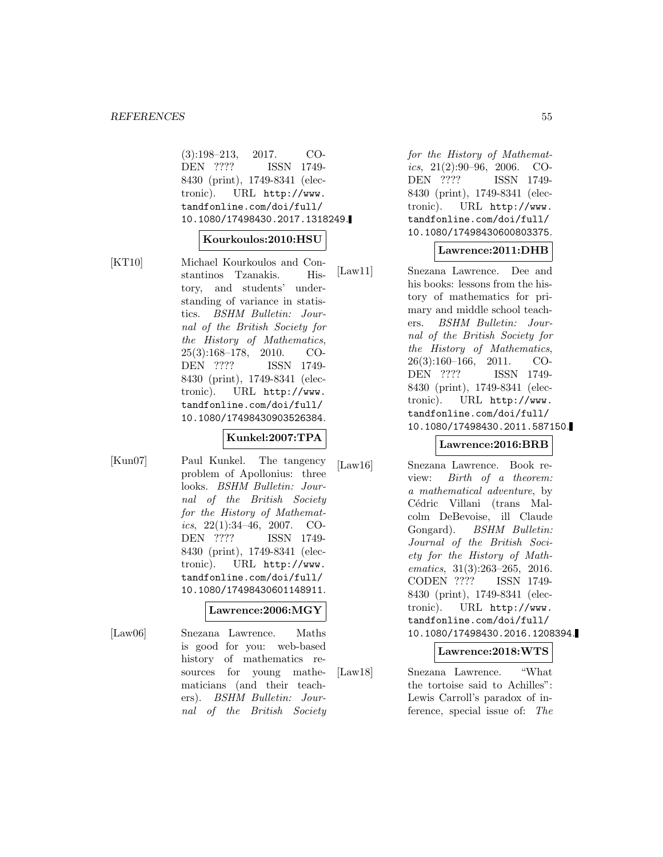(3):198–213, 2017. CO-DEN ???? ISSN 1749- 8430 (print), 1749-8341 (electronic). URL http://www. tandfonline.com/doi/full/ 10.1080/17498430.2017.1318249.

#### **Kourkoulos:2010:HSU**

[KT10] Michael Kourkoulos and Constantinos Tzanakis. History, and students' understanding of variance in statistics. BSHM Bulletin: Journal of the British Society for the History of Mathematics, 25(3):168–178, 2010. CO-DEN ???? ISSN 1749- 8430 (print), 1749-8341 (electronic). URL http://www. tandfonline.com/doi/full/ 10.1080/17498430903526384.

#### **Kunkel:2007:TPA**

[Kun07] Paul Kunkel. The tangency problem of Apollonius: three looks. BSHM Bulletin: Journal of the British Society for the History of Mathematics,  $22(1):34-46$ ,  $2007$ . CO-DEN ???? ISSN 1749- 8430 (print), 1749-8341 (electronic). URL http://www. tandfonline.com/doi/full/ 10.1080/17498430601148911.

#### **Lawrence:2006:MGY**

[Law06] Snezana Lawrence. Maths is good for you: web-based history of mathematics resources for young mathematicians (and their teachers). BSHM Bulletin: Journal of the British Society for the History of Mathematics,  $21(2):90-96$ ,  $2006$ . CO-DEN ???? ISSN 1749- 8430 (print), 1749-8341 (electronic). URL http://www. tandfonline.com/doi/full/ 10.1080/17498430600803375.

## **Lawrence:2011:DHB**

[Law11] Snezana Lawrence. Dee and his books: lessons from the history of mathematics for primary and middle school teachers. BSHM Bulletin: Journal of the British Society for the History of Mathematics, 26(3):160–166, 2011. CO-DEN ???? ISSN 1749- 8430 (print), 1749-8341 (electronic). URL http://www. tandfonline.com/doi/full/ 10.1080/17498430.2011.587150.

## **Lawrence:2016:BRB**

[Law16] Snezana Lawrence. Book review: Birth of a theorem: a mathematical adventure, by Cédric Villani (trans Malcolm DeBevoise, ill Claude Gongard). BSHM Bulletin: Journal of the British Society for the History of Mathematics, 31(3):263–265, 2016. CODEN ???? ISSN 1749- 8430 (print), 1749-8341 (electronic). URL http://www. tandfonline.com/doi/full/ 10.1080/17498430.2016.1208394.

#### **Lawrence:2018:WTS**

[Law18] Snezana Lawrence. "What the tortoise said to Achilles": Lewis Carroll's paradox of inference, special issue of: The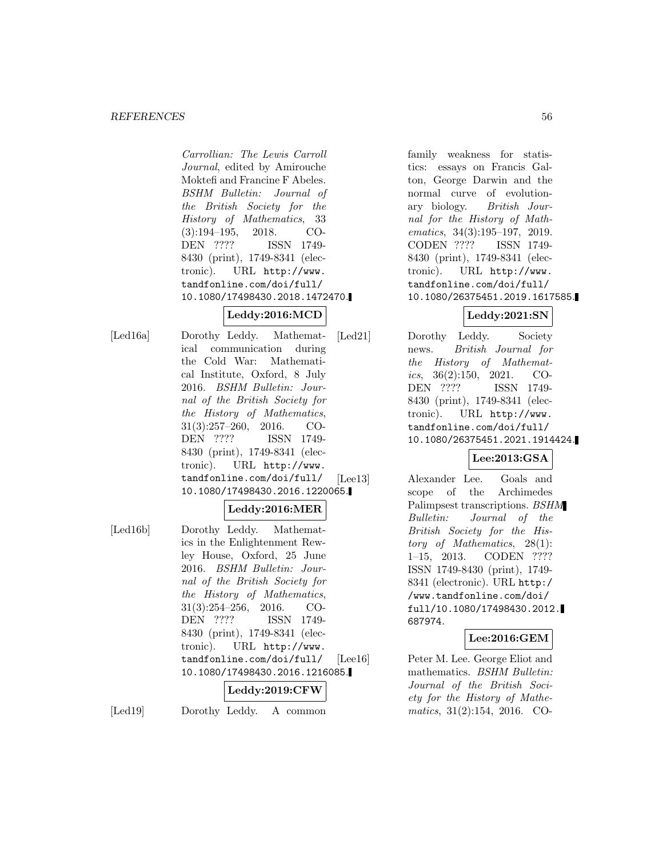Carrollian: The Lewis Carroll Journal, edited by Amirouche Moktefi and Francine F Abeles. BSHM Bulletin: Journal of the British Society for the History of Mathematics, 33 (3):194–195, 2018. CO-DEN ???? ISSN 1749- 8430 (print), 1749-8341 (electronic). URL http://www. tandfonline.com/doi/full/ 10.1080/17498430.2018.1472470.

# **Leddy:2016:MCD**

[Led16a] Dorothy Leddy. Mathematical communication during the Cold War: Mathematical Institute, Oxford, 8 July 2016. BSHM Bulletin: Journal of the British Society for the History of Mathematics, 31(3):257–260, 2016. CO-DEN ???? ISSN 1749- 8430 (print), 1749-8341 (electronic). URL http://www. tandfonline.com/doi/full/ 10.1080/17498430.2016.1220065.

## **Leddy:2016:MER**

[Led16b] Dorothy Leddy. Mathematics in the Enlightenment Rewley House, Oxford, 25 June 2016. BSHM Bulletin: Journal of the British Society for the History of Mathematics, 31(3):254–256, 2016. CO-DEN ???? ISSN 1749- 8430 (print), 1749-8341 (electronic). URL http://www. tandfonline.com/doi/full/ 10.1080/17498430.2016.1216085.

# **Leddy:2019:CFW**

[Led19] Dorothy Leddy. A common

family weakness for statistics: essays on Francis Galton, George Darwin and the normal curve of evolutionary biology. British Journal for the History of Mathematics, 34(3):195–197, 2019. CODEN ???? ISSN 1749- 8430 (print), 1749-8341 (electronic). URL http://www. tandfonline.com/doi/full/ 10.1080/26375451.2019.1617585.

# **Leddy:2021:SN**

[Led21] Dorothy Leddy. Society news. British Journal for the History of Mathematics,  $36(2):150$ ,  $2021$ . CO-DEN ???? ISSN 1749- 8430 (print), 1749-8341 (electronic). URL http://www. tandfonline.com/doi/full/ 10.1080/26375451.2021.1914424.

# **Lee:2013:GSA**

[Lee13] Alexander Lee. Goals and scope of the Archimedes Palimpsest transcriptions. BSHM Bulletin: Journal of the British Society for the History of Mathematics, 28(1): 1–15, 2013. CODEN ???? ISSN 1749-8430 (print), 1749- 8341 (electronic). URL http:/ /www.tandfonline.com/doi/ full/10.1080/17498430.2012. 687974.

## **Lee:2016:GEM**

[Lee16] Peter M. Lee. George Eliot and mathematics. BSHM Bulletin: Journal of the British Society for the History of Mathematics, 31(2):154, 2016. CO-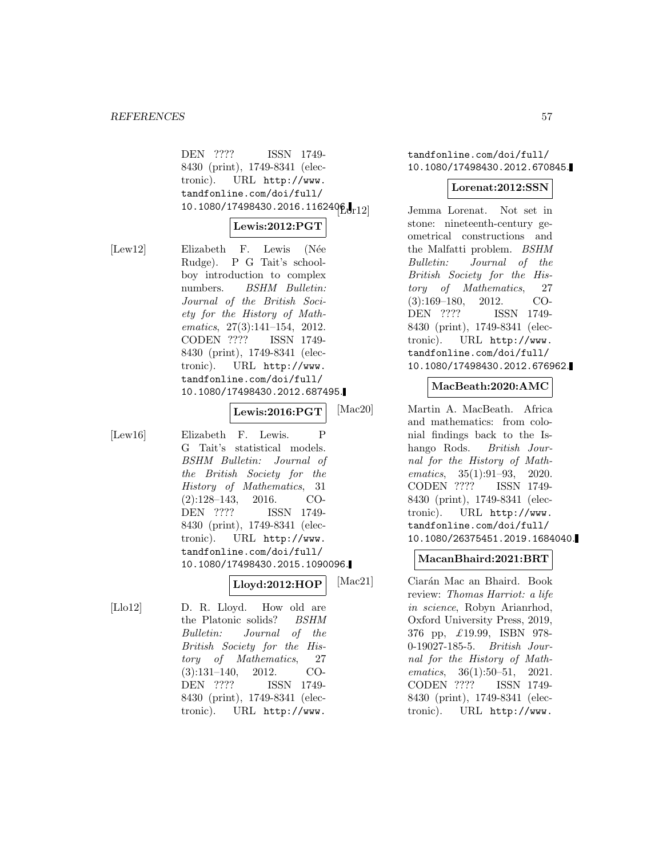DEN ???? ISSN 1749- 8430 (print), 1749-8341 (electronic). URL http://www. tandfonline.com/doi/full/  $10.1080/17498430.2016.1162496.$ 

## **Lewis:2012:PGT**

[Lew12] Elizabeth F. Lewis (Née Rudge). P G Tait's schoolboy introduction to complex numbers. BSHM Bulletin: Journal of the British Society for the History of Mathematics, 27(3):141–154, 2012. CODEN ???? ISSN 1749- 8430 (print), 1749-8341 (electronic). URL http://www. tandfonline.com/doi/full/ 10.1080/17498430.2012.687495.

**Lewis:2016:PGT**

[Lew16] Elizabeth F. Lewis. P G Tait's statistical models. BSHM Bulletin: Journal of the British Society for the History of Mathematics, 31 (2):128–143, 2016. CO-DEN ???? ISSN 1749- 8430 (print), 1749-8341 (electronic). URL http://www. tandfonline.com/doi/full/ 10.1080/17498430.2015.1090096.

**Lloyd:2012:HOP**

[Llo12] D. R. Lloyd. How old are the Platonic solids? BSHM Bulletin: Journal of the British Society for the History of Mathematics, 27 (3):131–140, 2012. CO-DEN ???? ISSN 1749- 8430 (print), 1749-8341 (electronic). URL http://www.

tandfonline.com/doi/full/ 10.1080/17498430.2012.670845.

#### **Lorenat:2012:SSN**

Jemma Lorenat. Not set in stone: nineteenth-century geometrical constructions and the Malfatti problem. BSHM Bulletin: Journal of the British Society for the History of Mathematics, 27 (3):169–180, 2012. CO-DEN ???? ISSN 1749- 8430 (print), 1749-8341 (electronic). URL http://www. tandfonline.com/doi/full/ 10.1080/17498430.2012.676962.

### **MacBeath:2020:AMC**

[Mac20] Martin A. MacBeath. Africa and mathematics: from colonial findings back to the Ishango Rods. *British Jour*nal for the History of Mathematics, 35(1):91–93, 2020. CODEN ???? ISSN 1749- 8430 (print), 1749-8341 (electronic). URL http://www. tandfonline.com/doi/full/ 10.1080/26375451.2019.1684040.

### **MacanBhaird:2021:BRT**

[Mac21] Ciarán Mac an Bhaird. Book review: Thomas Harriot: a life in science, Robyn Arianrhod, Oxford University Press, 2019, 376 pp, £19.99, ISBN 978- 0-19027-185-5. British Journal for the History of Mathematics, 36(1):50–51, 2021. CODEN ???? ISSN 1749- 8430 (print), 1749-8341 (electronic). URL http://www.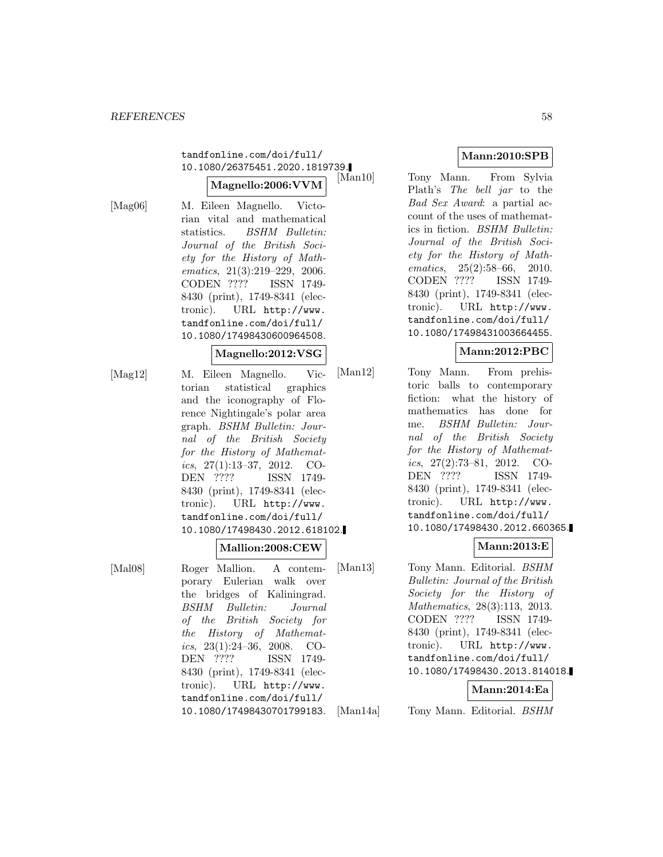# tandfonline.com/doi/full/ 10.1080/26375451.2020.1819739.

#### **Magnello:2006:VVM**

[Mag06] M. Eileen Magnello. Victorian vital and mathematical statistics. BSHM Bulletin: Journal of the British Society for the History of Mathematics, 21(3):219–229, 2006. CODEN ???? ISSN 1749- 8430 (print), 1749-8341 (electronic). URL http://www. tandfonline.com/doi/full/ 10.1080/17498430600964508.

#### **Magnello:2012:VSG**

[Mag12] M. Eileen Magnello. Victorian statistical graphics and the iconography of Florence Nightingale's polar area graph. BSHM Bulletin: Journal of the British Society for the History of Mathematics, 27(1):13–37, 2012. CO-DEN ???? ISSN 1749- 8430 (print), 1749-8341 (electronic). URL http://www. tandfonline.com/doi/full/ 10.1080/17498430.2012.618102.

#### **Mallion:2008:CEW**

[Mal08] Roger Mallion. A contemporary Eulerian walk over the bridges of Kaliningrad. BSHM Bulletin: Journal of the British Society for the History of Mathematics,  $23(1):24-36$ ,  $2008$ . CO-DEN ???? ISSN 1749- 8430 (print), 1749-8341 (electronic). URL http://www. tandfonline.com/doi/full/ 10.1080/17498430701799183.

# **Mann:2010:SPB**

Tony Mann. From Sylvia Plath's The bell jar to the Bad Sex Award: a partial account of the uses of mathematics in fiction. BSHM Bulletin: Journal of the British Society for the History of Mathematics, 25(2):58–66, 2010. CODEN ???? ISSN 1749- 8430 (print), 1749-8341 (electronic). URL http://www. tandfonline.com/doi/full/ 10.1080/17498431003664455.

## **Mann:2012:PBC**

[Man12] Tony Mann. From prehistoric balls to contemporary fiction: what the history of mathematics has done for me. BSHM Bulletin: Journal of the British Society for the History of Mathematics, 27(2):73–81, 2012. CO-DEN ???? ISSN 1749- 8430 (print), 1749-8341 (electronic). URL http://www. tandfonline.com/doi/full/ 10.1080/17498430.2012.660365.

## **Mann:2013:E**

[Man13] Tony Mann. Editorial. *BSHM* Bulletin: Journal of the British Society for the History of Mathematics, 28(3):113, 2013. CODEN ???? ISSN 1749- 8430 (print), 1749-8341 (electronic). URL http://www. tandfonline.com/doi/full/ 10.1080/17498430.2013.814018.

#### **Mann:2014:Ea**

[Man14a] Tony Mann. Editorial. BSHM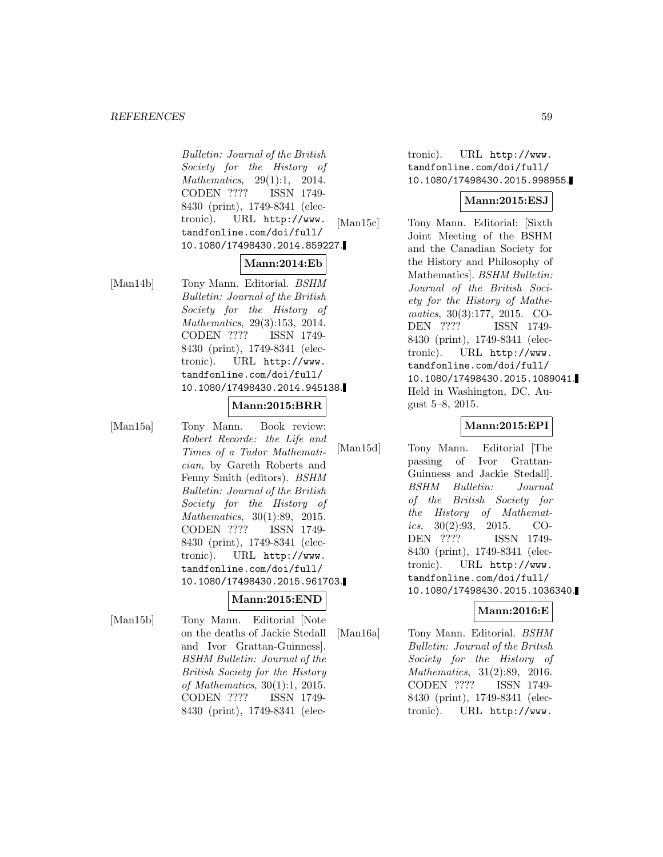#### *REFERENCES* 59

Bulletin: Journal of the British Society for the History of Mathematics, 29(1):1, 2014. CODEN ???? ISSN 1749- 8430 (print), 1749-8341 (electronic). URL http://www. tandfonline.com/doi/full/ 10.1080/17498430.2014.859227.

#### **Mann:2014:Eb**

[Man14b] Tony Mann. Editorial. BSHM Bulletin: Journal of the British Society for the History of Mathematics, 29(3):153, 2014. CODEN ???? ISSN 1749- 8430 (print), 1749-8341 (electronic). URL http://www. tandfonline.com/doi/full/ 10.1080/17498430.2014.945138.

#### **Mann:2015:BRR**

[Man15a] Tony Mann. Book review: Robert Recorde: the Life and Times of a Tudor Mathematician, by Gareth Roberts and Fenny Smith (editors). BSHM Bulletin: Journal of the British Society for the History of Mathematics, 30(1):89, 2015. CODEN ???? ISSN 1749- 8430 (print), 1749-8341 (electronic). URL http://www. tandfonline.com/doi/full/ 10.1080/17498430.2015.961703.

#### **Mann:2015:END**

[Man15b] Tony Mann. Editorial [Note on the deaths of Jackie Stedall and Ivor Grattan-Guinness]. BSHM Bulletin: Journal of the British Society for the History of Mathematics, 30(1):1, 2015. CODEN ???? ISSN 1749- 8430 (print), 1749-8341 (elec-

tronic). URL http://www. tandfonline.com/doi/full/ 10.1080/17498430.2015.998955.

## **Mann:2015:ESJ**

[Man15c] Tony Mann. Editorial: [Sixth Joint Meeting of the BSHM and the Canadian Society for the History and Philosophy of Mathematics]. BSHM Bulletin: Journal of the British Society for the History of Mathematics, 30(3):177, 2015. CO-DEN ???? ISSN 1749- 8430 (print), 1749-8341 (electronic). URL http://www. tandfonline.com/doi/full/ 10.1080/17498430.2015.1089041. Held in Washington, DC, August 5–8, 2015.

## **Mann:2015:EPI**

[Man15d] Tony Mann. Editorial [The passing of Ivor Grattan-Guinness and Jackie Stedall]. BSHM Bulletin: Journal of the British Society for the History of Mathematics,  $30(2):93$ ,  $2015$ , CO-DEN ???? ISSN 1749- 8430 (print), 1749-8341 (electronic). URL http://www. tandfonline.com/doi/full/ 10.1080/17498430.2015.1036340.

## **Mann:2016:E**

[Man16a] Tony Mann. Editorial. BSHM Bulletin: Journal of the British Society for the History of Mathematics, 31(2):89, 2016. CODEN ???? ISSN 1749- 8430 (print), 1749-8341 (electronic). URL http://www.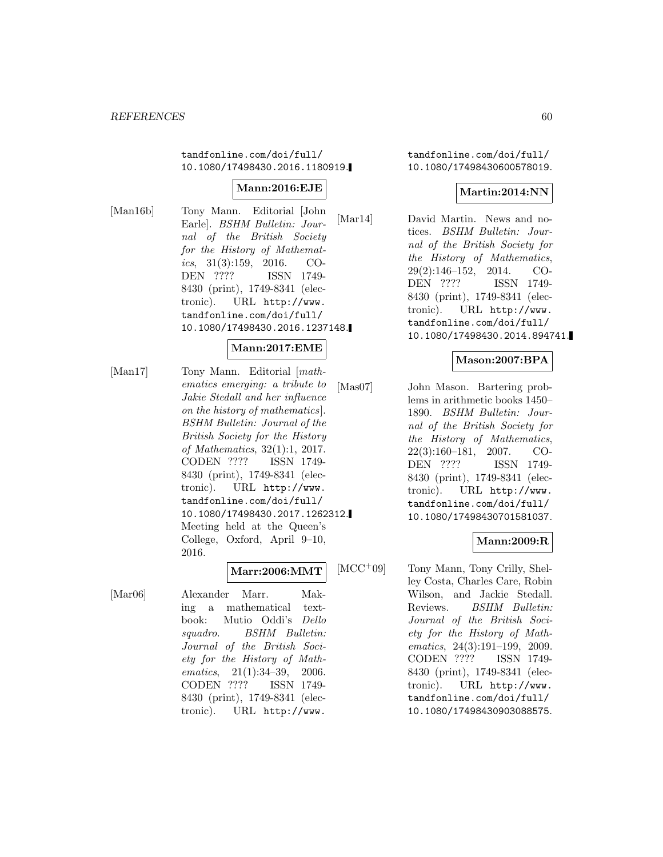tandfonline.com/doi/full/ 10.1080/17498430.2016.1180919.

## **Mann:2016:EJE**

[Man16b] Tony Mann. Editorial [John Earle]. BSHM Bulletin: Journal of the British Society for the History of Mathematics, 31(3):159, 2016. CO-DEN ???? ISSN 1749- 8430 (print), 1749-8341 (electronic). URL http://www. tandfonline.com/doi/full/ 10.1080/17498430.2016.1237148.

## **Mann:2017:EME**

[Man17] Tony Mann. Editorial [mathematics emerging: a tribute to Jakie Stedall and her influence on the history of mathematics]. BSHM Bulletin: Journal of the British Society for the History of Mathematics, 32(1):1, 2017. CODEN ???? ISSN 1749- 8430 (print), 1749-8341 (electronic). URL http://www. tandfonline.com/doi/full/ 10.1080/17498430.2017.1262312. Meeting held at the Queen's College, Oxford, April 9–10, 2016.

#### **Marr:2006:MMT**

[Mar06] Alexander Marr. Making a mathematical textbook: Mutio Oddi's Dello squadro. BSHM Bulletin: Journal of the British Society for the History of Mathematics, 21(1):34-39, 2006. CODEN ???? ISSN 1749- 8430 (print), 1749-8341 (electronic). URL http://www.

tandfonline.com/doi/full/ 10.1080/17498430600578019.

## **Martin:2014:NN**

[Mar14] David Martin. News and notices. BSHM Bulletin: Journal of the British Society for the History of Mathematics, 29(2):146–152, 2014. CO-DEN ???? ISSN 1749- 8430 (print), 1749-8341 (electronic). URL http://www. tandfonline.com/doi/full/ 10.1080/17498430.2014.894741.

## **Mason:2007:BPA**

[Mas07] John Mason. Bartering problems in arithmetic books 1450– 1890. BSHM Bulletin: Journal of the British Society for the History of Mathematics, 22(3):160–181, 2007. CO-DEN ???? ISSN 1749- 8430 (print), 1749-8341 (electronic). URL http://www. tandfonline.com/doi/full/ 10.1080/17498430701581037.

## **Mann:2009:R**

[MCC<sup>+</sup>09] Tony Mann, Tony Crilly, Shelley Costa, Charles Care, Robin Wilson, and Jackie Stedall. Reviews. BSHM Bulletin: Journal of the British Society for the History of Mathematics, 24(3):191–199, 2009. CODEN ???? ISSN 1749- 8430 (print), 1749-8341 (electronic). URL http://www. tandfonline.com/doi/full/ 10.1080/17498430903088575.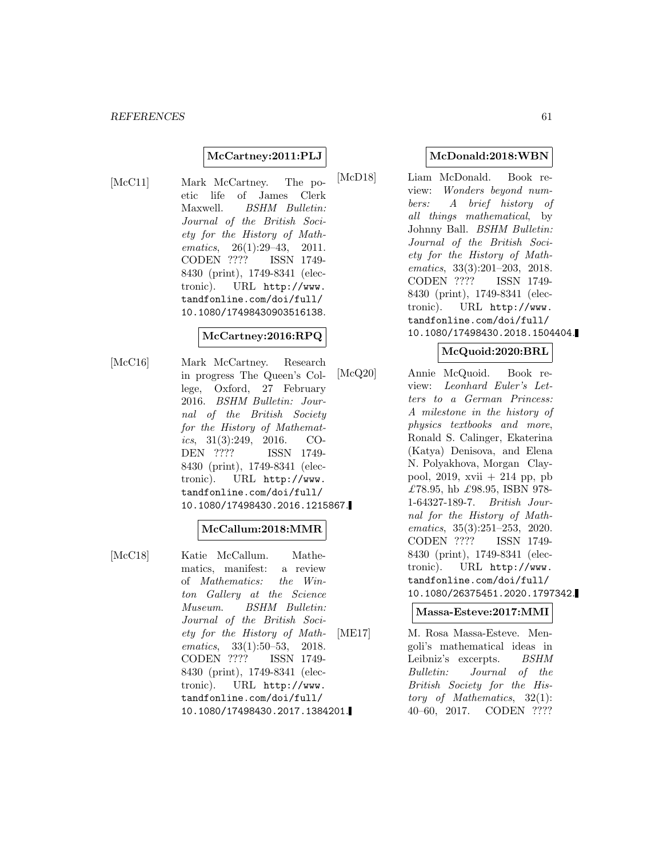### **McCartney:2011:PLJ**

[McC11] Mark McCartney. The poetic life of James Clerk Maxwell. BSHM Bulletin: Journal of the British Society for the History of Mathematics, 26(1):29–43, 2011. CODEN ???? ISSN 1749- 8430 (print), 1749-8341 (electronic). URL http://www. tandfonline.com/doi/full/ 10.1080/17498430903516138.

## **McCartney:2016:RPQ**

[McC16] Mark McCartney. Research in progress The Queen's College, Oxford, 27 February 2016. BSHM Bulletin: Journal of the British Society for the History of Mathematics,  $31(3):249$ ,  $2016$ . CO-DEN ???? ISSN 1749- 8430 (print), 1749-8341 (electronic). URL http://www. tandfonline.com/doi/full/ 10.1080/17498430.2016.1215867.

## **McCallum:2018:MMR**

[McC18] Katie McCallum. Mathematics, manifest: a review of Mathematics: the Winton Gallery at the Science Museum. BSHM Bulletin: Journal of the British Society for the History of Mathematics, 33(1):50–53, 2018. CODEN ???? ISSN 1749- 8430 (print), 1749-8341 (electronic). URL http://www. tandfonline.com/doi/full/ 10.1080/17498430.2017.1384201.

#### **McDonald:2018:WBN**

[McD18] Liam McDonald. Book review: Wonders beyond numbers: A brief history of all things mathematical, by Johnny Ball. BSHM Bulletin: Journal of the British Society for the History of Mathematics, 33(3):201–203, 2018. CODEN ???? ISSN 1749- 8430 (print), 1749-8341 (electronic). URL http://www. tandfonline.com/doi/full/ 10.1080/17498430.2018.1504404.

#### **McQuoid:2020:BRL**

[McQ20] Annie McQuoid. Book review: Leonhard Euler's Letters to a German Princess: A milestone in the history of physics textbooks and more, Ronald S. Calinger, Ekaterina (Katya) Denisova, and Elena N. Polyakhova, Morgan Claypool, 2019, xvii  $+$  214 pp, pb £78.95, hb £98.95, ISBN 978-1-64327-189-7. British Journal for the History of Mathematics, 35(3):251–253, 2020. CODEN ???? ISSN 1749- 8430 (print), 1749-8341 (electronic). URL http://www. tandfonline.com/doi/full/ 10.1080/26375451.2020.1797342.

### **Massa-Esteve:2017:MMI**

[ME17] M. Rosa Massa-Esteve. Mengoli's mathematical ideas in Leibniz's excerpts. BSHM Bulletin: Journal of the British Society for the History of Mathematics, 32(1): 40–60, 2017. CODEN ????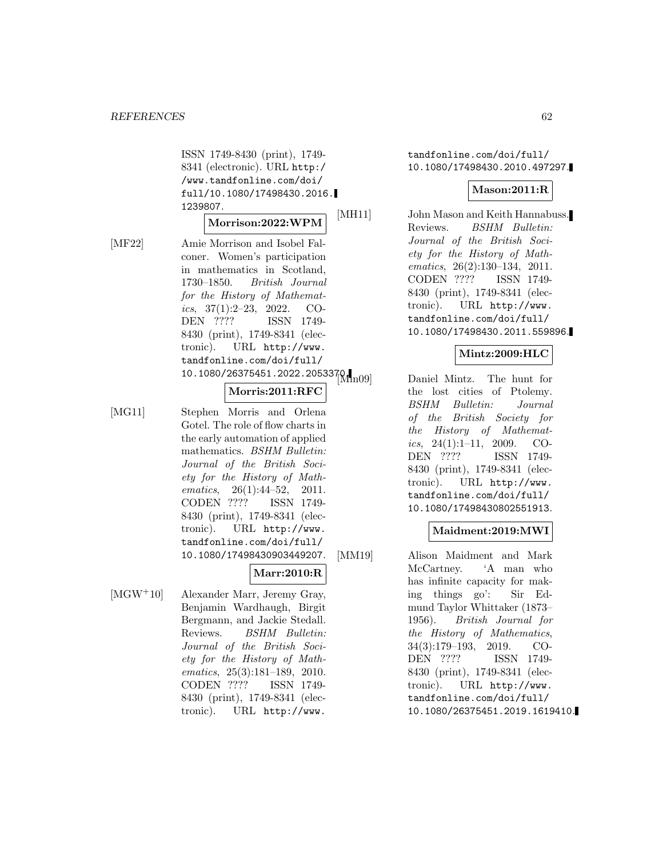ISSN 1749-8430 (print), 1749- 8341 (electronic). URL http:/ /www.tandfonline.com/doi/ full/10.1080/17498430.2016. 1239807.

### **Morrison:2022:WPM**

[MF22] Amie Morrison and Isobel Falconer. Women's participation in mathematics in Scotland, 1730–1850. British Journal for the History of Mathematics,  $37(1):2-23$ ,  $2022$ . CO-DEN ???? ISSN 1749- 8430 (print), 1749-8341 (electronic). URL http://www. tandfonline.com/doi/full/  $10.1080/26375451.2022.2053370.$ 

## **Morris:2011:RFC**

[MG11] Stephen Morris and Orlena Gotel. The role of flow charts in the early automation of applied mathematics. BSHM Bulletin: Journal of the British Society for the History of Mathematics, 26(1):44-52, 2011. CODEN ???? ISSN 1749- 8430 (print), 1749-8341 (electronic). URL http://www. tandfonline.com/doi/full/ 10.1080/17498430903449207.

# **Marr:2010:R**

[MGW<sup>+</sup>10] Alexander Marr, Jeremy Gray, Benjamin Wardhaugh, Birgit Bergmann, and Jackie Stedall. Reviews. BSHM Bulletin: Journal of the British Society for the History of Mathematics, 25(3):181–189, 2010. CODEN ???? ISSN 1749- 8430 (print), 1749-8341 (electronic). URL http://www.

tandfonline.com/doi/full/ 10.1080/17498430.2010.497297.

#### **Mason:2011:R**

[MH11] John Mason and Keith Hannabuss. Reviews. BSHM Bulletin: Journal of the British Society for the History of Mathematics, 26(2):130–134, 2011. CODEN ???? ISSN 1749- 8430 (print), 1749-8341 (electronic). URL http://www. tandfonline.com/doi/full/ 10.1080/17498430.2011.559896.

#### **Mintz:2009:HLC**

Daniel Mintz. The hunt for the lost cities of Ptolemy. BSHM Bulletin: Journal of the British Society for the History of Mathematics,  $24(1):1-11$ ,  $2009$ . CO-DEN ???? ISSN 1749- 8430 (print), 1749-8341 (electronic). URL http://www. tandfonline.com/doi/full/ 10.1080/17498430802551913.

#### **Maidment:2019:MWI**

[MM19] Alison Maidment and Mark McCartney. 'A man who has infinite capacity for making things go': Sir Edmund Taylor Whittaker (1873– 1956). British Journal for the History of Mathematics, 34(3):179–193, 2019. CO-DEN ???? ISSN 1749- 8430 (print), 1749-8341 (electronic). URL http://www. tandfonline.com/doi/full/ 10.1080/26375451.2019.1619410.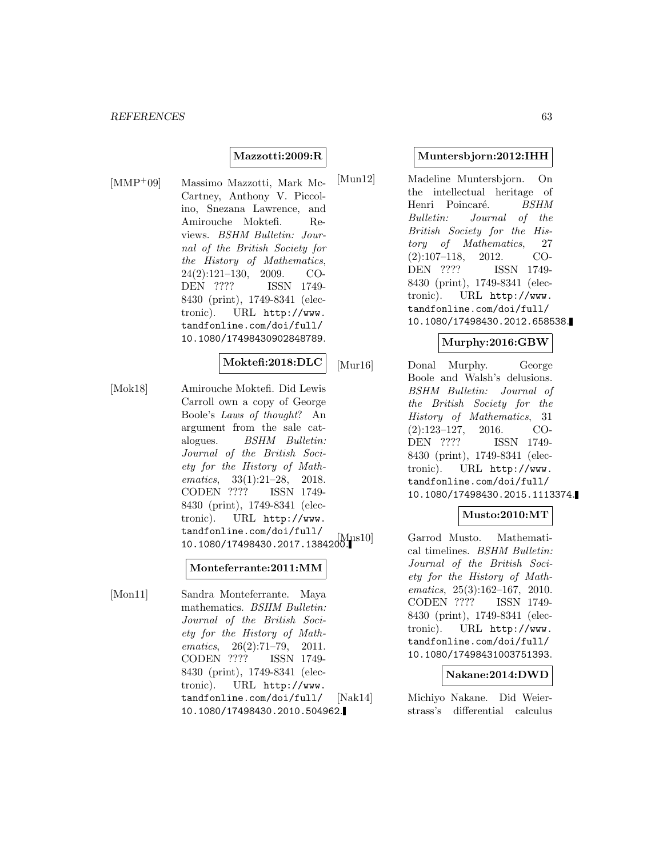### **Mazzotti:2009:R**

[MMP<sup>+</sup>09] Massimo Mazzotti, Mark Mc-Cartney, Anthony V. Piccolino, Snezana Lawrence, and Amirouche Moktefi. Reviews. BSHM Bulletin: Journal of the British Society for the History of Mathematics, 24(2):121–130, 2009. CO-DEN ???? ISSN 1749- 8430 (print), 1749-8341 (electronic). URL http://www. tandfonline.com/doi/full/ 10.1080/17498430902848789.

#### **Moktefi:2018:DLC**

[Mok18] Amirouche Moktefi. Did Lewis Carroll own a copy of George Boole's Laws of thought? An argument from the sale catalogues. BSHM Bulletin: Journal of the British Society for the History of Mathematics, 33(1):21–28, 2018. CODEN ???? ISSN 1749- 8430 (print), 1749-8341 (electronic). URL http://www. tandfonline.com/doi/full/ 10.1080/17498430.2017.1384200.

#### **Monteferrante:2011:MM**

[Mon11] Sandra Monteferrante. Maya mathematics. BSHM Bulletin: Journal of the British Society for the History of Mathematics, 26(2):71-79, 2011. CODEN ???? ISSN 1749- 8430 (print), 1749-8341 (electronic). URL http://www. tandfonline.com/doi/full/ 10.1080/17498430.2010.504962.

#### **Muntersbjorn:2012:IHH**

[Mun12] Madeline Muntersbjorn. On the intellectual heritage of Henri Poincaré. BSHM Bulletin: Journal of the British Society for the History of Mathematics, 27 (2):107–118, 2012. CO-DEN ???? ISSN 1749- 8430 (print), 1749-8341 (electronic). URL http://www. tandfonline.com/doi/full/ 10.1080/17498430.2012.658538.

#### **Murphy:2016:GBW**

[Mur16] Donal Murphy. George Boole and Walsh's delusions. BSHM Bulletin: Journal of the British Society for the History of Mathematics, 31 (2):123–127, 2016. CO-DEN ???? ISSN 1749- 8430 (print), 1749-8341 (electronic). URL http://www. tandfonline.com/doi/full/ 10.1080/17498430.2015.1113374.

## **Musto:2010:MT**

Garrod Musto. Mathematical timelines. BSHM Bulletin: Journal of the British Society for the History of Mathematics, 25(3):162–167, 2010. CODEN ???? ISSN 1749- 8430 (print), 1749-8341 (electronic). URL http://www. tandfonline.com/doi/full/ 10.1080/17498431003751393.

#### **Nakane:2014:DWD**

[Nak14] Michiyo Nakane. Did Weierstrass's differential calculus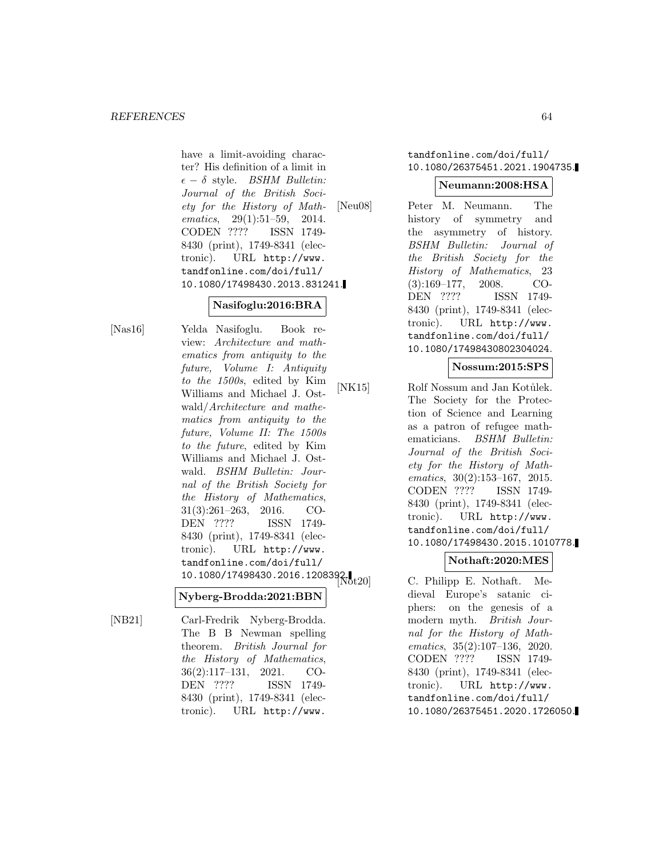have a limit-avoiding character? His definition of a limit in  $\epsilon - \delta$  style. *BSHM Bulletin:* Journal of the British Society for the History of Mathematics, 29(1):51-59, 2014. CODEN ???? ISSN 1749- 8430 (print), 1749-8341 (electronic). URL http://www. tandfonline.com/doi/full/ 10.1080/17498430.2013.831241.

# **Nasifoglu:2016:BRA**

[Nas16] Yelda Nasifoglu. Book review: Architecture and mathematics from antiquity to the future, Volume I: Antiquity to the 1500s, edited by Kim Williams and Michael J. Ostwald/Architecture and mathematics from antiquity to the future, Volume II: The 1500s to the future, edited by Kim Williams and Michael J. Ostwald. BSHM Bulletin: Journal of the British Society for the History of Mathematics, 31(3):261–263, 2016. CO-DEN ???? ISSN 1749- 8430 (print), 1749-8341 (electronic). URL http://www. tandfonline.com/doi/full/  $10.1080/17498430.2016.1208392.$ 

## **Nyberg-Brodda:2021:BBN**

[NB21] Carl-Fredrik Nyberg-Brodda. The B B Newman spelling theorem. British Journal for the History of Mathematics, 36(2):117–131, 2021. CO-DEN ???? ISSN 1749- 8430 (print), 1749-8341 (electronic). URL http://www.

## tandfonline.com/doi/full/ 10.1080/26375451.2021.1904735.

### **Neumann:2008:HSA**

[Neu08] Peter M. Neumann. The history of symmetry and the asymmetry of history. BSHM Bulletin: Journal of the British Society for the History of Mathematics, 23 (3):169–177, 2008. CO-DEN ???? ISSN 1749- 8430 (print), 1749-8341 (electronic). URL http://www. tandfonline.com/doi/full/ 10.1080/17498430802304024.

## **Nossum:2015:SPS**

[NK15] Rolf Nossum and Jan Kotůlek. The Society for the Protection of Science and Learning as a patron of refugee mathematicians. BSHM Bulletin: Journal of the British Society for the History of Mathematics, 30(2):153–167, 2015. CODEN ???? ISSN 1749- 8430 (print), 1749-8341 (electronic). URL http://www. tandfonline.com/doi/full/ 10.1080/17498430.2015.1010778.

## **Nothaft:2020:MES**

C. Philipp E. Nothaft. Medieval Europe's satanic ciphers: on the genesis of a modern myth. British Journal for the History of Mathematics, 35(2):107–136, 2020. CODEN ???? ISSN 1749- 8430 (print), 1749-8341 (electronic). URL http://www. tandfonline.com/doi/full/ 10.1080/26375451.2020.1726050.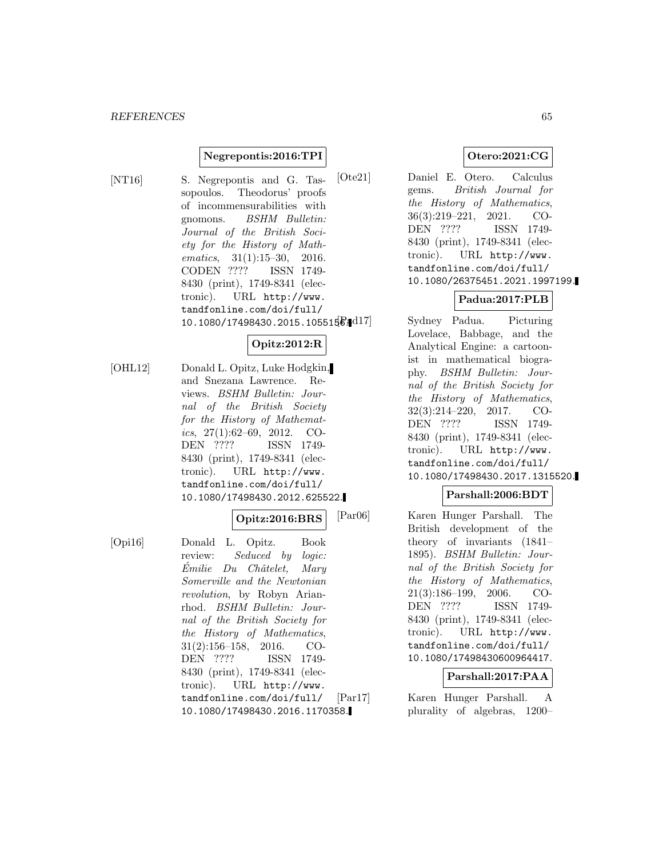### **Negrepontis:2016:TPI**

[NT16] S. Negrepontis and G. Tassopoulos. Theodorus' proofs of incommensurabilities with gnomons. BSHM Bulletin: Journal of the British Society for the History of Mathematics, 31(1):15–30, 2016. CODEN ???? ISSN 1749- 8430 (print), 1749-8341 (electronic). URL http://www. tandfonline.com/doi/full/  $10.1080/17498430.2015.1055156.417$ 

## **Opitz:2012:R**

[OHL12] Donald L. Opitz, Luke Hodgkin, and Snezana Lawrence. Reviews. BSHM Bulletin: Journal of the British Society for the History of Mathematics,  $27(1):62-69$ ,  $2012$ . CO-DEN ???? ISSN 1749- 8430 (print), 1749-8341 (electronic). URL http://www. tandfonline.com/doi/full/ 10.1080/17498430.2012.625522.

#### **Opitz:2016:BRS**

[Opi16] Donald L. Opitz. Book review: Seduced by logic:  $Émilie$   $Du$   $Châtelet$ , Mary Somerville and the Newtonian revolution, by Robyn Arianrhod. BSHM Bulletin: Journal of the British Society for the History of Mathematics, 31(2):156–158, 2016. CO-DEN ???? ISSN 1749- 8430 (print), 1749-8341 (electronic). URL http://www. tandfonline.com/doi/full/ 10.1080/17498430.2016.1170358.

## **Otero:2021:CG**

[Ote21] Daniel E. Otero. Calculus gems. British Journal for the History of Mathematics, 36(3):219–221, 2021. CO-DEN ???? ISSN 1749- 8430 (print), 1749-8341 (electronic). URL http://www. tandfonline.com/doi/full/ 10.1080/26375451.2021.1997199.

# **Padua:2017:PLB**

Sydney Padua. Picturing Lovelace, Babbage, and the Analytical Engine: a cartoonist in mathematical biography. BSHM Bulletin: Journal of the British Society for the History of Mathematics, 32(3):214–220, 2017. CO-DEN ???? ISSN 1749- 8430 (print), 1749-8341 (electronic). URL http://www. tandfonline.com/doi/full/ 10.1080/17498430.2017.1315520.

### **Parshall:2006:BDT**

[Par06] Karen Hunger Parshall. The British development of the theory of invariants (1841– 1895). BSHM Bulletin: Journal of the British Society for the History of Mathematics, 21(3):186–199, 2006. CO-DEN ???? ISSN 1749- 8430 (print), 1749-8341 (electronic). URL http://www. tandfonline.com/doi/full/ 10.1080/17498430600964417.

#### **Parshall:2017:PAA**

[Par17] Karen Hunger Parshall. A plurality of algebras, 1200–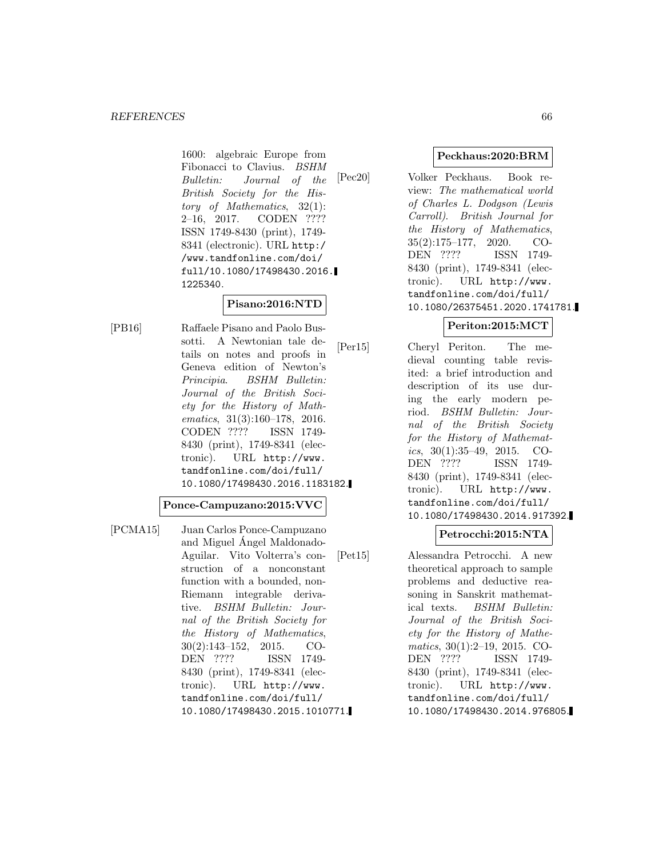1600: algebraic Europe from Fibonacci to Clavius. BSHM Bulletin: Journal of the British Society for the History of Mathematics, 32(1): 2–16, 2017. CODEN ???? ISSN 1749-8430 (print), 1749- 8341 (electronic). URL http:/ /www.tandfonline.com/doi/ full/10.1080/17498430.2016. 1225340.

# **Pisano:2016:NTD**

[PB16] Raffaele Pisano and Paolo Bussotti. A Newtonian tale details on notes and proofs in Geneva edition of Newton's Principia. BSHM Bulletin: Journal of the British Society for the History of Mathematics, 31(3):160–178, 2016. CODEN ???? ISSN 1749- 8430 (print), 1749-8341 (electronic). URL http://www. tandfonline.com/doi/full/ 10.1080/17498430.2016.1183182.

### **Ponce-Campuzano:2015:VVC**

[PCMA15] Juan Carlos Ponce-Campuzano and Miguel Angel Maldonado- ´ Aguilar. Vito Volterra's construction of a nonconstant function with a bounded, non-Riemann integrable derivative. BSHM Bulletin: Journal of the British Society for the History of Mathematics, 30(2):143–152, 2015. CO-DEN ???? ISSN 1749- 8430 (print), 1749-8341 (electronic). URL http://www. tandfonline.com/doi/full/ 10.1080/17498430.2015.1010771.

### **Peckhaus:2020:BRM**

[Pec20] Volker Peckhaus. Book review: The mathematical world of Charles L. Dodgson (Lewis Carroll). British Journal for the History of Mathematics, 35(2):175–177, 2020. CO-DEN ???? ISSN 1749- 8430 (print), 1749-8341 (electronic). URL http://www. tandfonline.com/doi/full/ 10.1080/26375451.2020.1741781.

## **Periton:2015:MCT**

[Per15] Cheryl Periton. The medieval counting table revisited: a brief introduction and description of its use during the early modern period. BSHM Bulletin: Journal of the British Society for the History of Mathematics,  $30(1):35-49$ ,  $2015$ . CO-DEN ???? ISSN 1749- 8430 (print), 1749-8341 (electronic). URL http://www. tandfonline.com/doi/full/ 10.1080/17498430.2014.917392.

## **Petrocchi:2015:NTA**

[Pet15] Alessandra Petrocchi. A new theoretical approach to sample problems and deductive reasoning in Sanskrit mathematical texts. BSHM Bulletin: Journal of the British Society for the History of Mathematics, 30(1):2–19, 2015. CO-DEN ???? ISSN 1749- 8430 (print), 1749-8341 (electronic). URL http://www. tandfonline.com/doi/full/ 10.1080/17498430.2014.976805.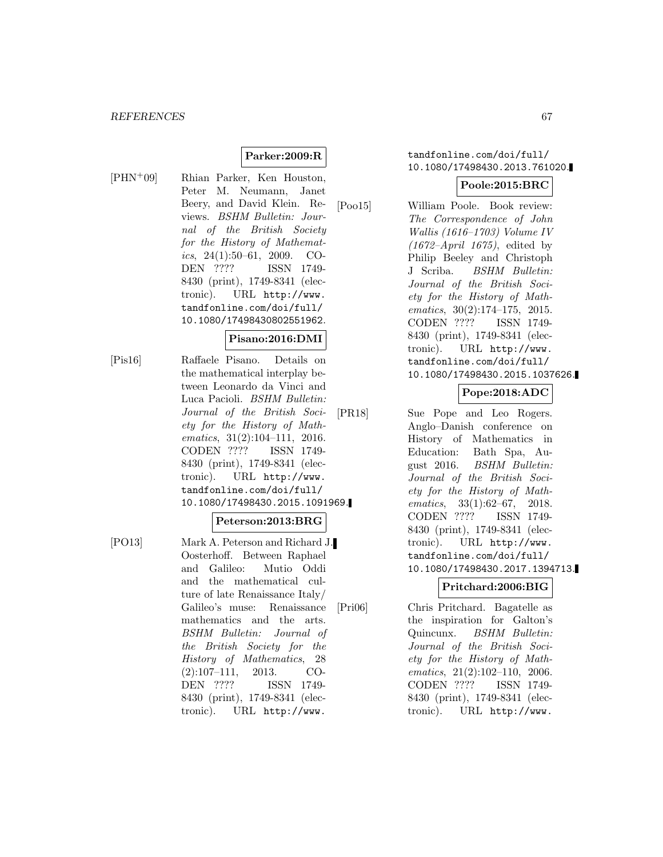# **Parker:2009:R**

- 
- [PHN<sup>+</sup>09] Rhian Parker, Ken Houston, Peter M. Neumann, Janet Beery, and David Klein. Reviews. BSHM Bulletin: Journal of the British Society for the History of Mathematics, 24(1):50–61, 2009. CO-DEN ???? ISSN 1749- 8430 (print), 1749-8341 (electronic). URL http://www. tandfonline.com/doi/full/ 10.1080/17498430802551962.

## **Pisano:2016:DMI**

[Pis16] Raffaele Pisano. Details on the mathematical interplay between Leonardo da Vinci and Luca Pacioli. BSHM Bulletin: Journal of the British Society for the History of Mathematics, 31(2):104–111, 2016. CODEN ???? ISSN 1749- 8430 (print), 1749-8341 (electronic). URL http://www. tandfonline.com/doi/full/ 10.1080/17498430.2015.1091969.

#### **Peterson:2013:BRG**

[PO13] Mark A. Peterson and Richard J. Oosterhoff. Between Raphael and Galileo: Mutio Oddi and the mathematical culture of late Renaissance Italy/ Galileo's muse: Renaissance mathematics and the arts. BSHM Bulletin: Journal of the British Society for the History of Mathematics, 28 (2):107–111, 2013. CO-DEN ???? ISSN 1749- 8430 (print), 1749-8341 (electronic). URL http://www.

## tandfonline.com/doi/full/ 10.1080/17498430.2013.761020.

## **Poole:2015:BRC**

[Poo15] William Poole. Book review: The Correspondence of John Wallis (1616–1703) Volume IV  $(1672–April 1675)$ , edited by Philip Beeley and Christoph J Scriba. BSHM Bulletin: Journal of the British Society for the History of Mathematics, 30(2):174–175, 2015. CODEN ???? ISSN 1749- 8430 (print), 1749-8341 (electronic). URL http://www. tandfonline.com/doi/full/ 10.1080/17498430.2015.1037626.

## **Pope:2018:ADC**

[PR18] Sue Pope and Leo Rogers. Anglo–Danish conference on History of Mathematics in Education: Bath Spa, August 2016. BSHM Bulletin: Journal of the British Society for the History of Mathematics, 33(1):62–67, 2018. CODEN ???? ISSN 1749- 8430 (print), 1749-8341 (electronic). URL http://www. tandfonline.com/doi/full/ 10.1080/17498430.2017.1394713.

## **Pritchard:2006:BIG**

[Pri06] Chris Pritchard. Bagatelle as the inspiration for Galton's Quincunx. BSHM Bulletin: Journal of the British Society for the History of Mathematics, 21(2):102–110, 2006. CODEN ???? ISSN 1749- 8430 (print), 1749-8341 (electronic). URL http://www.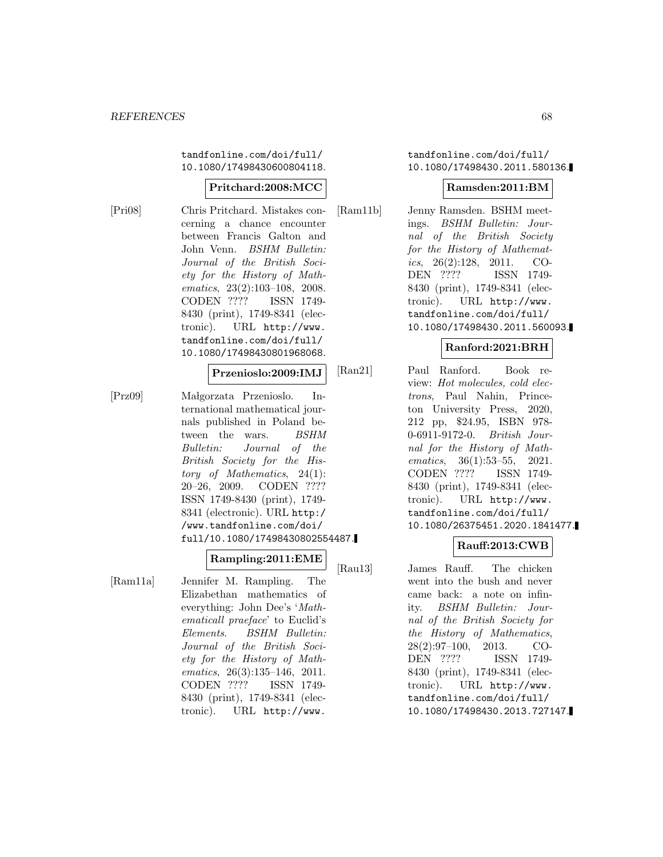tandfonline.com/doi/full/ 10.1080/17498430600804118.

## **Pritchard:2008:MCC**

[Pri08] Chris Pritchard. Mistakes concerning a chance encounter between Francis Galton and John Venn. BSHM Bulletin: Journal of the British Society for the History of Mathematics, 23(2):103–108, 2008. CODEN ???? ISSN 1749- 8430 (print), 1749-8341 (electronic). URL http://www. tandfonline.com/doi/full/ 10.1080/17498430801968068.

### **Przenioslo:2009:IMJ**

[Prz09] Ma lgorzata Przenioslo. International mathematical journals published in Poland between the wars. BSHM Bulletin: Journal of the British Society for the History of Mathematics, 24(1): 20–26, 2009. CODEN ???? ISSN 1749-8430 (print), 1749- 8341 (electronic). URL http:/ /www.tandfonline.com/doi/ full/10.1080/17498430802554487.

#### **Rampling:2011:EME**

[Ram11a] Jennifer M. Rampling. The Elizabethan mathematics of everything: John Dee's 'Mathematicall praeface' to Euclid's Elements. BSHM Bulletin: Journal of the British Society for the History of Mathematics, 26(3):135–146, 2011. CODEN ???? ISSN 1749- 8430 (print), 1749-8341 (electronic). URL http://www.

### tandfonline.com/doi/full/ 10.1080/17498430.2011.580136.

## **Ramsden:2011:BM**

[Ram11b] Jenny Ramsden. BSHM meetings. BSHM Bulletin: Journal of the British Society for the History of Mathematics,  $26(2):128$ ,  $2011$ . CO-DEN ???? ISSN 1749- 8430 (print), 1749-8341 (electronic). URL http://www. tandfonline.com/doi/full/ 10.1080/17498430.2011.560093.

#### **Ranford:2021:BRH**

[Ran21] Paul Ranford. Book review: Hot molecules, cold electrons, Paul Nahin, Princeton University Press, 2020, 212 pp, \$24.95, ISBN 978- 0-6911-9172-0. British Journal for the History of Mathematics, 36(1):53–55, 2021. CODEN ???? ISSN 1749- 8430 (print), 1749-8341 (electronic). URL http://www. tandfonline.com/doi/full/ 10.1080/26375451.2020.1841477.

## **Rauff:2013:CWB**

[Rau13] James Rauff. The chicken went into the bush and never came back: a note on infinity. BSHM Bulletin: Journal of the British Society for the History of Mathematics, 28(2):97–100, 2013. CO-DEN ???? ISSN 1749- 8430 (print), 1749-8341 (electronic). URL http://www. tandfonline.com/doi/full/ 10.1080/17498430.2013.727147.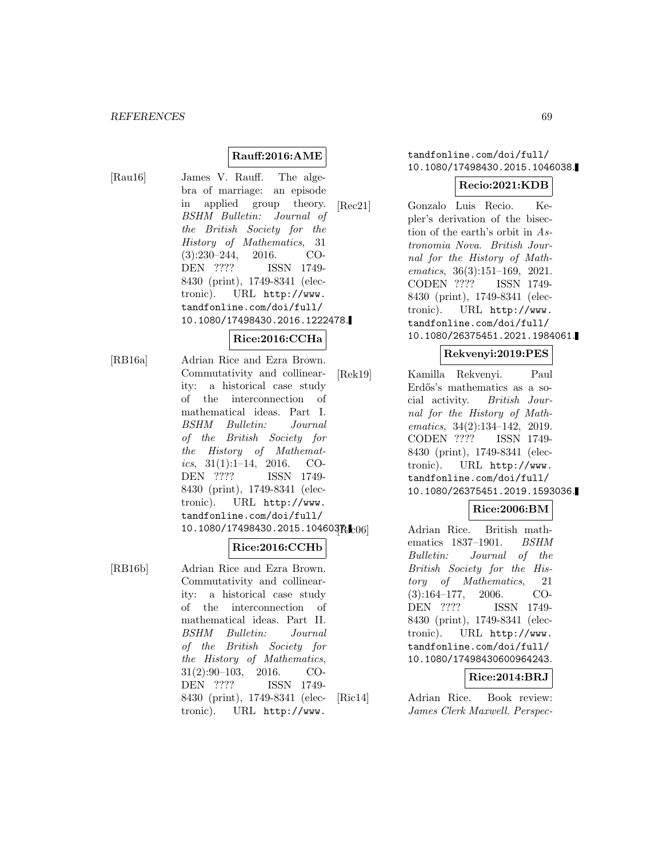# **Rauff:2016:AME**

[Rau16] James V. Rauff. The algebra of marriage: an episode in applied group theory. BSHM Bulletin: Journal of the British Society for the History of Mathematics, 31 (3):230–244, 2016. CO-DEN ???? ISSN 1749- 8430 (print), 1749-8341 (electronic). URL http://www. tandfonline.com/doi/full/ 10.1080/17498430.2016.1222478.

# **Rice:2016:CCHa**

[RB16a] Adrian Rice and Ezra Brown. Commutativity and collinearity: a historical case study of the interconnection of mathematical ideas. Part I. BSHM Bulletin: Journal of the British Society for the History of Mathematics,  $31(1):1-14$ ,  $2016$ . CO-DEN ???? ISSN 1749- 8430 (print), 1749-8341 (electronic). URL http://www. tandfonline.com/doi/full/ 10.1080/17498430.2015.104603Rc06

#### **Rice:2016:CCHb**

[RB16b] Adrian Rice and Ezra Brown. Commutativity and collinearity: a historical case study of the interconnection of mathematical ideas. Part II. BSHM Bulletin: Journal of the British Society for the History of Mathematics, 31(2):90–103, 2016. CO-DEN ???? ISSN 1749- 8430 (print), 1749-8341 (electronic). URL http://www.

## tandfonline.com/doi/full/ 10.1080/17498430.2015.1046038.

#### **Recio:2021:KDB**

[Rec21] Gonzalo Luis Recio. Kepler's derivation of the bisection of the earth's orbit in Astronomia Nova. British Journal for the History of Mathematics, 36(3):151–169, 2021. CODEN ???? ISSN 1749- 8430 (print), 1749-8341 (electronic). URL http://www. tandfonline.com/doi/full/ 10.1080/26375451.2021.1984061.

## **Rekvenyi:2019:PES**

[Rek19] Kamilla Rekvenyi. Paul Erdős's mathematics as a social activity. British Journal for the History of Mathematics, 34(2):134–142, 2019. CODEN ???? ISSN 1749- 8430 (print), 1749-8341 (electronic). URL http://www. tandfonline.com/doi/full/ 10.1080/26375451.2019.1593036.

#### **Rice:2006:BM**

Adrian Rice. British mathematics 1837-1901. BSHM Bulletin: Journal of the British Society for the History of Mathematics, 21 (3):164–177, 2006. CO-DEN ???? ISSN 1749- 8430 (print), 1749-8341 (electronic). URL http://www. tandfonline.com/doi/full/ 10.1080/17498430600964243.

## **Rice:2014:BRJ**

[Ric14] Adrian Rice. Book review: James Clerk Maxwell. Perspec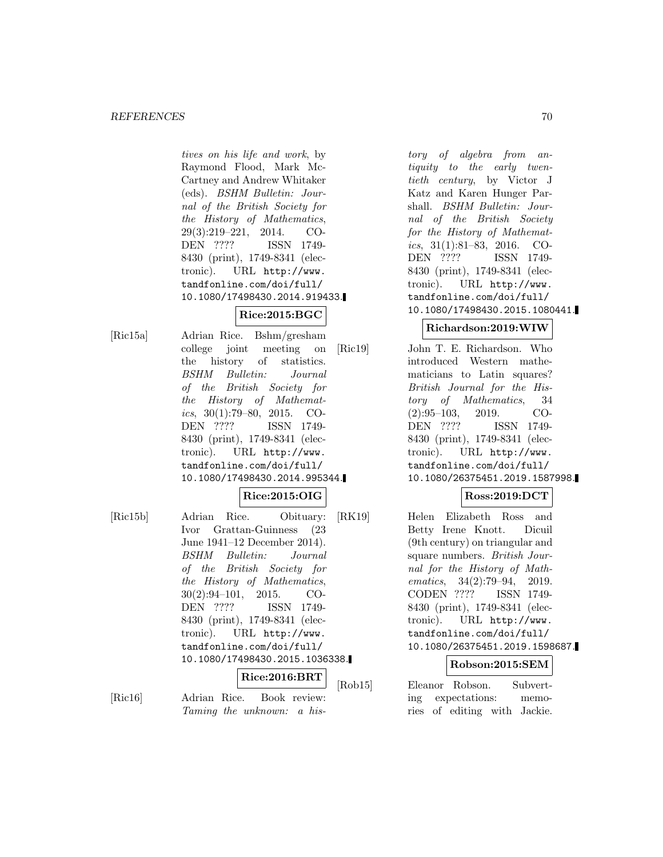tives on his life and work, by Raymond Flood, Mark Mc-Cartney and Andrew Whitaker (eds). BSHM Bulletin: Journal of the British Society for the History of Mathematics, 29(3):219–221, 2014. CO-DEN ???? ISSN 1749- 8430 (print), 1749-8341 (electronic). URL http://www. tandfonline.com/doi/full/ 10.1080/17498430.2014.919433.

# **Rice:2015:BGC**

[Ric15a] Adrian Rice. Bshm/gresham college joint meeting on the history of statistics. BSHM Bulletin: Journal of the British Society for the History of Mathematics,  $30(1):79-80$ ,  $2015$ . CO-DEN ???? ISSN 1749- 8430 (print), 1749-8341 (electronic). URL http://www. tandfonline.com/doi/full/ 10.1080/17498430.2014.995344.

#### **Rice:2015:OIG**

[Ric15b] Adrian Rice. Obituary: Ivor Grattan-Guinness (23 June 1941–12 December 2014). BSHM Bulletin: Journal of the British Society for the History of Mathematics, 30(2):94–101, 2015. CO-DEN ???? ISSN 1749- 8430 (print), 1749-8341 (electronic). URL http://www. tandfonline.com/doi/full/ 10.1080/17498430.2015.1036338.

**Rice:2016:BRT**

[Ric16] Adrian Rice. Book review: Taming the unknown: a his-

tory of algebra from antiquity to the early twentieth century, by Victor J Katz and Karen Hunger Parshall. BSHM Bulletin: Journal of the British Society for the History of Mathematics, 31(1):81–83, 2016. CO-DEN ???? ISSN 1749- 8430 (print), 1749-8341 (electronic). URL http://www. tandfonline.com/doi/full/ 10.1080/17498430.2015.1080441.

## **Richardson:2019:WIW**

[Ric19] John T. E. Richardson. Who introduced Western mathematicians to Latin squares? British Journal for the History of Mathematics, 34 (2):95–103, 2019. CO-DEN ???? ISSN 1749- 8430 (print), 1749-8341 (electronic). URL http://www. tandfonline.com/doi/full/ 10.1080/26375451.2019.1587998.

## **Ross:2019:DCT**

[RK19] Helen Elizabeth Ross and Betty Irene Knott. Dicuil (9th century) on triangular and square numbers. British Journal for the History of Mathematics, 34(2):79–94, 2019. CODEN ???? ISSN 1749- 8430 (print), 1749-8341 (electronic). URL http://www. tandfonline.com/doi/full/ 10.1080/26375451.2019.1598687.

## **Robson:2015:SEM**

[Rob15] Eleanor Robson. Subverting expectations: memories of editing with Jackie.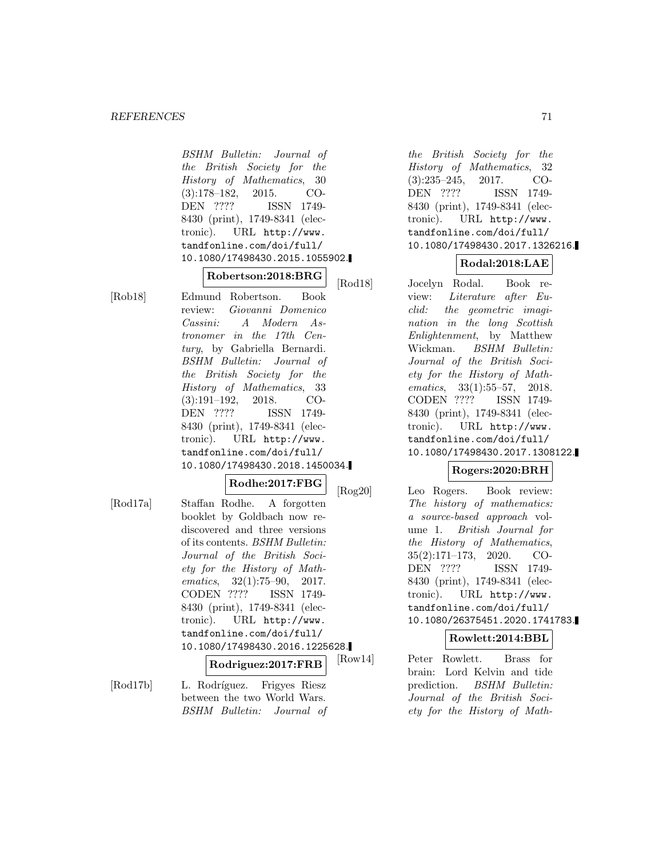#### *REFERENCES* 71

BSHM Bulletin: Journal of the British Society for the History of Mathematics, 30 (3):178–182, 2015. CO-DEN ???? ISSN 1749- 8430 (print), 1749-8341 (electronic). URL http://www. tandfonline.com/doi/full/ 10.1080/17498430.2015.1055902.

**Robertson:2018:BRG** [Rob18] Edmund Robertson. Book review: Giovanni Domenico Cassini: A Modern Astronomer in the 17th Century, by Gabriella Bernardi. BSHM Bulletin: Journal of the British Society for the History of Mathematics, 33 (3):191–192, 2018. CO-DEN ???? ISSN 1749- 8430 (print), 1749-8341 (electronic). URL http://www. tandfonline.com/doi/full/ 10.1080/17498430.2018.1450034.

#### **Rodhe:2017:FBG**

[Rod17a] Staffan Rodhe. A forgotten booklet by Goldbach now rediscovered and three versions of its contents. BSHM Bulletin: Journal of the British Society for the History of Mathematics, 32(1):75–90, 2017. CODEN ???? ISSN 1749- 8430 (print), 1749-8341 (electronic). URL http://www. tandfonline.com/doi/full/ 10.1080/17498430.2016.1225628. **Rodriguez:2017:FRB**

[Rod17b] L. Rodríguez. Frigyes Riesz between the two World Wars. BSHM Bulletin: Journal of

the British Society for the History of Mathematics, 32 (3):235–245, 2017. CO-DEN ???? ISSN 1749- 8430 (print), 1749-8341 (electronic). URL http://www. tandfonline.com/doi/full/ 10.1080/17498430.2017.1326216.

#### **Rodal:2018:LAE**

[Rod18] Jocelyn Rodal. Book review: Literature after Euclid: the geometric imagination in the long Scottish Enlightenment, by Matthew Wickman. BSHM Bulletin: Journal of the British Society for the History of Mathematics, 33(1):55–57, 2018. CODEN ???? ISSN 1749- 8430 (print), 1749-8341 (electronic). URL http://www. tandfonline.com/doi/full/ 10.1080/17498430.2017.1308122.

## **Rogers:2020:BRH**

[Rog20] Leo Rogers. Book review: The history of mathematics: a source-based approach volume 1. British Journal for the History of Mathematics, 35(2):171–173, 2020. CO-DEN ???? ISSN 1749- 8430 (print), 1749-8341 (electronic). URL http://www. tandfonline.com/doi/full/ 10.1080/26375451.2020.1741783.

#### **Rowlett:2014:BBL**

[Row14] Peter Rowlett. Brass for brain: Lord Kelvin and tide prediction. BSHM Bulletin: Journal of the British Society for the History of Math-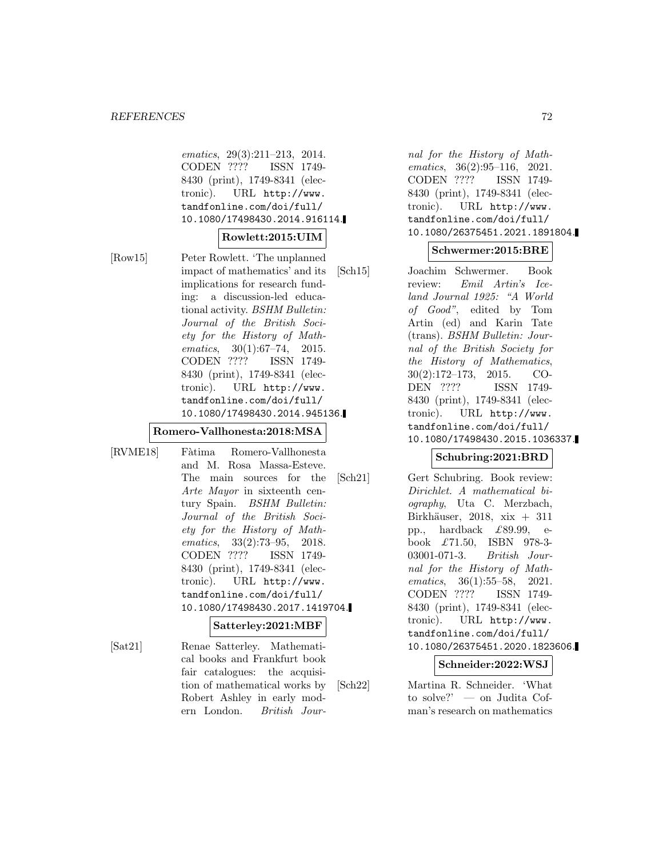#### *REFERENCES* 72

ematics, 29(3):211–213, 2014. CODEN ???? ISSN 1749- 8430 (print), 1749-8341 (electronic). URL http://www. tandfonline.com/doi/full/ 10.1080/17498430.2014.916114.

#### **Rowlett:2015:UIM**

[Row15] Peter Rowlett. 'The unplanned impact of mathematics' and its implications for research funding: a discussion-led educational activity. BSHM Bulletin: Journal of the British Society for the History of Mathematics, 30(1):67–74, 2015. CODEN ???? ISSN 1749- 8430 (print), 1749-8341 (electronic). URL http://www. tandfonline.com/doi/full/ 10.1080/17498430.2014.945136.

# **Romero-Vallhonesta:2018:MSA**

[RVME18] Fàtima Romero-Vallhonesta and M. Rosa Massa-Esteve. The main sources for the Arte Mayor in sixteenth century Spain. BSHM Bulletin: Journal of the British Society for the History of Mathematics, 33(2):73–95, 2018. CODEN ???? ISSN 1749- 8430 (print), 1749-8341 (electronic). URL http://www. tandfonline.com/doi/full/ 10.1080/17498430.2017.1419704.

#### **Satterley:2021:MBF**

[Sat21] Renae Satterley. Mathematical books and Frankfurt book fair catalogues: the acquisition of mathematical works by Robert Ashley in early modern London. British Jour-

nal for the History of Mathematics, 36(2):95–116, 2021. CODEN ???? ISSN 1749- 8430 (print), 1749-8341 (electronic). URL http://www. tandfonline.com/doi/full/ 10.1080/26375451.2021.1891804.

#### **Schwermer:2015:BRE**

[Sch15] Joachim Schwermer. Book review: Emil Artin's Iceland Journal 1925: "A World of Good", edited by Tom Artin (ed) and Karin Tate (trans). BSHM Bulletin: Journal of the British Society for the History of Mathematics, 30(2):172–173, 2015. CO-DEN ???? ISSN 1749- 8430 (print), 1749-8341 (electronic). URL http://www. tandfonline.com/doi/full/ 10.1080/17498430.2015.1036337.

#### **Schubring:2021:BRD**

[Sch21] Gert Schubring. Book review: Dirichlet. A mathematical biography, Uta C. Merzbach, Birkhäuser, 2018, xix  $+$  311 pp., hardback £89.99, ebook £71.50, ISBN 978-3- 03001-071-3. British Journal for the History of Mathematics, 36(1):55–58, 2021. CODEN ???? ISSN 1749- 8430 (print), 1749-8341 (electronic). URL http://www. tandfonline.com/doi/full/ 10.1080/26375451.2020.1823606.

#### **Schneider:2022:WSJ**

[Sch22] Martina R. Schneider. 'What to solve?' — on Judita Cofman's research on mathematics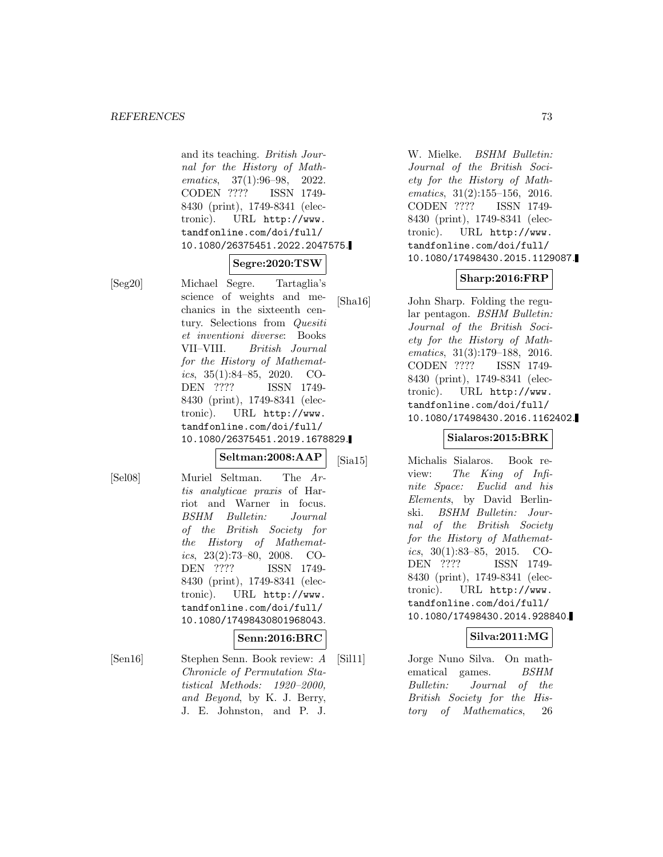and its teaching. British Journal for the History of Mathematics, 37(1):96–98, 2022.<br>CODEN ???? ISSN 1749-CODEN ???? 8430 (print), 1749-8341 (electronic). URL http://www. tandfonline.com/doi/full/ 10.1080/26375451.2022.2047575.

# **Segre:2020:TSW**

[Seg20] Michael Segre. Tartaglia's science of weights and mechanics in the sixteenth century. Selections from Quesiti et inventioni diverse: Books VII–VIII. British Journal for the History of Mathematics,  $35(1):84-85$ ,  $2020$ . CO-DEN ???? ISSN 1749- 8430 (print), 1749-8341 (electronic). URL http://www. tandfonline.com/doi/full/ 10.1080/26375451.2019.1678829.

#### **Seltman:2008:AAP**

[Sel08] Muriel Seltman. The Artis analyticae praxis of Harriot and Warner in focus. BSHM Bulletin: Journal of the British Society for the History of Mathematics,  $23(2):73-80$ ,  $2008$ . CO-DEN ???? ISSN 1749- 8430 (print), 1749-8341 (electronic). URL http://www. tandfonline.com/doi/full/ 10.1080/17498430801968043.

### **Senn:2016:BRC**

[Sen16] Stephen Senn. Book review: A Chronicle of Permutation Statistical Methods: 1920–2000, and Beyond, by K. J. Berry, J. E. Johnston, and P. J.

W. Mielke. BSHM Bulletin: Journal of the British Society for the History of Mathematics, 31(2):155–156, 2016. CODEN ???? ISSN 1749- 8430 (print), 1749-8341 (electronic). URL http://www. tandfonline.com/doi/full/ 10.1080/17498430.2015.1129087.

### **Sharp:2016:FRP**

[Sha16] John Sharp. Folding the regular pentagon. BSHM Bulletin: Journal of the British Society for the History of Mathematics, 31(3):179–188, 2016. CODEN ???? ISSN 1749- 8430 (print), 1749-8341 (electronic). URL http://www. tandfonline.com/doi/full/ 10.1080/17498430.2016.1162402.

# **Sialaros:2015:BRK**

[Sia15] Michalis Sialaros. Book review: The King of Infinite Space: Euclid and his Elements, by David Berlinski. BSHM Bulletin: Journal of the British Society for the History of Mathematics,  $30(1):83-85$ ,  $2015$ . CO-DEN ???? ISSN 1749- 8430 (print), 1749-8341 (electronic). URL http://www. tandfonline.com/doi/full/ 10.1080/17498430.2014.928840.

## **Silva:2011:MG**

[Sil11] Jorge Nuno Silva. On mathematical games. BSHM Bulletin: Journal of the British Society for the History of Mathematics, 26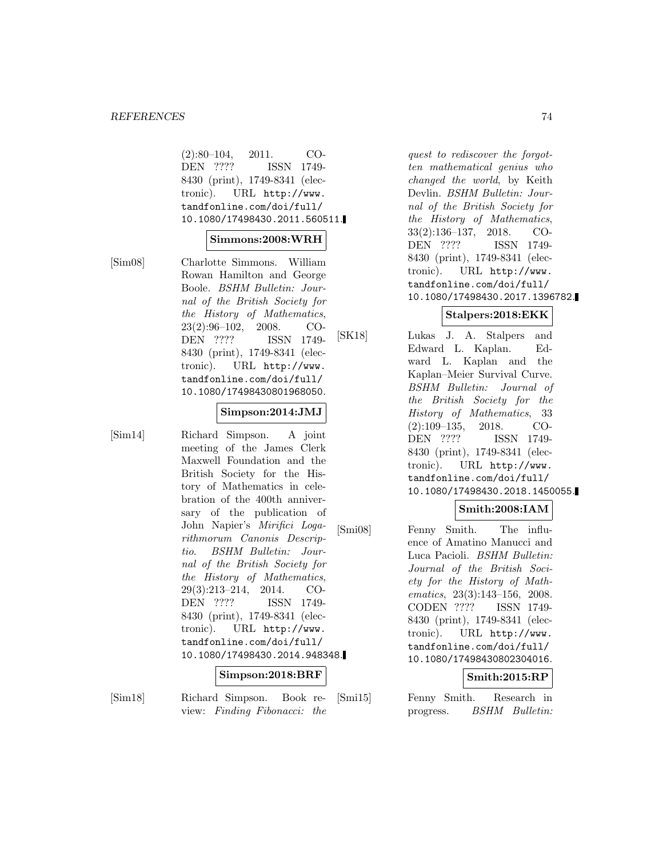#### **REFERENCES** 74

(2):80–104, 2011. CO-DEN ???? ISSN 1749- 8430 (print), 1749-8341 (electronic). URL http://www. tandfonline.com/doi/full/ 10.1080/17498430.2011.560511.

#### **Simmons:2008:WRH**

[Sim08] Charlotte Simmons. William Rowan Hamilton and George Boole. BSHM Bulletin: Journal of the British Society for the History of Mathematics, 23(2):96–102, 2008. CO-DEN ???? ISSN 1749- 8430 (print), 1749-8341 (electronic). URL http://www. tandfonline.com/doi/full/ 10.1080/17498430801968050.

#### **Simpson:2014:JMJ**

[Sim14] Richard Simpson. A joint meeting of the James Clerk Maxwell Foundation and the British Society for the History of Mathematics in celebration of the 400th anniversary of the publication of John Napier's Mirifici Logarithmorum Canonis Descriptio. BSHM Bulletin: Journal of the British Society for the History of Mathematics, 29(3):213–214, 2014. CO-DEN ???? ISSN 1749- 8430 (print), 1749-8341 (electronic). URL http://www. tandfonline.com/doi/full/ 10.1080/17498430.2014.948348.

#### **Simpson:2018:BRF**

[Sim18] Richard Simpson. Book review: Finding Fibonacci: the

quest to rediscover the forgotten mathematical genius who changed the world, by Keith Devlin. BSHM Bulletin: Journal of the British Society for the History of Mathematics, 33(2):136–137, 2018. CO-DEN ???? ISSN 1749- 8430 (print), 1749-8341 (electronic). URL http://www. tandfonline.com/doi/full/ 10.1080/17498430.2017.1396782.

## **Stalpers:2018:EKK**

[SK18] Lukas J. A. Stalpers and Edward L. Kaplan. Edward L. Kaplan and the Kaplan–Meier Survival Curve. BSHM Bulletin: Journal of the British Society for the History of Mathematics, 33 (2):109–135, 2018. CO-DEN ???? ISSN 1749- 8430 (print), 1749-8341 (electronic). URL http://www. tandfonline.com/doi/full/ 10.1080/17498430.2018.1450055.

### **Smith:2008:IAM**

[Smi08] Fenny Smith. The influence of Amatino Manucci and Luca Pacioli. BSHM Bulletin: Journal of the British Society for the History of Mathematics, 23(3):143–156, 2008. CODEN ???? ISSN 1749- 8430 (print), 1749-8341 (electronic). URL http://www. tandfonline.com/doi/full/ 10.1080/17498430802304016.

# **Smith:2015:RP**

[Smi15] Fenny Smith. Research in progress. BSHM Bulletin: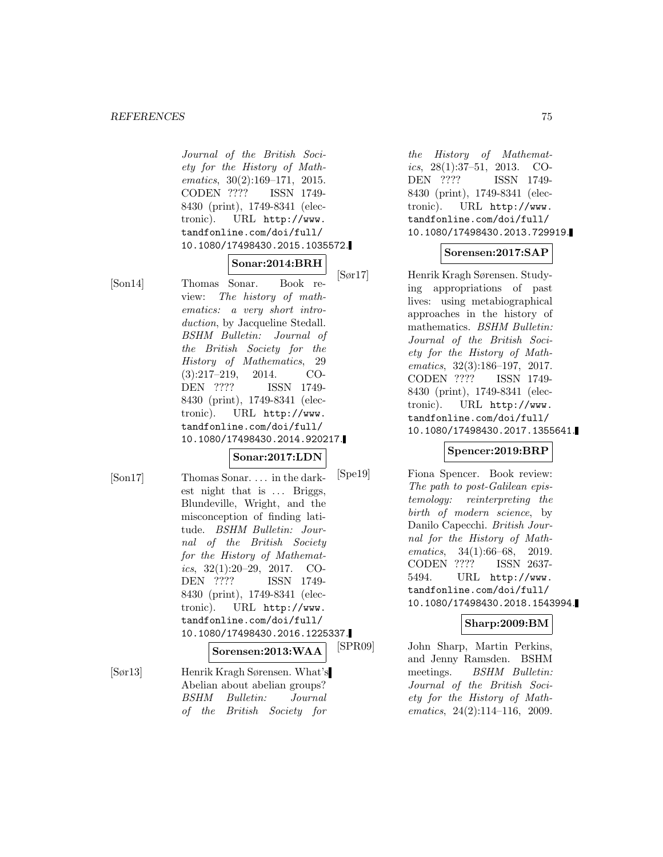#### *REFERENCES* 75

Journal of the British Society for the History of Mathematics, 30(2):169–171, 2015. CODEN ???? ISSN 1749- 8430 (print), 1749-8341 (electronic). URL http://www. tandfonline.com/doi/full/ 10.1080/17498430.2015.1035572.

#### **Sonar:2014:BRH**

[Son14] Thomas Sonar. Book review: The history of mathematics: a very short introduction, by Jacqueline Stedall. BSHM Bulletin: Journal of the British Society for the History of Mathematics, 29 (3):217–219, 2014. CO-DEN ???? ISSN 1749- 8430 (print), 1749-8341 (electronic). URL http://www. tandfonline.com/doi/full/ 10.1080/17498430.2014.920217.

# **Sonar:2017:LDN**

[Son17] Thomas Sonar. ... in the darkest night that is ... Briggs, Blundeville, Wright, and the misconception of finding latitude. BSHM Bulletin: Journal of the British Society for the History of Mathematics, 32(1):20–29, 2017. CO-DEN ???? ISSN 1749- 8430 (print), 1749-8341 (electronic). URL http://www. tandfonline.com/doi/full/ 10.1080/17498430.2016.1225337.

**Sorensen:2013:WAA**

[Sør13] Henrik Kragh Sørensen. What's Abelian about abelian groups? BSHM Bulletin: Journal of the British Society for

the History of Mathematics, 28(1):37–51, 2013. CO-DEN ???? ISSN 1749- 8430 (print), 1749-8341 (electronic). URL http://www. tandfonline.com/doi/full/ 10.1080/17498430.2013.729919.

## **Sorensen:2017:SAP**

[Sør17] Henrik Kragh Sørensen. Studying appropriations of past lives: using metabiographical approaches in the history of mathematics. BSHM Bulletin: Journal of the British Society for the History of Mathematics, 32(3):186–197, 2017. CODEN ???? ISSN 1749- 8430 (print), 1749-8341 (electronic). URL http://www. tandfonline.com/doi/full/ 10.1080/17498430.2017.1355641.

# **Spencer:2019:BRP**

[Spe19] Fiona Spencer. Book review: The path to post-Galilean epistemology: reinterpreting the birth of modern science, by Danilo Capecchi. British Journal for the History of Mathematics, 34(1):66–68, 2019. CODEN ???? ISSN 2637- 5494. URL http://www. tandfonline.com/doi/full/ 10.1080/17498430.2018.1543994.

### **Sharp:2009:BM**

[SPR09] John Sharp, Martin Perkins, and Jenny Ramsden. BSHM meetings. BSHM Bulletin: Journal of the British Society for the History of Mathematics, 24(2):114–116, 2009.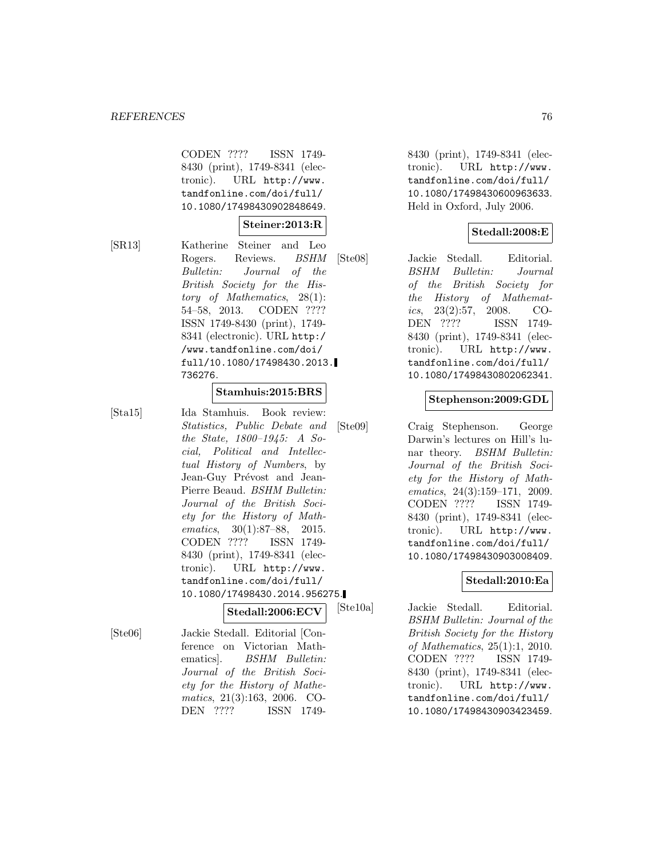CODEN ???? ISSN 1749- 8430 (print), 1749-8341 (electronic). URL http://www. tandfonline.com/doi/full/ 10.1080/17498430902848649.

## **Steiner:2013:R**

[SR13] Katherine Steiner and Leo Rogers. Reviews. BSHM Bulletin: Journal of the British Society for the History of Mathematics, 28(1): 54–58, 2013. CODEN ???? ISSN 1749-8430 (print), 1749- 8341 (electronic). URL http:/ /www.tandfonline.com/doi/ full/10.1080/17498430.2013. 736276.

### **Stamhuis:2015:BRS**

[Sta15] Ida Stamhuis. Book review: Statistics, Public Debate and the State, 1800–1945: A Social, Political and Intellectual History of Numbers, by Jean-Guy Prévost and Jean-Pierre Beaud. BSHM Bulletin: Journal of the British Society for the History of Mathematics, 30(1):87–88, 2015. CODEN ???? ISSN 1749- 8430 (print), 1749-8341 (electronic). URL http://www. tandfonline.com/doi/full/ 10.1080/17498430.2014.956275.

## **Stedall:2006:ECV**

[Ste06] Jackie Stedall. Editorial [Conference on Victorian Mathematics. BSHM Bulletin: Journal of the British Society for the History of Mathematics, 21(3):163, 2006. CO-DEN ???? ISSN 17498430 (print), 1749-8341 (electronic). URL http://www. tandfonline.com/doi/full/ 10.1080/17498430600963633. Held in Oxford, July 2006.

# **Stedall:2008:E**

[Ste08] Jackie Stedall. Editorial. BSHM Bulletin: Journal of the British Society for the History of Mathematics,  $23(2):57$ ,  $2008$ . CO-DEN ???? ISSN 1749- 8430 (print), 1749-8341 (electronic). URL http://www. tandfonline.com/doi/full/ 10.1080/17498430802062341.

### **Stephenson:2009:GDL**

[Ste09] Craig Stephenson. George Darwin's lectures on Hill's lunar theory. BSHM Bulletin: Journal of the British Society for the History of Mathematics, 24(3):159–171, 2009. CODEN ???? ISSN 1749- 8430 (print), 1749-8341 (electronic). URL http://www. tandfonline.com/doi/full/ 10.1080/17498430903008409.

### **Stedall:2010:Ea**

[Ste10a] Jackie Stedall. Editorial. BSHM Bulletin: Journal of the British Society for the History of Mathematics, 25(1):1, 2010. CODEN ???? ISSN 1749- 8430 (print), 1749-8341 (electronic). URL http://www. tandfonline.com/doi/full/ 10.1080/17498430903423459.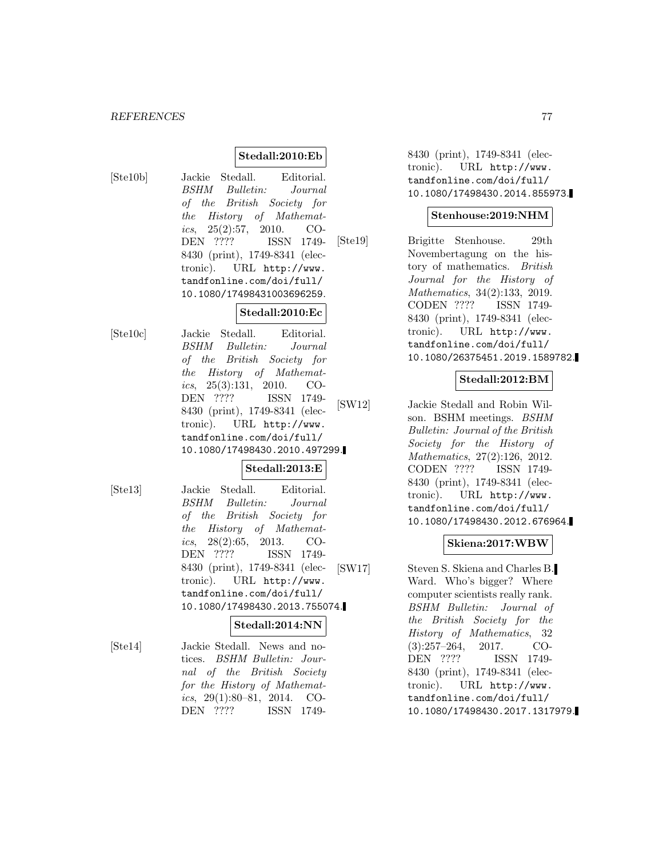## **Stedall:2010:Eb**

[Ste10b] Jackie Stedall. Editorial. BSHM Bulletin: Journal of the British Society for the History of Mathematics,  $25(2):57$ ,  $2010$ . CO-DEN ???? ISSN 1749- 8430 (print), 1749-8341 (electronic). URL http://www. tandfonline.com/doi/full/ 10.1080/17498431003696259.

## **Stedall:2010:Ec**

[Ste10c] Jackie Stedall. Editorial. BSHM Bulletin: Journal of the British Society for the History of Mathematics,  $25(3):131$ ,  $2010$ . CO-DEN ???? ISSN 1749- 8430 (print), 1749-8341 (electronic). URL http://www. tandfonline.com/doi/full/ 10.1080/17498430.2010.497299.

### **Stedall:2013:E**

[Ste13] Jackie Stedall. Editorial. BSHM Bulletin: Journal of the British Society for the History of Mathemat*ics*,  $28(2):65$ ,  $2013$ . CO-DEN ???? ISSN 1749- 8430 (print), 1749-8341 (electronic). URL http://www. tandfonline.com/doi/full/ 10.1080/17498430.2013.755074.

### **Stedall:2014:NN**

[Ste14] Jackie Stedall. News and notices. BSHM Bulletin: Journal of the British Society for the History of Mathematics,  $29(1):80-81$ ,  $2014$ . CO-DEN ???? ISSN 17498430 (print), 1749-8341 (electronic). URL http://www. tandfonline.com/doi/full/ 10.1080/17498430.2014.855973.

#### **Stenhouse:2019:NHM**

[Ste19] Brigitte Stenhouse. 29th Novembertagung on the history of mathematics. British Journal for the History of Mathematics, 34(2):133, 2019. CODEN ???? ISSN 1749- 8430 (print), 1749-8341 (electronic). URL http://www. tandfonline.com/doi/full/ 10.1080/26375451.2019.1589782.

## **Stedall:2012:BM**

[SW12] Jackie Stedall and Robin Wilson. BSHM meetings. BSHM Bulletin: Journal of the British Society for the History of Mathematics, 27(2):126, 2012. CODEN ???? ISSN 1749- 8430 (print), 1749-8341 (electronic). URL http://www. tandfonline.com/doi/full/ 10.1080/17498430.2012.676964.

### **Skiena:2017:WBW**

[SW17] Steven S. Skiena and Charles B. Ward. Who's bigger? Where computer scientists really rank. BSHM Bulletin: Journal of the British Society for the History of Mathematics, 32 (3):257–264, 2017. CO-DEN ???? ISSN 1749- 8430 (print), 1749-8341 (electronic). URL http://www. tandfonline.com/doi/full/ 10.1080/17498430.2017.1317979.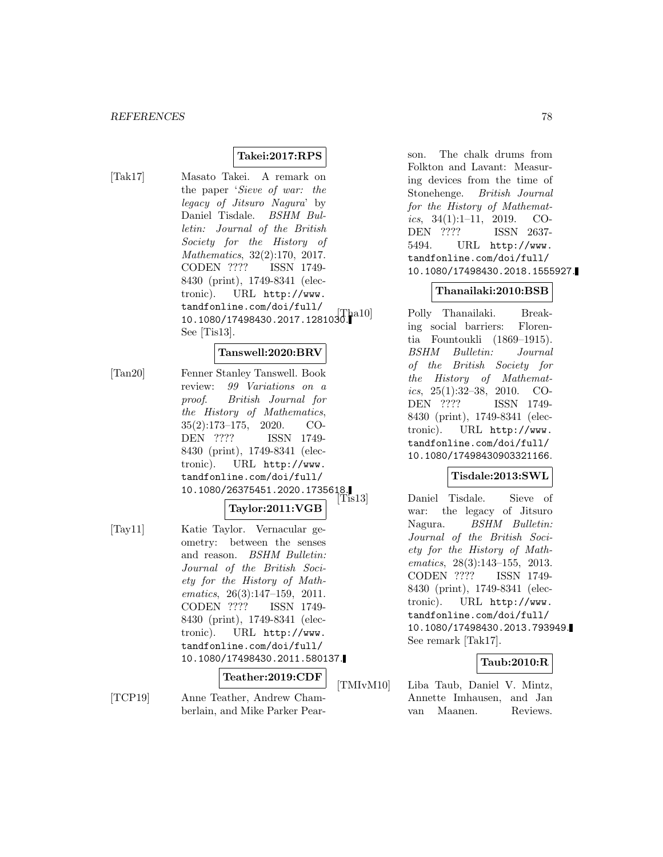## **Takei:2017:RPS**

[Tak17] Masato Takei. A remark on the paper 'Sieve of war: the legacy of Jitsuro Nagura' by Daniel Tisdale. BSHM Bulletin: Journal of the British Society for the History of Mathematics, 32(2):170, 2017. CODEN ???? ISSN 1749- 8430 (print), 1749-8341 (electronic). URL http://www. tandfonline.com/doi/full/ 10.1080/17498430.2017.1281030. html See [Tis13].

## **Tanswell:2020:BRV**

[Tan20] Fenner Stanley Tanswell. Book review: 99 Variations on a proof. British Journal for the History of Mathematics, 35(2):173–175, 2020. CO-DEN ???? ISSN 1749- 8430 (print), 1749-8341 (electronic). URL http://www. tandfonline.com/doi/full/ 10.1080/26375451.2020.1735618.

### **Taylor:2011:VGB**

[Tay11] Katie Taylor. Vernacular geometry: between the senses and reason. BSHM Bulletin: Journal of the British Society for the History of Mathematics, 26(3):147–159, 2011. CODEN ???? ISSN 1749- 8430 (print), 1749-8341 (electronic). URL http://www. tandfonline.com/doi/full/ 10.1080/17498430.2011.580137.

## **Teather:2019:CDF**

[TCP19] Anne Teather, Andrew Chamberlain, and Mike Parker Pearson. The chalk drums from Folkton and Lavant: Measuring devices from the time of Stonehenge. British Journal for the History of Mathematics,  $34(1):1-11$ ,  $2019$ . CO-DEN ???? ISSN 2637- 5494. URL http://www. tandfonline.com/doi/full/ 10.1080/17498430.2018.1555927.

### **Thanailaki:2010:BSB**

Polly Thanailaki. Breaking social barriers: Florentia Fountoukli (1869–1915). BSHM Bulletin: Journal of the British Society for the History of Mathematics,  $25(1):32-38$ ,  $2010$ . CO-DEN ???? ISSN 1749- 8430 (print), 1749-8341 (electronic). URL http://www. tandfonline.com/doi/full/ 10.1080/17498430903321166.

### **Tisdale:2013:SWL**

Daniel Tisdale. Sieve of war: the legacy of Jitsuro Nagura. BSHM Bulletin: Journal of the British Society for the History of Mathematics, 28(3):143–155, 2013. CODEN ???? ISSN 1749- 8430 (print), 1749-8341 (electronic). URL http://www. tandfonline.com/doi/full/ 10.1080/17498430.2013.793949. See remark [Tak17].

#### **Taub:2010:R**

[TMIvM10] Liba Taub, Daniel V. Mintz, Annette Imhausen, and Jan van Maanen. Reviews.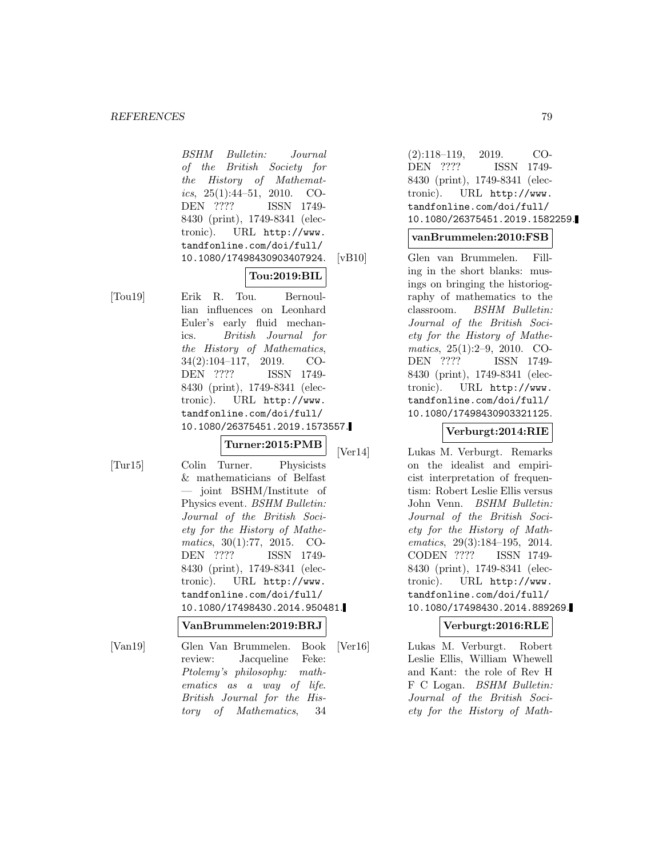#### *REFERENCES* 79

BSHM Bulletin: Journal of the British Society for the History of Mathematics,  $25(1):44-51$ ,  $2010$ . CO-DEN ???? ISSN 1749- 8430 (print), 1749-8341 (electronic). URL http://www. tandfonline.com/doi/full/ 10.1080/17498430903407924.

# **Tou:2019:BIL**

[Tou19] Erik R. Tou. Bernoullian influences on Leonhard Euler's early fluid mechanics. British Journal for the History of Mathematics, 34(2):104–117, 2019. CO-DEN ???? ISSN 1749- 8430 (print), 1749-8341 (electronic). URL http://www. tandfonline.com/doi/full/ 10.1080/26375451.2019.1573557.

**Turner:2015:PMB**

[Tur15] Colin Turner. Physicists & mathematicians of Belfast — joint BSHM/Institute of Physics event. BSHM Bulletin: Journal of the British Society for the History of Mathematics, 30(1):77, 2015. CO-<br>DEN ???? ISSN 1749-ISSN 1749-8430 (print), 1749-8341 (electronic). URL http://www. tandfonline.com/doi/full/ 10.1080/17498430.2014.950481.

### **VanBrummelen:2019:BRJ**

[Van19] Glen Van Brummelen. Book review: Jacqueline Feke: Ptolemy's philosophy: mathematics as a way of life. British Journal for the History of Mathematics, 34

(2):118–119, 2019. CO-DEN ???? ISSN 1749- 8430 (print), 1749-8341 (electronic). URL http://www. tandfonline.com/doi/full/ 10.1080/26375451.2019.1582259.

## **vanBrummelen:2010:FSB**

[vB10] Glen van Brummelen. Filling in the short blanks: musings on bringing the historiography of mathematics to the classroom. BSHM Bulletin: Journal of the British Society for the History of Mathematics, 25(1):2–9, 2010. CO-DEN ???? ISSN 1749- 8430 (print), 1749-8341 (electronic). URL http://www. tandfonline.com/doi/full/ 10.1080/17498430903321125.

# **Verburgt:2014:RIE**

[Ver14] Lukas M. Verburgt. Remarks on the idealist and empiricist interpretation of frequentism: Robert Leslie Ellis versus John Venn. BSHM Bulletin: Journal of the British Society for the History of Mathematics, 29(3):184–195, 2014. CODEN ???? ISSN 1749- 8430 (print), 1749-8341 (electronic). URL http://www. tandfonline.com/doi/full/ 10.1080/17498430.2014.889269.

### **Verburgt:2016:RLE**

[Ver16] Lukas M. Verburgt. Robert Leslie Ellis, William Whewell and Kant: the role of Rev H F C Logan. BSHM Bulletin: Journal of the British Society for the History of Math-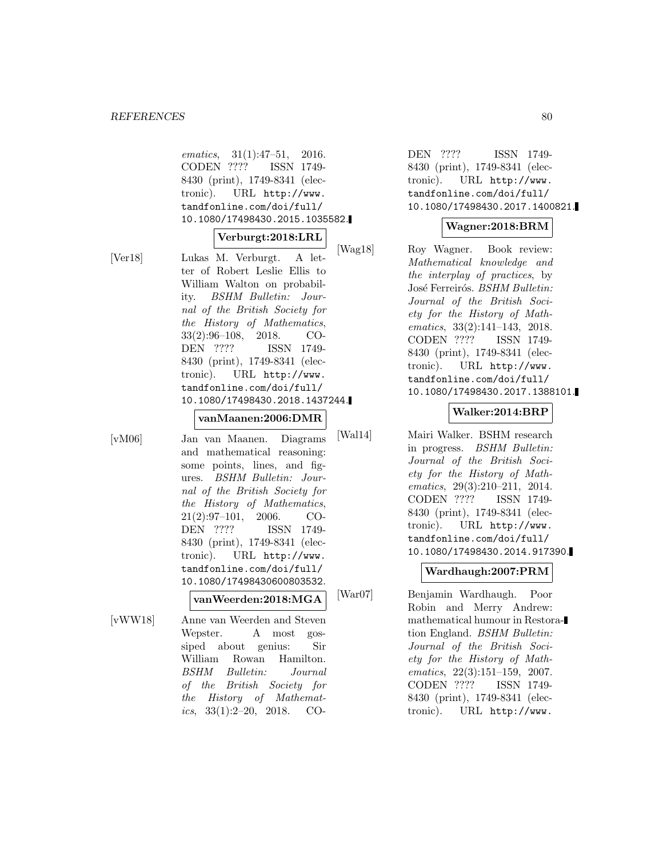| ematics, $31(1):47-51$ , $2016$ . |  |
|-----------------------------------|--|
| CODEN ???? ISSN 1749-             |  |
| 8430 (print), 1749-8341 (elec-    |  |
| tronic). URL http://www.          |  |
| tandfonline.com/doi/full/         |  |
| 10.1080/17498430.2015.1035582.    |  |
|                                   |  |
| Verburgt:2018:LRL                 |  |
| Lukas M. Verburgt. A let-         |  |
| ter of Robert Leslie Ellis to     |  |
|                                   |  |
| William Walton on probabil-       |  |
| ity. BSHM Bulletin: Jour-         |  |
| nal of the British Society for    |  |
| the History of Mathematics,       |  |
| $33(2):96-108$ , 2018. CO-        |  |
| DEN ???? ISSN 1749-               |  |
| 8430 (print), 1749-8341 (elec-    |  |
| tronic). URL http://www.          |  |
| tandfonline.com/doi/full/         |  |
| 10.1080/17498430.2018.1437244.    |  |
|                                   |  |
| $\verb vanMaanen :2006:DMR $      |  |
|                                   |  |
| Jan van Maanen. Diagrams          |  |

 $[vM06]$ 

 $[Ver18]$ 

and mathematical reasoning: some points, lines, and figures. BSHM Bulletin: Journal of the British Society for the History of Mathematics, 21(2):97–101, 2006. CO-DEN ???? ISSN 1749- 8430 (print), 1749-8341 (electronic). URL http://www. tandfonline.com/doi/full/ 10.1080/17498430600803532.

**vanWeerden:2018:MGA**

[vWW18] Anne van Weerden and Steven Wepster. A most gossiped about genius: Sir William Rowan Hamilton. BSHM Bulletin: Journal of the British Society for the History of Mathematics,  $33(1):2-20$ ,  $2018$ . CO-

DEN ???? ISSN 1749- 8430 (print), 1749-8341 (electronic). URL http://www. tandfonline.com/doi/full/ 10.1080/17498430.2017.1400821.

# **Wagner:2018:BRM**

1g18] Roy Wagner. Book review: Mathematical knowledge and the interplay of practices, by José Ferreirós. BSHM Bulletin: Journal of the British Society for the History of Mathematics, 33(2):141–143, 2018. CODEN ???? ISSN 1749- 8430 (print), 1749-8341 (electronic). URL http://www. tandfonline.com/doi/full/ 10.1080/17498430.2017.1388101.

# **Walker:2014:BRP**

[Wal14] Mairi Walker. BSHM research in progress. BSHM Bulletin: Journal of the British Society for the History of Mathematics, 29(3):210–211, 2014. CODEN ???? ISSN 1749- 8430 (print), 1749-8341 (electronic). URL http://www. tandfonline.com/doi/full/ 10.1080/17498430.2014.917390.

# **Wardhaugh:2007:PRM**

[War07] Benjamin Wardhaugh. Poor Robin and Merry Andrew: mathematical humour in Restoration England. BSHM Bulletin: Journal of the British Society for the History of Mathematics, 22(3):151–159, 2007. CODEN ???? ISSN 1749- 8430 (print), 1749-8341 (electronic). URL http://www.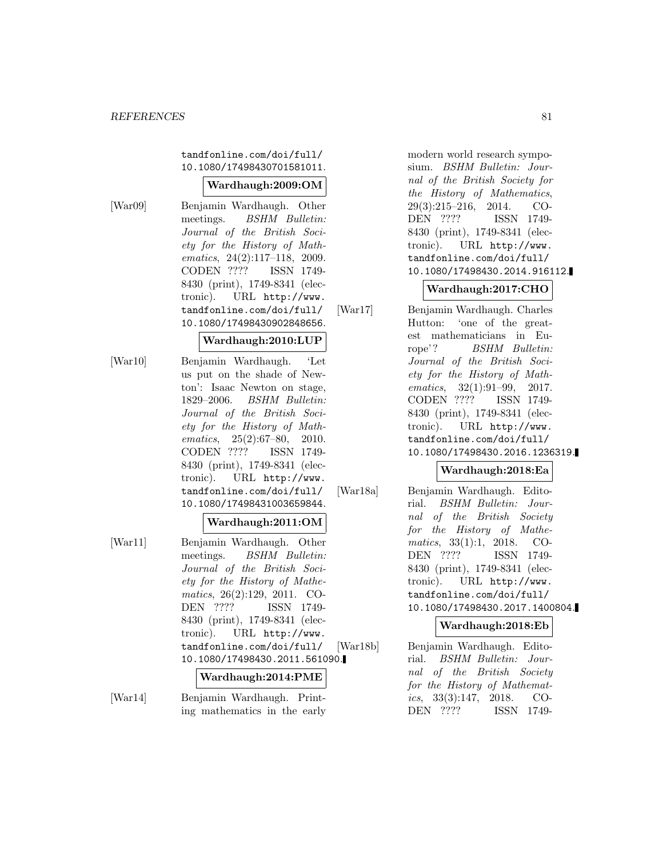tandfonline.com/doi/full/ 10.1080/17498430701581011.

# **Wardhaugh:2009:OM**

[War09] Benjamin Wardhaugh. Other meetings. BSHM Bulletin: Journal of the British Society for the History of Mathematics, 24(2):117–118, 2009. CODEN ???? ISSN 1749- 8430 (print), 1749-8341 (electronic). URL http://www. tandfonline.com/doi/full/ 10.1080/17498430902848656.

## **Wardhaugh:2010:LUP**

[War10] Benjamin Wardhaugh. 'Let us put on the shade of Newton': Isaac Newton on stage, 1829–2006. BSHM Bulletin: Journal of the British Society for the History of Mathematics, 25(2):67–80, 2010. CODEN ???? ISSN 1749- 8430 (print), 1749-8341 (electronic). URL http://www. tandfonline.com/doi/full/ 10.1080/17498431003659844.

# **Wardhaugh:2011:OM**

[War11] Benjamin Wardhaugh. Other meetings. *BSHM Bulletin:* Journal of the British Society for the History of Mathematics, 26(2):129, 2011. CO-DEN ???? ISSN 1749- 8430 (print), 1749-8341 (electronic). URL http://www. tandfonline.com/doi/full/ 10.1080/17498430.2011.561090.

# **Wardhaugh:2014:PME**

[War14] Benjamin Wardhaugh. Printing mathematics in the early modern world research symposium. BSHM Bulletin: Journal of the British Society for the History of Mathematics, 29(3):215–216, 2014. CO-DEN ???? ISSN 1749- 8430 (print), 1749-8341 (electronic). URL http://www. tandfonline.com/doi/full/ 10.1080/17498430.2014.916112.

# **Wardhaugh:2017:CHO**

[War17] Benjamin Wardhaugh. Charles Hutton: 'one of the greatest mathematicians in Europe'? BSHM Bulletin: Journal of the British Society for the History of Mathematics, 32(1):91-99, 2017. CODEN ???? ISSN 1749- 8430 (print), 1749-8341 (electronic). URL http://www. tandfonline.com/doi/full/ 10.1080/17498430.2016.1236319.

# **Wardhaugh:2018:Ea**

[War18a] Benjamin Wardhaugh. Editorial. BSHM Bulletin: Journal of the British Society for the History of Mathematics, 33(1):1, 2018. CO-DEN ???? ISSN 1749- 8430 (print), 1749-8341 (electronic). URL http://www. tandfonline.com/doi/full/ 10.1080/17498430.2017.1400804.

### **Wardhaugh:2018:Eb**

[War18b] Benjamin Wardhaugh. Editorial. BSHM Bulletin: Journal of the British Society for the History of Mathematics, 33(3):147, 2018. CO-DEN ???? ISSN 1749-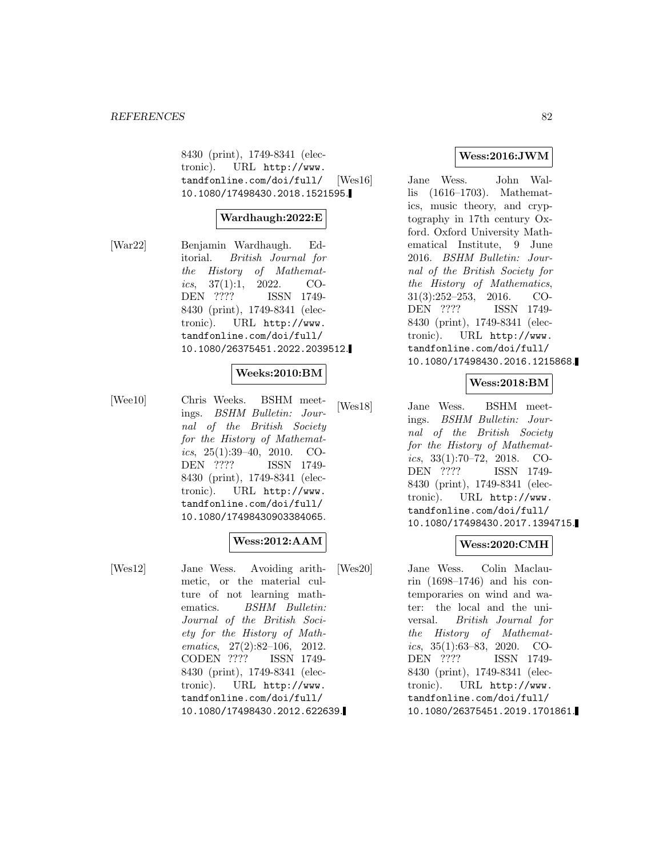8430 (print), 1749-8341 (electronic). URL http://www. tandfonline.com/doi/full/ 10.1080/17498430.2018.1521595.

## **Wardhaugh:2022:E**

[War22] Benjamin Wardhaugh. Editorial. British Journal for the History of Mathematics,  $37(1):1$ ,  $2022$ . CO-DEN ???? ISSN 1749- 8430 (print), 1749-8341 (electronic). URL http://www. tandfonline.com/doi/full/ 10.1080/26375451.2022.2039512.

# **Weeks:2010:BM**

[Wee10] Chris Weeks. BSHM meetings. BSHM Bulletin: Journal of the British Society for the History of Mathematics,  $25(1):39-40$ ,  $2010$ . CO-DEN ???? ISSN 1749- 8430 (print), 1749-8341 (electronic). URL http://www. tandfonline.com/doi/full/ 10.1080/17498430903384065.

# **Wess:2012:AAM**

[Wes12] Jane Wess. Avoiding arithmetic, or the material culture of not learning mathematics. BSHM Bulletin: Journal of the British Society for the History of Mathematics, 27(2):82–106, 2012. CODEN ???? ISSN 1749- 8430 (print), 1749-8341 (electronic). URL http://www. tandfonline.com/doi/full/ 10.1080/17498430.2012.622639.

### **Wess:2016:JWM**

[Wes16] Jane Wess. John Wallis (1616–1703). Mathematics, music theory, and cryptography in 17th century Oxford. Oxford University Mathematical Institute, 9 June 2016. BSHM Bulletin: Journal of the British Society for the History of Mathematics, 31(3):252–253, 2016. CO-DEN ???? ISSN 1749- 8430 (print), 1749-8341 (electronic). URL http://www. tandfonline.com/doi/full/ 10.1080/17498430.2016.1215868.

## **Wess:2018:BM**

[Wes18] Jane Wess. BSHM meetings. BSHM Bulletin: Journal of the British Society for the History of Mathematics, 33(1):70–72, 2018. CO-DEN ???? ISSN 1749- 8430 (print), 1749-8341 (electronic). URL http://www. tandfonline.com/doi/full/ 10.1080/17498430.2017.1394715.

### **Wess:2020:CMH**

[Wes20] Jane Wess. Colin Maclaurin (1698–1746) and his contemporaries on wind and water: the local and the universal. British Journal for the History of Mathematics, 35(1):63–83, 2020. CO-DEN ???? ISSN 1749- 8430 (print), 1749-8341 (electronic). URL http://www. tandfonline.com/doi/full/ 10.1080/26375451.2019.1701861.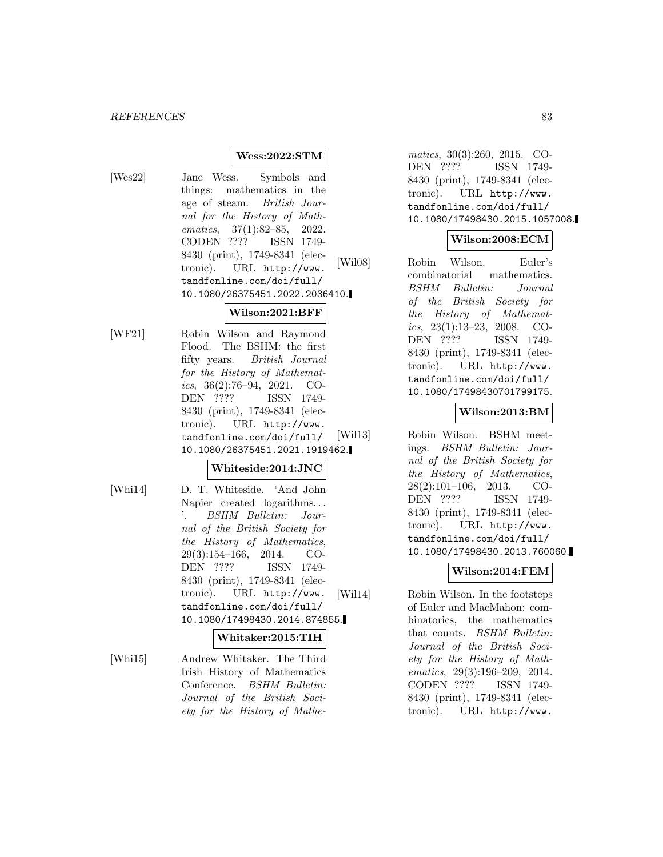### **Wess:2022:STM**

[Wes22] Jane Wess. Symbols and things: mathematics in the age of steam. British Journal for the History of Mathematics, 37(1):82–85, 2022. CODEN ???? ISSN 1749- 8430 (print), 1749-8341 (electronic). URL http://www. tandfonline.com/doi/full/ 10.1080/26375451.2022.2036410.

# **Wilson:2021:BFF**

[WF21] Robin Wilson and Raymond Flood. The BSHM: the first fifty years. British Journal for the History of Mathematics,  $36(2):76-94$ ,  $2021$ . CO-DEN ???? ISSN 1749- 8430 (print), 1749-8341 (electronic). URL http://www. tandfonline.com/doi/full/ 10.1080/26375451.2021.1919462.

# **Whiteside:2014:JNC**

[Whi14] D. T. Whiteside. 'And John Napier created logarithms... '. BSHM Bulletin: Journal of the British Society for the History of Mathematics, 29(3):154–166, 2014. CO-DEN ???? ISSN 1749- 8430 (print), 1749-8341 (electronic). URL http://www. tandfonline.com/doi/full/ 10.1080/17498430.2014.874855.

#### **Whitaker:2015:TIH**

[Whi15] Andrew Whitaker. The Third Irish History of Mathematics Conference. BSHM Bulletin: Journal of the British Society for the History of Mathe-

matics, 30(3):260, 2015. CO-DEN ???? ISSN 1749- 8430 (print), 1749-8341 (electronic). URL http://www. tandfonline.com/doi/full/ 10.1080/17498430.2015.1057008.

## **Wilson:2008:ECM**

[Wil08] Robin Wilson. Euler's combinatorial mathematics. BSHM Bulletin: Journal of the British Society for the History of Mathematics, 23(1):13–23, 2008. CO-DEN ???? ISSN 1749- 8430 (print), 1749-8341 (electronic). URL http://www. tandfonline.com/doi/full/ 10.1080/17498430701799175.

# **Wilson:2013:BM**

[Wil13] Robin Wilson. BSHM meetings. BSHM Bulletin: Journal of the British Society for the History of Mathematics, 28(2):101–106, 2013. CO-DEN ???? ISSN 1749- 8430 (print), 1749-8341 (electronic). URL http://www. tandfonline.com/doi/full/ 10.1080/17498430.2013.760060.

# **Wilson:2014:FEM**

[Wil14] Robin Wilson. In the footsteps of Euler and MacMahon: combinatorics, the mathematics that counts. BSHM Bulletin: Journal of the British Society for the History of Mathematics, 29(3):196–209, 2014. CODEN ???? ISSN 1749- 8430 (print), 1749-8341 (electronic). URL http://www.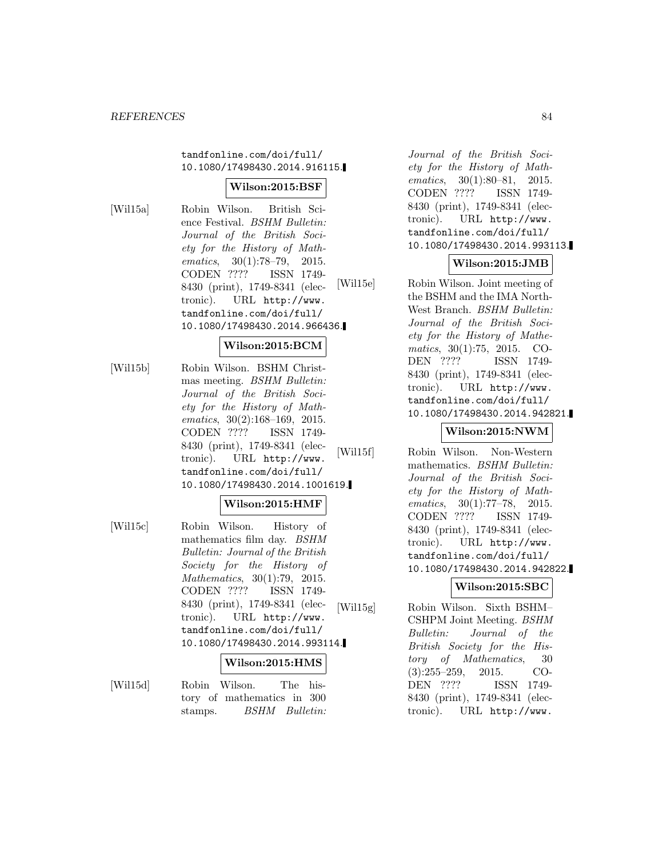### tandfonline.com/doi/full/ 10.1080/17498430.2014.916115.

### **Wilson:2015:BSF**

[Wil15a] Robin Wilson. British Science Festival. BSHM Bulletin: Journal of the British Society for the History of Mathematics, 30(1):78–79, 2015. CODEN ???? ISSN 1749- 8430 (print), 1749-8341 (electronic). URL http://www. tandfonline.com/doi/full/ 10.1080/17498430.2014.966436.

### **Wilson:2015:BCM**

[Wil15b] Robin Wilson. BSHM Christmas meeting. BSHM Bulletin: Journal of the British Society for the History of Mathematics, 30(2):168–169, 2015. CODEN ???? ISSN 1749- 8430 (print), 1749-8341 (electronic). URL http://www. tandfonline.com/doi/full/ 10.1080/17498430.2014.1001619.

### **Wilson:2015:HMF**

[Wil15c] Robin Wilson. History of mathematics film day. BSHM Bulletin: Journal of the British Society for the History of Mathematics, 30(1):79, 2015. CODEN ???? ISSN 1749- 8430 (print), 1749-8341 (electronic). URL http://www. tandfonline.com/doi/full/ 10.1080/17498430.2014.993114.

# **Wilson:2015:HMS**

[Wil15d] Robin Wilson. The history of mathematics in 300 stamps. *BSHM Bulletin:* 

Journal of the British Society for the History of Mathematics, 30(1):80–81, 2015. CODEN ???? ISSN 1749- 8430 (print), 1749-8341 (electronic). URL http://www. tandfonline.com/doi/full/ 10.1080/17498430.2014.993113.

### **Wilson:2015:JMB**

[Wil15e] Robin Wilson. Joint meeting of the BSHM and the IMA North-West Branch. BSHM Bulletin: Journal of the British Society for the History of Mathematics, 30(1):75, 2015. CO-DEN ???? ISSN 1749- 8430 (print), 1749-8341 (electronic). URL http://www. tandfonline.com/doi/full/ 10.1080/17498430.2014.942821.

# **Wilson:2015:NWM**

[Wil15f] Robin Wilson. Non-Western mathematics. BSHM Bulletin: Journal of the British Society for the History of Mathematics, 30(1):77–78, 2015. CODEN ???? ISSN 1749- 8430 (print), 1749-8341 (electronic). URL http://www. tandfonline.com/doi/full/ 10.1080/17498430.2014.942822.

# **Wilson:2015:SBC**

[Wil15g] Robin Wilson. Sixth BSHM– CSHPM Joint Meeting. BSHM Bulletin: Journal of the British Society for the History of Mathematics, 30 (3):255–259, 2015. CO-DEN ???? ISSN 1749- 8430 (print), 1749-8341 (electronic). URL http://www.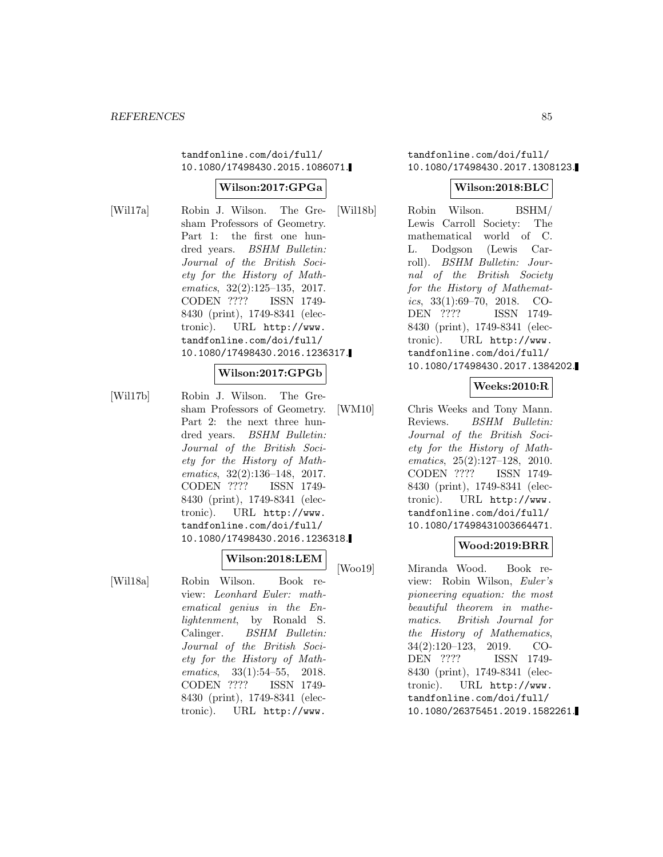tandfonline.com/doi/full/ 10.1080/17498430.2015.1086071.

# **Wilson:2017:GPGa**

[Wil17a] Robin J. Wilson. The Gresham Professors of Geometry. Part 1: the first one hundred years. BSHM Bulletin: Journal of the British Society for the History of Mathematics, 32(2):125–135, 2017. CODEN ???? ISSN 1749- 8430 (print), 1749-8341 (electronic). URL http://www. tandfonline.com/doi/full/ 10.1080/17498430.2016.1236317.

### **Wilson:2017:GPGb**

[Wil17b] Robin J. Wilson. The Gresham Professors of Geometry. Part 2: the next three hundred years. BSHM Bulletin: Journal of the British Society for the History of Mathematics, 32(2):136–148, 2017. CODEN ???? ISSN 1749- 8430 (print), 1749-8341 (electronic). URL http://www. tandfonline.com/doi/full/ 10.1080/17498430.2016.1236318.

# **Wilson:2018:LEM**

[Wil18a] Robin Wilson. Book review: Leonhard Euler: mathematical genius in the Enlightenment, by Ronald S. Calinger. BSHM Bulletin: Journal of the British Society for the History of Mathematics, 33(1):54-55, 2018. CODEN ???? ISSN 1749- 8430 (print), 1749-8341 (electronic). URL http://www.

tandfonline.com/doi/full/ 10.1080/17498430.2017.1308123.

### **Wilson:2018:BLC**

[Wil18b] Robin Wilson. BSHM/ Lewis Carroll Society: The mathematical world of C. L. Dodgson (Lewis Carroll). BSHM Bulletin: Journal of the British Society for the History of Mathematics, 33(1):69–70, 2018. CO-DEN ???? ISSN 1749- 8430 (print), 1749-8341 (electronic). URL http://www. tandfonline.com/doi/full/ 10.1080/17498430.2017.1384202.

# **Weeks:2010:R**

[WM10] Chris Weeks and Tony Mann. Reviews. BSHM Bulletin: Journal of the British Society for the History of Mathematics, 25(2):127–128, 2010. CODEN ???? ISSN 1749- 8430 (print), 1749-8341 (electronic). URL http://www. tandfonline.com/doi/full/ 10.1080/17498431003664471.

### **Wood:2019:BRR**

[Woo19] Miranda Wood. Book review: Robin Wilson, Euler's pioneering equation: the most beautiful theorem in mathematics. British Journal for the History of Mathematics, 34(2):120–123, 2019. CO-DEN ???? ISSN 1749- 8430 (print), 1749-8341 (electronic). URL http://www. tandfonline.com/doi/full/ 10.1080/26375451.2019.1582261.